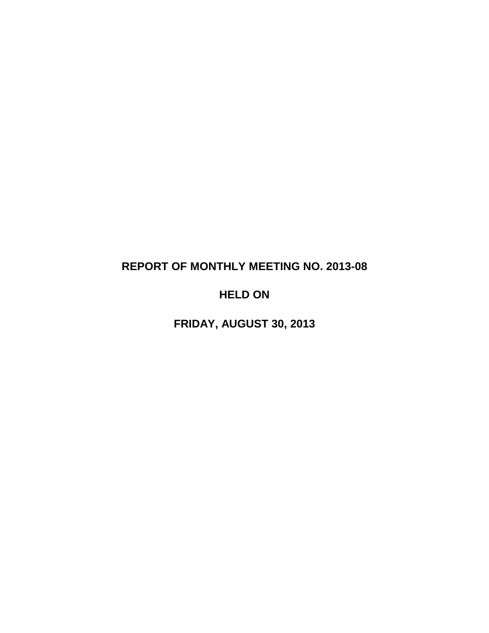# **REPORT OF MONTHLY MEETING NO. 2013-08**

# **HELD ON**

**FRIDAY, AUGUST 30, 2013**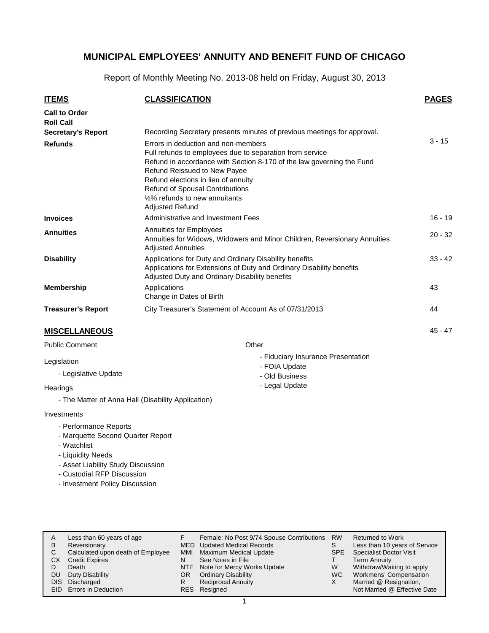Report of Monthly Meeting No. 2013-08 held on Friday, August 30, 2013

| <b>ITEMS</b>                                                          | <b>CLASSIFICATION</b>                                                                                                                                                                                                                                                                                                                          | <b>PAGES</b> |
|-----------------------------------------------------------------------|------------------------------------------------------------------------------------------------------------------------------------------------------------------------------------------------------------------------------------------------------------------------------------------------------------------------------------------------|--------------|
| <b>Call to Order</b><br><b>Roll Call</b><br><b>Secretary's Report</b> | Recording Secretary presents minutes of previous meetings for approval.                                                                                                                                                                                                                                                                        |              |
| <b>Refunds</b>                                                        | Errors in deduction and non-members<br>Full refunds to employees due to separation from service<br>Refund in accordance with Section 8-170 of the law governing the Fund<br>Refund Reissued to New Payee<br>Refund elections in lieu of annuity<br>Refund of Spousal Contributions<br>1/2% refunds to new annuitants<br><b>Adjusted Refund</b> | $3 - 15$     |
| <b>Invoices</b>                                                       | Administrative and Investment Fees                                                                                                                                                                                                                                                                                                             | $16 - 19$    |
| <b>Annuities</b>                                                      | Annuities for Employees<br>Annuities for Widows, Widowers and Minor Children, Reversionary Annuities<br><b>Adjusted Annuities</b>                                                                                                                                                                                                              | $20 - 32$    |
| <b>Disability</b>                                                     | Applications for Duty and Ordinary Disability benefits<br>Applications for Extensions of Duty and Ordinary Disability benefits<br>Adjusted Duty and Ordinary Disability benefits                                                                                                                                                               | $33 - 42$    |
| <b>Membership</b>                                                     | Applications<br>Change in Dates of Birth                                                                                                                                                                                                                                                                                                       | 43           |
| <b>Treasurer's Report</b>                                             | City Treasurer's Statement of Account As of 07/31/2013                                                                                                                                                                                                                                                                                         | 44           |
| <b>MISCELLANEOUS</b>                                                  |                                                                                                                                                                                                                                                                                                                                                | $45 - 47$    |
| <b>Public Comment</b>                                                 | Other                                                                                                                                                                                                                                                                                                                                          |              |

- Fiduciary Insurance Presentation

- FOIA Update - Old Business - Legal Update

#### Public Comment

#### Legislation

- Legislative Update

#### **Hearings**

- The Matter of Anna Hall (Disability Application)

#### Investments

- Performance Reports
- Marquette Second Quarter Report
- Watchlist
- Liquidity Needs
- Asset Liability Study Discussion
- Custodial RFP Discussion
- Investment Policy Discussion

| A    | Less than 60 years of age         |     | Female: No Post 9/74 Spouse Contributions | <b>RW</b>  | <b>Returned to Work</b>        |
|------|-----------------------------------|-----|-------------------------------------------|------------|--------------------------------|
| B    | Reversionary                      |     | MED Updated Medical Records               |            | Less than 10 years of Service  |
| С    | Calculated upon death of Employee | MMI | Maximum Medical Update                    | <b>SPE</b> | <b>Specialist Doctor Visit</b> |
| СX   | <b>Credit Expires</b>             | N   | See Notes in File                         |            | <b>Term Annuity</b>            |
|      | Death                             |     | NTE Note for Mercy Works Update           | W          | Withdraw/Waiting to apply      |
| DU   | Duty Disability                   | OR. | <b>Ordinary Disability</b>                | WC.        | Workmens' Compensation         |
| DIS. | Discharged                        |     | <b>Reciprocal Annuity</b>                 | х          | Married @ Resignation,         |
|      | EID Errors in Deduction           |     | RES Resigned                              |            | Not Married @ Effective Date   |
|      |                                   |     |                                           |            |                                |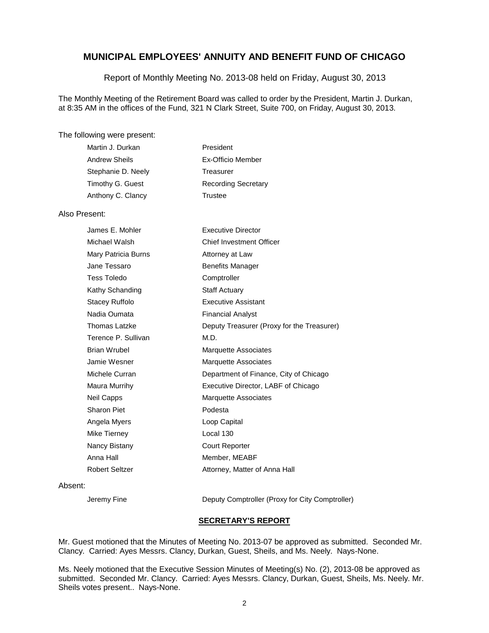Report of Monthly Meeting No. 2013-08 held on Friday, August 30, 2013

The Monthly Meeting of the Retirement Board was called to order by the President, Martin J. Durkan, at 8:35 AM in the offices of the Fund, 321 N Clark Street, Suite 700, on Friday, August 30, 2013.

#### The following were present:

| Martin J. Durkan     | President                  |
|----------------------|----------------------------|
| <b>Andrew Sheils</b> | Ex-Officio Member          |
| Stephanie D. Neely   | Treasurer                  |
| Timothy G. Guest     | <b>Recording Secretary</b> |
| Anthony C. Clancy    | Trustee                    |

#### Also Present:

| James E. Mohler     | <b>Executive Director</b>                  |
|---------------------|--------------------------------------------|
| Michael Walsh       | <b>Chief Investment Officer</b>            |
| Mary Patricia Burns | Attorney at Law                            |
| Jane Tessaro        | <b>Benefits Manager</b>                    |
| Tess Toledo         | Comptroller                                |
| Kathy Schanding     | <b>Staff Actuary</b>                       |
| Stacey Ruffolo      | <b>Executive Assistant</b>                 |
| Nadia Oumata        | <b>Financial Analyst</b>                   |
| Thomas Latzke       | Deputy Treasurer (Proxy for the Treasurer) |
| Terence P. Sullivan | M.D.                                       |
| Brian Wrubel        | <b>Marquette Associates</b>                |
| Jamie Wesner        | <b>Marquette Associates</b>                |
| Michele Curran      | Department of Finance, City of Chicago     |
| Maura Murrihy       | Executive Director, LABF of Chicago        |
| Neil Capps          | <b>Marquette Associates</b>                |
| Sharon Piet         | Podesta                                    |
| Angela Myers        | Loop Capital                               |
| Mike Tierney        | Local 130                                  |
| Nancy Bistany       | <b>Court Reporter</b>                      |
| Anna Hall           | Member, MEABF                              |
| Robert Seltzer      | Attorney, Matter of Anna Hall              |

#### Absent:

Jeremy Fine Deputy Comptroller (Proxy for City Comptroller)

#### **SECRETARY'S REPORT**

Mr. Guest motioned that the Minutes of Meeting No. 2013-07 be approved as submitted. Seconded Mr. Clancy. Carried: Ayes Messrs. Clancy, Durkan, Guest, Sheils, and Ms. Neely. Nays-None.

Ms. Neely motioned that the Executive Session Minutes of Meeting(s) No. (2), 2013-08 be approved as submitted. Seconded Mr. Clancy. Carried: Ayes Messrs. Clancy, Durkan, Guest, Sheils, Ms. Neely. Mr. Sheils votes present.. Nays-None.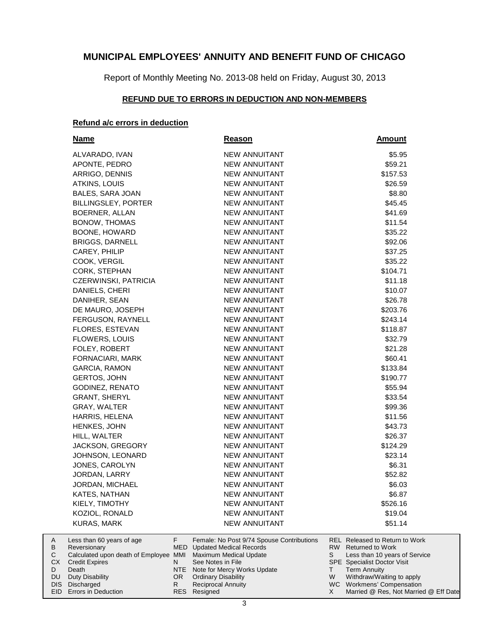Report of Monthly Meeting No. 2013-08 held on Friday, August 30, 2013

### **REFUND DUE TO ERRORS IN DEDUCTION AND NON-MEMBERS**

#### **Refund a/c errors in deduction**

| Name                           | <b>Reason</b>                             | <b>Amount</b>                         |
|--------------------------------|-------------------------------------------|---------------------------------------|
| ALVARADO, IVAN                 | <b>NEW ANNUITANT</b>                      | \$5.95                                |
| APONTE, PEDRO                  | <b>NEW ANNUITANT</b>                      | \$59.21                               |
| ARRIGO, DENNIS                 | <b>NEW ANNUITANT</b>                      | \$157.53                              |
| ATKINS, LOUIS                  | <b>NEW ANNUITANT</b>                      | \$26.59                               |
| BALES, SARA JOAN               | <b>NEW ANNUITANT</b>                      | \$8.80                                |
| BILLINGSLEY, PORTER            | <b>NEW ANNUITANT</b>                      | \$45.45                               |
| BOERNER, ALLAN                 | <b>NEW ANNUITANT</b>                      | \$41.69                               |
| BONOW, THOMAS                  | <b>NEW ANNUITANT</b>                      | \$11.54                               |
| BOONE, HOWARD                  | <b>NEW ANNUITANT</b>                      | \$35.22                               |
| BRIGGS, DARNELL                | <b>NEW ANNUITANT</b>                      | \$92.06                               |
| CAREY, PHILIP                  | <b>NEW ANNUITANT</b>                      | \$37.25                               |
| COOK, VERGIL                   | <b>NEW ANNUITANT</b>                      | \$35.22                               |
| CORK, STEPHAN                  | <b>NEW ANNUITANT</b>                      | \$104.71                              |
| CZERWINSKI, PATRICIA           | NEW ANNUITANT                             | \$11.18                               |
| DANIELS, CHERI                 | NEW ANNUITANT                             | \$10.07                               |
| DANIHER, SEAN                  | <b>NEW ANNUITANT</b>                      | \$26.78                               |
| DE MAURO, JOSEPH               | <b>NEW ANNUITANT</b>                      | \$203.76                              |
| FERGUSON, RAYNELL              | <b>NEW ANNUITANT</b>                      | \$243.14                              |
| <b>FLORES, ESTEVAN</b>         | <b>NEW ANNUITANT</b>                      | \$118.87                              |
| FLOWERS, LOUIS                 | <b>NEW ANNUITANT</b>                      | \$32.79                               |
| FOLEY, ROBERT                  | <b>NEW ANNUITANT</b>                      | \$21.28                               |
| FORNACIARI, MARK               | <b>NEW ANNUITANT</b>                      | \$60.41                               |
| GARCIA, RAMON                  | <b>NEW ANNUITANT</b>                      | \$133.84                              |
| <b>GERTOS, JOHN</b>            | <b>NEW ANNUITANT</b>                      | \$190.77                              |
| GODINEZ, RENATO                | <b>NEW ANNUITANT</b>                      | \$55.94                               |
| <b>GRANT, SHERYL</b>           | <b>NEW ANNUITANT</b>                      | \$33.54                               |
| GRAY, WALTER                   | <b>NEW ANNUITANT</b>                      | \$99.36                               |
| HARRIS, HELENA                 | <b>NEW ANNUITANT</b>                      | \$11.56                               |
| HENKES, JOHN                   | <b>NEW ANNUITANT</b>                      | \$43.73                               |
| HILL, WALTER                   | NEW ANNUITANT                             | \$26.37                               |
| JACKSON, GREGORY               | <b>NEW ANNUITANT</b>                      | \$124.29                              |
| JOHNSON, LEONARD               | <b>NEW ANNUITANT</b>                      | \$23.14                               |
| JONES, CAROLYN                 | <b>NEW ANNUITANT</b>                      | \$6.31                                |
| JORDAN, LARRY                  | <b>NEW ANNUITANT</b>                      | \$52.82                               |
| JORDAN, MICHAEL                | <b>NEW ANNUITANT</b>                      | \$6.03                                |
| KATES, NATHAN                  | <b>NEW ANNUITANT</b>                      | \$6.87                                |
| KIELY, TIMOTHY                 | <b>NEW ANNUITANT</b>                      | \$526.16                              |
| KOZIOL, RONALD                 | NEW ANNUITANT                             | \$19.04                               |
| <b>KURAS, MARK</b>             | NEW ANNUITANT                             | \$51.14                               |
| F<br>Less than 60 years of age | Female: No Post 9/74 Spouse Contributions | <b>REL Released to Return to Work</b> |

|     | Less than 60 years of age                                    |     | Female: No Post 9/74 Spouse Contributions |   | REL Released to Return to Work        |
|-----|--------------------------------------------------------------|-----|-------------------------------------------|---|---------------------------------------|
| B   | Reversionary                                                 |     | MED Updated Medical Records               |   | RW Returned to Work                   |
|     | Calculated upon death of Employee MMI Maximum Medical Update |     |                                           |   | Less than 10 years of Service         |
| CX. | Credit Expires                                               |     | See Notes in File                         |   | <b>SPE</b> Specialist Doctor Visit    |
|     | Death                                                        |     | NTE Note for Mercy Works Update           |   | <b>Term Annuity</b>                   |
| DU. | Duty Disability                                              | OR. | <b>Ordinary Disability</b>                | W | Withdraw/Waiting to apply             |
|     | DIS Discharged                                               |     | <b>Reciprocal Annuity</b>                 |   | WC Workmens' Compensation             |
|     | <b>EID</b> Errors in Deduction                               |     | RES Resigned                              |   | Married @ Res, Not Married @ Eff Date |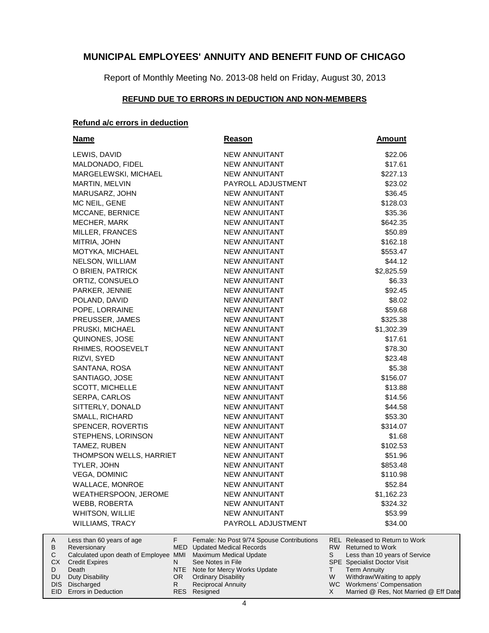Report of Monthly Meeting No. 2013-08 held on Friday, August 30, 2013

### **REFUND DUE TO ERRORS IN DEDUCTION AND NON-MEMBERS**

#### **Refund a/c errors in deduction**

| <b>Name</b>             | <b>Reason</b>        | <b>Amount</b> |
|-------------------------|----------------------|---------------|
| LEWIS, DAVID            | NEW ANNUITANT        | \$22.06       |
| MALDONADO, FIDEL        | <b>NEW ANNUITANT</b> | \$17.61       |
| MARGELEWSKI, MICHAEL    | <b>NEW ANNUITANT</b> | \$227.13      |
| MARTIN, MELVIN          | PAYROLL ADJUSTMENT   | \$23.02       |
| MARUSARZ, JOHN          | <b>NEW ANNUITANT</b> | \$36.45       |
| MC NEIL, GENE           | NEW ANNUITANT        | \$128.03      |
| MCCANE, BERNICE         | <b>NEW ANNUITANT</b> | \$35.36       |
| MECHER, MARK            | <b>NEW ANNUITANT</b> | \$642.35      |
| MILLER, FRANCES         | <b>NEW ANNUITANT</b> | \$50.89       |
| MITRIA, JOHN            | <b>NEW ANNUITANT</b> | \$162.18      |
| MOTYKA, MICHAEL         | <b>NEW ANNUITANT</b> | \$553.47      |
| NELSON, WILLIAM         | <b>NEW ANNUITANT</b> | \$44.12       |
| O BRIEN, PATRICK        | <b>NEW ANNUITANT</b> | \$2,825.59    |
| ORTIZ, CONSUELO         | <b>NEW ANNUITANT</b> | \$6.33        |
| PARKER, JENNIE          | <b>NEW ANNUITANT</b> | \$92.45       |
| POLAND, DAVID           | NEW ANNUITANT        | \$8.02        |
| POPE, LORRAINE          | <b>NEW ANNUITANT</b> | \$59.68       |
| PREUSSER, JAMES         | <b>NEW ANNUITANT</b> | \$325.38      |
| PRUSKI, MICHAEL         | <b>NEW ANNUITANT</b> | \$1,302.39    |
| QUINONES, JOSE          | <b>NEW ANNUITANT</b> | \$17.61       |
| RHIMES, ROOSEVELT       | <b>NEW ANNUITANT</b> | \$78.30       |
| RIZVI, SYED             | <b>NEW ANNUITANT</b> | \$23.48       |
| SANTANA, ROSA           | <b>NEW ANNUITANT</b> | \$5.38        |
| SANTIAGO, JOSE          | <b>NEW ANNUITANT</b> | \$156.07      |
| <b>SCOTT, MICHELLE</b>  | <b>NEW ANNUITANT</b> | \$13.88       |
| SERPA, CARLOS           | <b>NEW ANNUITANT</b> | \$14.56       |
| SITTERLY, DONALD        | <b>NEW ANNUITANT</b> | \$44.58       |
| SMALL, RICHARD          | <b>NEW ANNUITANT</b> | \$53.30       |
| SPENCER, ROVERTIS       | <b>NEW ANNUITANT</b> | \$314.07      |
| STEPHENS, LORINSON      | <b>NEW ANNUITANT</b> | \$1.68        |
| TAMEZ, RUBEN            | <b>NEW ANNUITANT</b> | \$102.53      |
| THOMPSON WELLS, HARRIET | <b>NEW ANNUITANT</b> | \$51.96       |
| TYLER, JOHN             | <b>NEW ANNUITANT</b> | \$853.48      |
| VEGA, DOMINIC           | NEW ANNUITANT        | \$110.98      |
| <b>WALLACE, MONROE</b>  | <b>NEW ANNUITANT</b> | \$52.84       |
| WEATHERSPOON, JEROME    | <b>NEW ANNUITANT</b> | \$1,162.23    |
| WEBB, ROBERTA           | <b>NEW ANNUITANT</b> | \$324.32      |
| WHITSON, WILLIE         | <b>NEW ANNUITANT</b> | \$53.99       |
| WILLIAMS, TRACY         | PAYROLL ADJUSTMENT   | \$34.00       |
|                         |                      |               |

|           | Less than 60 years of age                                    |     | Female: No Post 9/74 Spouse Contributions |   | REL Released to Return to Work        |
|-----------|--------------------------------------------------------------|-----|-------------------------------------------|---|---------------------------------------|
| B         | Reversionary                                                 |     | MED Updated Medical Records               |   | RW Returned to Work                   |
|           | Calculated upon death of Employee MMI Maximum Medical Update |     |                                           |   | Less than 10 years of Service         |
| СX        | <b>Credit Expires</b>                                        |     | See Notes in File                         |   | <b>SPE</b> Specialist Doctor Visit    |
|           | Death                                                        |     | NTE Note for Mercy Works Update           |   | Term Annuity                          |
| <b>DU</b> | Duty Disability                                              | OR. | <b>Ordinary Disability</b>                | W | Withdraw/Waiting to apply             |
|           | DIS Discharged                                               |     | <b>Reciprocal Annuity</b>                 |   | WC Workmens' Compensation             |
|           | <b>EID</b> Errors in Deduction                               |     | RES Resigned                              |   | Married @ Res, Not Married @ Eff Date |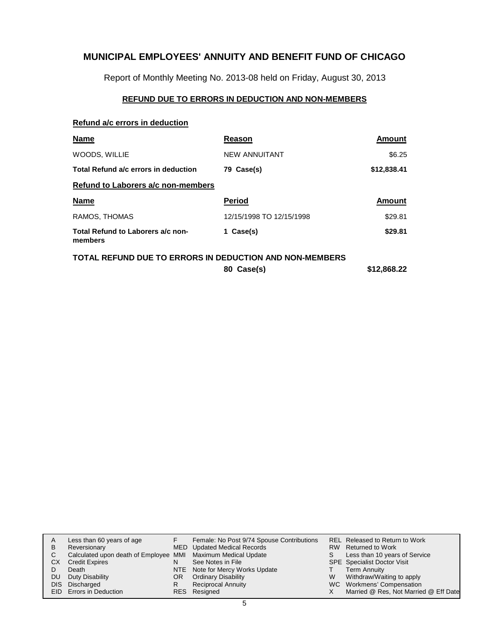Report of Monthly Meeting No. 2013-08 held on Friday, August 30, 2013

### **REFUND DUE TO ERRORS IN DEDUCTION AND NON-MEMBERS**

#### **Refund a/c errors in deduction**

| <b>Name</b>                                             | Reason                   | Amount      |
|---------------------------------------------------------|--------------------------|-------------|
| WOODS, WILLIE                                           | <b>NEW ANNUITANT</b>     | \$6.25      |
| Total Refund a/c errors in deduction                    | 79 Case(s)               | \$12,838.41 |
| Refund to Laborers a/c non-members                      |                          |             |
| <b>Name</b>                                             | <b>Period</b>            | Amount      |
| RAMOS, THOMAS                                           | 12/15/1998 TO 12/15/1998 | \$29.81     |
| Total Refund to Laborers a/c non-<br>members            | 1 Case(s)                | \$29.81     |
| TOTAL REFUND DUE TO ERRORS IN DEDUCTION AND NON-MEMBERS |                          |             |

**80 Case(s) \$12,868.22**

| A    | Less than 60 years of age                                    |    | Female: No Post 9/74 Spouse Contributions |    | <b>REL Released to Return to Work</b> |
|------|--------------------------------------------------------------|----|-------------------------------------------|----|---------------------------------------|
| B    | Reversionary                                                 |    | MED Updated Medical Records               |    | RW Returned to Work                   |
| С    | Calculated upon death of Employee MMI Maximum Medical Update |    |                                           | S. | Less than 10 years of Service         |
| CХ   | <b>Credit Expires</b>                                        | N  | See Notes in File                         |    | <b>SPE</b> Specialist Doctor Visit    |
|      | Death                                                        |    | NTE Note for Mercy Works Update           |    | <b>Term Annuity</b>                   |
| DU   | Duty Disability                                              | OR | <b>Ordinary Disability</b>                | W  | Withdraw/Waiting to apply             |
| DIS. | Discharged                                                   | R  | <b>Reciprocal Annuity</b>                 |    | WC Workmens' Compensation             |
|      | <b>EID</b> Errors in Deduction                               |    | RES Resigned                              |    | Married @ Res, Not Married @ Eff Date |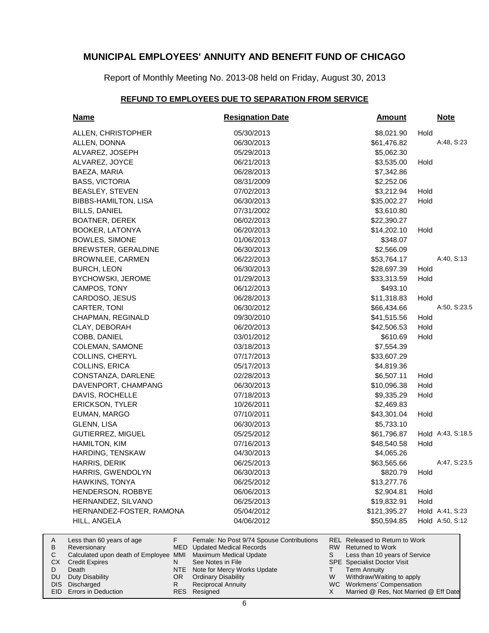Report of Monthly Meeting No. 2013-08 held on Friday, August 30, 2013

### **REFUND TO EMPLOYEES DUE TO SEPARATION FROM SERVICE**

| <u>Name</u>                                                     | <b>Resignation Date</b>                                                     | <b>Amount</b>                                                           | <b>Note</b>       |
|-----------------------------------------------------------------|-----------------------------------------------------------------------------|-------------------------------------------------------------------------|-------------------|
| ALLEN, CHRISTOPHER                                              | 05/30/2013                                                                  | \$8,021.90                                                              | Hold              |
| ALLEN, DONNA                                                    | 06/30/2013                                                                  | \$61,476.82                                                             | A:48, S:23        |
| ALVAREZ, JOSEPH                                                 | 05/29/2013                                                                  | \$5,062.30                                                              |                   |
| ALVAREZ, JOYCE                                                  | 06/21/2013                                                                  | \$3,535.00                                                              | Hold              |
| BAEZA, MARIA                                                    | 06/28/2013                                                                  | \$7,342.86                                                              |                   |
| <b>BASS, VICTORIA</b>                                           | 08/31/2009                                                                  | \$2,252.06                                                              |                   |
| BEASLEY, STEVEN                                                 | 07/02/2013                                                                  | \$3,212.94                                                              | Hold              |
| BIBBS-HAMILTON, LISA                                            | 06/30/2013                                                                  | \$35,002.27                                                             | Hold              |
| <b>BILLS, DANIEL</b>                                            | 07/31/2002                                                                  | \$3,610.80                                                              |                   |
| BOATNER, DEREK                                                  | 06/02/2013                                                                  | \$22,390.27                                                             |                   |
| <b>BOOKER, LATONYA</b>                                          | 06/20/2013                                                                  | \$14,202.10                                                             | Hold              |
| BOWLES, SIMONE                                                  | 01/06/2013                                                                  | \$348.07                                                                |                   |
| BREWSTER, GERALDINE                                             | 06/30/2013                                                                  | \$2,566.09                                                              |                   |
| <b>BROWNLEE, CARMEN</b>                                         | 06/22/2013                                                                  | \$53,764.17                                                             | A:40, S:13        |
| <b>BURCH, LEON</b>                                              | 06/30/2013                                                                  | \$28,697.39                                                             | Hold              |
| BYCHOWSKI, JEROME                                               | 01/29/2013                                                                  | \$33,313.59                                                             | Hold              |
| CAMPOS, TONY                                                    | 06/12/2013                                                                  | \$493.10                                                                |                   |
| CARDOSO, JESUS                                                  | 06/28/2013                                                                  | \$11,318.83                                                             | Hold              |
| CARTER, TONI                                                    | 06/30/2012                                                                  | \$66,434.66                                                             | A:50, S:23.5      |
| CHAPMAN, REGINALD                                               | 09/30/2010                                                                  | \$41,515.56                                                             | Hold              |
| CLAY, DEBORAH                                                   | 06/20/2013                                                                  | \$42,506.53                                                             | Hold              |
| COBB, DANIEL                                                    | 03/01/2012                                                                  | \$610.69                                                                | Hold              |
| <b>COLEMAN, SAMONE</b>                                          | 03/18/2013                                                                  | \$7,554.39                                                              |                   |
| COLLINS, CHERYL                                                 | 07/17/2013                                                                  | \$33,607.29                                                             |                   |
| COLLINS, ERICA                                                  | 05/17/2013                                                                  | \$4,819.36                                                              |                   |
| CONSTANZA, DARLENE                                              | 02/28/2013                                                                  | \$6,507.11                                                              | Hold              |
| DAVENPORT, CHAMPANG                                             | 06/30/2013                                                                  | \$10,096.38                                                             | Hold              |
| DAVIS, ROCHELLE                                                 | 07/18/2013                                                                  | \$9,335.29                                                              | Hold              |
| <b>ERICKSON, TYLER</b>                                          | 10/26/2011                                                                  | \$2,469.83                                                              |                   |
| EUMAN, MARGO                                                    | 07/10/2011                                                                  | \$43,301.04                                                             | Hold              |
| GLENN, LISA                                                     | 06/30/2013                                                                  | \$5,733.10                                                              |                   |
| <b>GUTIERREZ, MIGUEL</b>                                        | 05/25/2012                                                                  | \$61,796.87                                                             | Hold A:43, S:18.5 |
| <b>HAMILTON, KIM</b>                                            | 07/16/2013                                                                  | \$48,540.58                                                             | Hold              |
| HARDING, TENSKAW                                                | 04/30/2013                                                                  | \$4,065.26                                                              |                   |
| HARRIS, DERIK                                                   | 06/25/2013                                                                  | \$63,565.66                                                             | A:47, S:23.5      |
| HARRIS, GWENDOLYN                                               | 06/30/2013                                                                  | \$820.79                                                                | Hold              |
| HAWKINS, TONYA                                                  | 06/25/2012                                                                  | \$13,277.76                                                             |                   |
| HENDERSON, ROBBYE                                               | 06/06/2013                                                                  | \$2,904.81                                                              | Hold              |
| HERNANDEZ, SILVANO                                              | 06/25/2013                                                                  | \$19,832.91                                                             | Hold              |
| HERNANDEZ-FOSTER, RAMONA                                        | 05/04/2012                                                                  | \$121,395.27                                                            | Hold A:41, S:23   |
| HILL, ANGELA                                                    | 04/06/2012                                                                  | \$50,594.85                                                             | Hold A:50, S:12   |
| F.<br>Less than 60 years of age<br>MED<br>Reversionary          | Female: No Post 9/74 Spouse Contributions<br><b>Updated Medical Records</b> | <b>REL Released to Return to Work</b><br><b>Returned to Work</b><br>RW. |                   |
| Calculated upon doath of Employee, MMIL, Maximum Modical Update |                                                                             | Loss than 10 years of Convice<br>C.                                     |                   |

| B            | Reversionary                                                 | MED Updated Medical Records     |   | RW Returned to Work                   |
|--------------|--------------------------------------------------------------|---------------------------------|---|---------------------------------------|
| $\mathsf{C}$ | Calculated upon death of Employee MMI Maximum Medical Update |                                 |   | Less than 10 years of Service         |
|              | <b>CX</b> Credit Expires                                     | See Notes in File               |   | <b>SPE</b> Specialist Doctor Visit    |
| D            | Death                                                        | NTE Note for Mercy Works Update |   | <b>Term Annuity</b>                   |
|              | DU Duty Disability                                           | OR Ordinary Disability          | W | Withdraw/Waiting to apply             |
|              | DIS Discharged                                               | <b>Reciprocal Annuity</b>       |   | WC Workmens' Compensation             |
|              | EID Errors in Deduction                                      | RES Resigned                    |   | Married @ Res, Not Married @ Eff Date |

A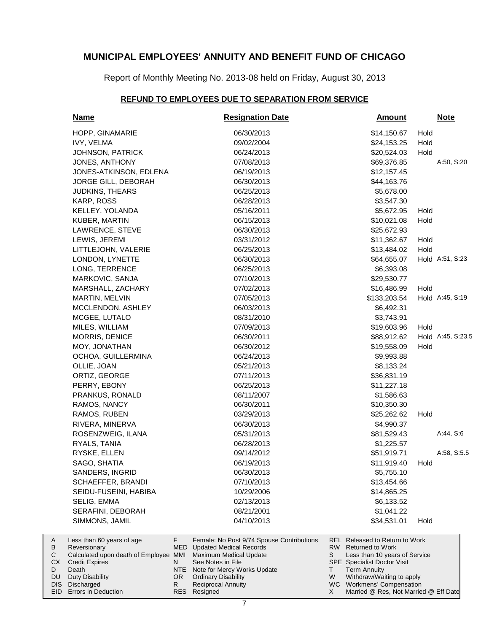Report of Monthly Meeting No. 2013-08 held on Friday, August 30, 2013

#### **REFUND TO EMPLOYEES DUE TO SEPARATION FROM SERVICE**

| <b>Name</b>                                                                                                            | <b>Resignation Date</b>                                                                                                                         | <b>Amount</b>                                                                                                                                 | <b>Note</b>       |
|------------------------------------------------------------------------------------------------------------------------|-------------------------------------------------------------------------------------------------------------------------------------------------|-----------------------------------------------------------------------------------------------------------------------------------------------|-------------------|
| HOPP, GINAMARIE                                                                                                        | 06/30/2013                                                                                                                                      | \$14,150.67<br>Hold                                                                                                                           |                   |
| IVY, VELMA                                                                                                             | 09/02/2004                                                                                                                                      | Hold<br>\$24,153.25                                                                                                                           |                   |
| JOHNSON, PATRICK                                                                                                       | 06/24/2013                                                                                                                                      | Hold<br>\$20,524.03                                                                                                                           |                   |
| JONES, ANTHONY                                                                                                         | 07/08/2013                                                                                                                                      | \$69,376.85                                                                                                                                   | A:50, S:20        |
| JONES-ATKINSON, EDLENA                                                                                                 | 06/19/2013                                                                                                                                      | \$12,157.45                                                                                                                                   |                   |
| JORGE GILL, DEBORAH                                                                                                    | 06/30/2013                                                                                                                                      | \$44,163.76                                                                                                                                   |                   |
| <b>JUDKINS, THEARS</b>                                                                                                 | 06/25/2013                                                                                                                                      | \$5,678.00                                                                                                                                    |                   |
| KARP, ROSS                                                                                                             | 06/28/2013                                                                                                                                      | \$3,547.30                                                                                                                                    |                   |
| KELLEY, YOLANDA                                                                                                        | 05/16/2011                                                                                                                                      | Hold<br>\$5,672.95                                                                                                                            |                   |
| KUBER, MARTIN                                                                                                          | 06/15/2013                                                                                                                                      | Hold<br>\$10,021.08                                                                                                                           |                   |
| LAWRENCE, STEVE                                                                                                        | 06/30/2013                                                                                                                                      | \$25,672.93                                                                                                                                   |                   |
| LEWIS, JEREMI                                                                                                          | 03/31/2012                                                                                                                                      | Hold<br>\$11,362.67                                                                                                                           |                   |
| LITTLEJOHN, VALERIE                                                                                                    | 06/25/2013                                                                                                                                      | Hold<br>\$13,484.02                                                                                                                           |                   |
| LONDON, LYNETTE                                                                                                        | 06/30/2013                                                                                                                                      | \$64,655.07                                                                                                                                   | Hold A:51, S:23   |
| LONG, TERRENCE                                                                                                         | 06/25/2013                                                                                                                                      | \$6,393.08                                                                                                                                    |                   |
| MARKOVIC, SANJA                                                                                                        | 07/10/2013                                                                                                                                      | \$29,530.77                                                                                                                                   |                   |
| MARSHALL, ZACHARY                                                                                                      | 07/02/2013                                                                                                                                      | Hold<br>\$16,486.99                                                                                                                           |                   |
| MARTIN, MELVIN                                                                                                         | 07/05/2013                                                                                                                                      | \$133,203.54                                                                                                                                  | Hold A:45, S:19   |
| MCCLENDON, ASHLEY                                                                                                      | 06/03/2013                                                                                                                                      | \$6,492.31                                                                                                                                    |                   |
| MCGEE, LUTALO                                                                                                          | 08/31/2010                                                                                                                                      | \$3,743.91                                                                                                                                    |                   |
| MILES, WILLIAM                                                                                                         | 07/09/2013                                                                                                                                      | Hold<br>\$19,603.96                                                                                                                           |                   |
| MORRIS, DENICE                                                                                                         | 06/30/2011                                                                                                                                      | \$88,912.62                                                                                                                                   | Hold A:45, S:23.5 |
| MOY, JONATHAN                                                                                                          | 06/30/2012                                                                                                                                      | Hold<br>\$19,558.09                                                                                                                           |                   |
| OCHOA, GUILLERMINA                                                                                                     | 06/24/2013                                                                                                                                      | \$9,993.88                                                                                                                                    |                   |
| OLLIE, JOAN                                                                                                            | 05/21/2013                                                                                                                                      | \$8,133.24                                                                                                                                    |                   |
| ORTIZ, GEORGE                                                                                                          | 07/11/2013                                                                                                                                      | \$36,831.19                                                                                                                                   |                   |
| PERRY, EBONY                                                                                                           | 06/25/2013                                                                                                                                      | \$11,227.18                                                                                                                                   |                   |
| PRANKUS, RONALD                                                                                                        | 08/11/2007                                                                                                                                      | \$1,586.63                                                                                                                                    |                   |
| RAMOS, NANCY                                                                                                           | 06/30/2011                                                                                                                                      | \$10,350.30                                                                                                                                   |                   |
| RAMOS, RUBEN                                                                                                           | 03/29/2013                                                                                                                                      | \$25,262.62<br>Hold                                                                                                                           |                   |
| RIVERA, MINERVA                                                                                                        | 06/30/2013                                                                                                                                      | \$4,990.37                                                                                                                                    |                   |
| ROSENZWEIG, ILANA                                                                                                      | 05/31/2013                                                                                                                                      | \$81,529.43                                                                                                                                   | A:44, S:6         |
| RYALS, TANIA                                                                                                           | 06/28/2013                                                                                                                                      | \$1,225.57                                                                                                                                    |                   |
| RYSKE, ELLEN                                                                                                           | 09/14/2012                                                                                                                                      | \$51,919.71                                                                                                                                   | A:58, S:5.5       |
| SAGO, SHATIA                                                                                                           | 06/19/2013                                                                                                                                      | \$11,919.40<br>Hold                                                                                                                           |                   |
| SANDERS, INGRID                                                                                                        | 06/30/2013                                                                                                                                      | \$5,755.10                                                                                                                                    |                   |
| SCHAEFFER, BRANDI                                                                                                      | 07/10/2013                                                                                                                                      | \$13,454.66                                                                                                                                   |                   |
| SEIDU-FUSEINI, HABIBA                                                                                                  | 10/29/2006                                                                                                                                      | \$14,865.25                                                                                                                                   |                   |
| SELIG, EMMA                                                                                                            | 02/13/2013                                                                                                                                      | \$6,133.52                                                                                                                                    |                   |
| SERAFINI, DEBORAH                                                                                                      | 08/21/2001                                                                                                                                      | \$1,041.22                                                                                                                                    |                   |
| SIMMONS, JAMIL                                                                                                         | 04/10/2013                                                                                                                                      | \$34,531.01<br>Hold                                                                                                                           |                   |
| F.<br>Less than 60 years of age<br>Reversionary<br>Calculated upon death of Employee MMI<br><b>Credit Expires</b><br>N | Female: No Post 9/74 Spouse Contributions<br><b>MED</b><br><b>Updated Medical Records</b><br><b>Maximum Medical Update</b><br>See Notes in File | REL Released to Return to Work<br>RW  <br><b>Returned to Work</b><br>S<br>Less than 10 years of Service<br><b>SPE</b> Specialist Doctor Visit |                   |
| Death                                                                                                                  | NTE<br>Note for Mercy Works Update                                                                                                              | <b>Term Annuity</b><br>Τ                                                                                                                      |                   |
| <b>Duty Disability</b><br>OR.                                                                                          | <b>Ordinary Disability</b>                                                                                                                      | W<br>Withdraw/Waiting to apply                                                                                                                |                   |

Reciprocal Annuity

Resigned RES

R

WC Workmens' Compensation

X

Married @ Res, Not Married @ Eff Date

Discharged DIS EID Errors in Deduction

A B  ${\bf C}$ CX D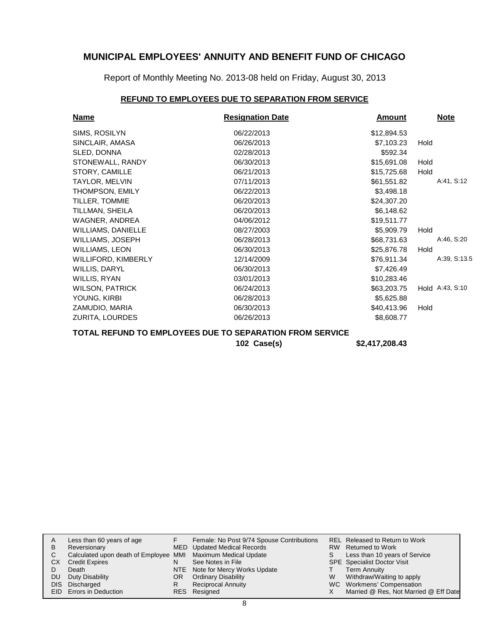Report of Monthly Meeting No. 2013-08 held on Friday, August 30, 2013

### **REFUND TO EMPLOYEES DUE TO SEPARATION FROM SERVICE**

| <b>Name</b>               | <b>Resignation Date</b> | <b>Amount</b> | <b>Note</b>     |
|---------------------------|-------------------------|---------------|-----------------|
| SIMS, ROSILYN             | 06/22/2013              | \$12,894.53   |                 |
| SINCLAIR, AMASA           | 06/26/2013              | \$7,103.23    | Hold            |
| SLED, DONNA               | 02/28/2013              | \$592.34      |                 |
| STONEWALL, RANDY          | 06/30/2013              | \$15,691.08   | Hold            |
| STORY, CAMILLE            | 06/21/2013              | \$15,725.68   | Hold            |
| TAYLOR, MELVIN            | 07/11/2013              | \$61,551.82   | A:41, S:12      |
| THOMPSON, EMILY           | 06/22/2013              | \$3,498.18    |                 |
| TILLER, TOMMIE            | 06/20/2013              | \$24,307.20   |                 |
| TILLMAN, SHEILA           | 06/20/2013              | \$6,148.62    |                 |
| WAGNER, ANDREA            | 04/06/2012              | \$19,511.77   |                 |
| <b>WILLIAMS, DANIELLE</b> | 08/27/2003              | \$5,909.79    | Hold            |
| WILLIAMS, JOSEPH          | 06/28/2013              | \$68,731.63   | A:46, S:20      |
| WILLIAMS, LEON            | 06/30/2013              | \$25,876.78   | Hold            |
| WILLIFORD, KIMBERLY       | 12/14/2009              | \$76,911.34   | A:39, S:13.5    |
| WILLIS, DARYL             | 06/30/2013              | \$7,426.49    |                 |
| WILLIS, RYAN              | 03/01/2013              | \$10,283.46   |                 |
| <b>WILSON, PATRICK</b>    | 06/24/2013              | \$63,203.75   | Hold A:43, S:10 |
| YOUNG, KIRBI              | 06/28/2013              | \$5,625.88    |                 |
| ZAMUDIO, MARIA            | 06/30/2013              | \$40,413.96   | Hold            |
| ZURITA, LOURDES           | 06/26/2013              | \$8,608.77    |                 |

**TOTAL REFUND TO EMPLOYEES DUE TO SEPARATION FROM SERVICE**

**102 Case(s) \$2,417,208.43**

| A   | Less than 60 years of age                                    |    | Female: No Post 9/74 Spouse Contributions |    | REL Released to Return to Work        |
|-----|--------------------------------------------------------------|----|-------------------------------------------|----|---------------------------------------|
| B   | Reversionary                                                 |    | MED Updated Medical Records               |    | RW Returned to Work                   |
|     | Calculated upon death of Employee MMI Maximum Medical Update |    |                                           | S. | Less than 10 years of Service         |
| CХ  | <b>Credit Expires</b>                                        | N  | See Notes in File                         |    | <b>SPE</b> Specialist Doctor Visit    |
|     | Death                                                        |    | NTE Note for Mercy Works Update           |    | Term Annuity                          |
| DU. | Duty Disability                                              | OR | <b>Ordinary Disability</b>                | W  | Withdraw/Waiting to apply             |
|     | DIS Discharged                                               | R  | <b>Reciprocal Annuity</b>                 |    | WC Workmens' Compensation             |
|     | EID Errors in Deduction                                      |    | RES Resigned                              |    | Married @ Res, Not Married @ Eff Date |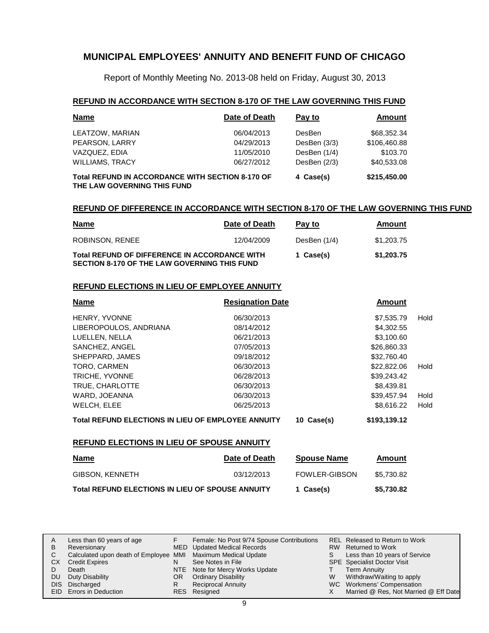Report of Monthly Meeting No. 2013-08 held on Friday, August 30, 2013

#### **REFUND IN ACCORDANCE WITH SECTION 8-170 OF THE LAW GOVERNING THIS FUND**

| <b>Name</b>                                                                     | Date of Death | Pay to         | Amount       |  |
|---------------------------------------------------------------------------------|---------------|----------------|--------------|--|
| LEATZOW, MARIAN                                                                 | 06/04/2013    | DesBen         | \$68,352.34  |  |
| PEARSON, LARRY                                                                  | 04/29/2013    | DesBen (3/3)   | \$106,460.88 |  |
| VAZQUEZ, EDIA                                                                   | 11/05/2010    | DesBen (1/4)   | \$103.70     |  |
| <b>WILLIAMS, TRACY</b>                                                          | 06/27/2012    | DesBen $(2/3)$ | \$40,533.08  |  |
| Total REFUND IN ACCORDANCE WITH SECTION 8-170 OF<br>THE LAW GOVERNING THIS FUND |               | 4 Case(s)      | \$215,450.00 |  |

#### **REFUND OF DIFFERENCE IN ACCORDANCE WITH SECTION 8-170 OF THE LAW GOVERNING THIS FUND**

| <u>Name</u>                                                                                          | Date of Death | Pay to       | Amount     |
|------------------------------------------------------------------------------------------------------|---------------|--------------|------------|
| ROBINSON, RENEE                                                                                      | 12/04/2009    | DesBen (1/4) | \$1,203,75 |
| <b>Total REFUND OF DIFFERENCE IN ACCORDANCE WITH</b><br>SECTION 8-170 OF THE LAW GOVERNING THIS FUND |               | 1 Case(s)    | \$1,203.75 |

#### **REFUND ELECTIONS IN LIEU OF EMPLOYEE ANNUITY**

| <b>Name</b>                                               | <b>Resignation Date</b> |            | Amount       |      |
|-----------------------------------------------------------|-------------------------|------------|--------------|------|
| HENRY, YVONNE                                             | 06/30/2013              |            | \$7,535.79   | Hold |
| LIBEROPOULOS, ANDRIANA                                    | 08/14/2012              |            | \$4,302.55   |      |
| LUELLEN, NELLA                                            | 06/21/2013              |            | \$3,100.60   |      |
| SANCHEZ, ANGEL                                            | 07/05/2013              |            | \$26,860.33  |      |
| SHEPPARD, JAMES                                           | 09/18/2012              |            | \$32,760.40  |      |
| <b>TORO, CARMEN</b>                                       | 06/30/2013              |            | \$22,822,06  | Hold |
| TRICHE, YVONNE                                            | 06/28/2013              |            | \$39,243.42  |      |
| TRUE, CHARLOTTE                                           | 06/30/2013              |            | \$8,439.81   |      |
| WARD, JOEANNA                                             | 06/30/2013              |            | \$39.457.94  | Hold |
| WELCH, ELEE                                               | 06/25/2013              |            | \$8,616.22   | Hold |
| <b>Total REFUND ELECTIONS IN LIEU OF EMPLOYEE ANNUITY</b> |                         | 10 Case(s) | \$193,139.12 |      |

#### **REFUND ELECTIONS IN LIEU OF SPOUSE ANNUITY**

| <u>Name</u>                                             | Date of Death | <b>Spouse Name</b>   | Amount     |
|---------------------------------------------------------|---------------|----------------------|------------|
| GIBSON, KENNETH                                         | 03/12/2013    | <b>FOWLER-GIBSON</b> | \$5.730.82 |
| <b>Total REFUND ELECTIONS IN LIEU OF SPOUSE ANNUITY</b> |               | 1 Case(s)            | \$5,730.82 |

| A   | Less than 60 years of age                                    |    | Female: No Post 9/74 Spouse Contributions |    | REL Released to Return to Work        |
|-----|--------------------------------------------------------------|----|-------------------------------------------|----|---------------------------------------|
| B   | Reversionary                                                 |    | MED Updated Medical Records               |    | RW Returned to Work                   |
|     | Calculated upon death of Employee MMI Maximum Medical Update |    |                                           | S. | Less than 10 years of Service         |
| CХ  | <b>Credit Expires</b>                                        | N  | See Notes in File                         |    | <b>SPE</b> Specialist Doctor Visit    |
|     | Death                                                        |    | NTE Note for Mercy Works Update           |    | Term Annuity                          |
| DU. | Duty Disability                                              | OR | <b>Ordinary Disability</b>                | W  | Withdraw/Waiting to apply             |
|     | DIS Discharged                                               | R  | Reciprocal Annuity                        |    | WC Workmens' Compensation             |
|     | <b>EID</b> Errors in Deduction                               |    | RES Resigned                              |    | Married @ Res, Not Married @ Eff Date |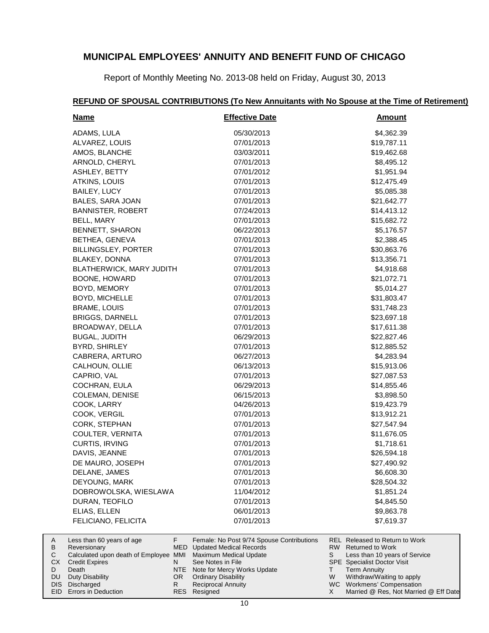Report of Monthly Meeting No. 2013-08 held on Friday, August 30, 2013

# **REFUND OF SPOUSAL CONTRIBUTIONS (To New Annuitants with No Spouse at the Time of Retirement)**

| <b>Name</b>                | <b>Effective Date</b> | <b>Amount</b> |
|----------------------------|-----------------------|---------------|
| ADAMS, LULA                | 05/30/2013            | \$4,362.39    |
| ALVAREZ, LOUIS             | 07/01/2013            | \$19,787.11   |
| AMOS, BLANCHE              | 03/03/2011            | \$19,462.68   |
| ARNOLD, CHERYL             | 07/01/2013            | \$8,495.12    |
| ASHLEY, BETTY              | 07/01/2012            | \$1,951.94    |
| ATKINS, LOUIS              | 07/01/2013            | \$12,475.49   |
| BAILEY, LUCY               | 07/01/2013            | \$5,085.38    |
| BALES, SARA JOAN           | 07/01/2013            | \$21,642.77   |
| <b>BANNISTER, ROBERT</b>   | 07/24/2013            | \$14,413.12   |
| BELL, MARY                 | 07/01/2013            | \$15,682.72   |
| <b>BENNETT, SHARON</b>     | 06/22/2013            | \$5,176.57    |
| BETHEA, GENEVA             | 07/01/2013            | \$2,388.45    |
| <b>BILLINGSLEY, PORTER</b> | 07/01/2013            | \$30,863.76   |
| BLAKEY, DONNA              | 07/01/2013            | \$13,356.71   |
| BLATHERWICK, MARY JUDITH   | 07/01/2013            | \$4,918.68    |
| BOONE, HOWARD              | 07/01/2013            | \$21,072.71   |
| BOYD, MEMORY               | 07/01/2013            | \$5,014.27    |
| BOYD, MICHELLE             | 07/01/2013            | \$31,803.47   |
| <b>BRAME, LOUIS</b>        | 07/01/2013            | \$31,748.23   |
| <b>BRIGGS, DARNELL</b>     | 07/01/2013            | \$23,697.18   |
| BROADWAY, DELLA            | 07/01/2013            | \$17,611.38   |
| <b>BUGAL, JUDITH</b>       | 06/29/2013            | \$22,827.46   |
| BYRD, SHIRLEY              | 07/01/2013            | \$12,885.52   |
| CABRERA, ARTURO            | 06/27/2013            | \$4,283.94    |
| CALHOUN, OLLIE             | 06/13/2013            | \$15,913.06   |
| CAPRIO, VAL                | 07/01/2013            | \$27,087.53   |
| COCHRAN, EULA              | 06/29/2013            | \$14,855.46   |
| <b>COLEMAN, DENISE</b>     | 06/15/2013            | \$3,898.50    |
| COOK, LARRY                | 04/26/2013            | \$19,423.79   |
| COOK, VERGIL               | 07/01/2013            | \$13,912.21   |
| CORK, STEPHAN              | 07/01/2013            | \$27,547.94   |
| COULTER, VERNITA           | 07/01/2013            | \$11,676.05   |
| CURTIS, IRVING             | 07/01/2013            | \$1,718.61    |
| DAVIS, JEANNE              | 07/01/2013            | \$26,594.18   |
| DE MAURO, JOSEPH           | 07/01/2013            | \$27,490.92   |
| DELANE, JAMES              | 07/01/2013            | \$6,608.30    |
| DEYOUNG, MARK              | 07/01/2013            | \$28,504.32   |
| DOBROWOLSKA, WIESLAWA      | 11/04/2012            | \$1,851.24    |
| DURAN, TEOFILO             | 07/01/2013            | \$4,845.50    |
| ELIAS, ELLEN               | 06/01/2013            | \$9,863.78    |
| FELICIANO, FELICITA        | 07/01/2013            | \$7,619.37    |
|                            |                       |               |

|           | Less than 60 years of age                                    |     | Female: No Post 9/74 Spouse Contributions |   | REL Released to Return to Work        |
|-----------|--------------------------------------------------------------|-----|-------------------------------------------|---|---------------------------------------|
| B         | Reversionary                                                 |     | MED Updated Medical Records               |   | RW Returned to Work                   |
|           | Calculated upon death of Employee MMI Maximum Medical Update |     |                                           |   | Less than 10 years of Service         |
| СX        | <b>Credit Expires</b>                                        |     | See Notes in File                         |   | <b>SPE</b> Specialist Doctor Visit    |
|           | Death                                                        |     | NTE Note for Mercy Works Update           |   | Term Annuity                          |
| <b>DU</b> | Duty Disability                                              | OR. | <b>Ordinary Disability</b>                | W | Withdraw/Waiting to apply             |
|           | DIS Discharged                                               |     | <b>Reciprocal Annuity</b>                 |   | WC Workmens' Compensation             |
|           | <b>EID</b> Errors in Deduction                               |     | RES Resigned                              |   | Married @ Res, Not Married @ Eff Date |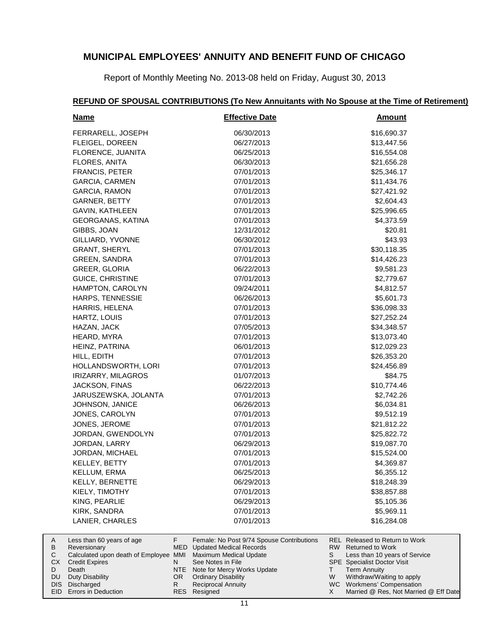Report of Monthly Meeting No. 2013-08 held on Friday, August 30, 2013

HAMPTON, CAROLYN 09/24/2011 64.812.57 HARPS, TENNESSIE 06/26/2013 06/26/2013 \$5,601.73 HARRIS, HELENA 07/01/2013 \$36,098.33 HARTZ, LOUIS 07/01/2013 \$27,252.24 HAZAN, JACK 07/05/2013 \$34,348.57 HEARD, MYRA 67/01/2013 613,073.40 HEINZ, PATRINA 06/01/2013 \$12,029.23 HILL, EDITH 07/01/2013 \$26,353.20 HOLLANDSWORTH, LORI 07/01/2013 \$24,456.89 IRIZARRY, MILAGROS 01/07/2013 \$84.75 JACKSON, FINAS 06/22/2013 \$10,774.46 JARUSZEWSKA, JOLANTA 07/01/2013 \$2,742.26 JOHNSON, JANICE 06/26/2013 06/26/2013 \$6,034.81 JONES, CAROLYN 07/01/2013 07/01/2013 \$9,512.19 JONES, JEROME 07/01/2013 \$21,812.22 JORDAN, GWENDOLYN 07/01/2013 \$25,822.72 JORDAN, LARRY 06/29/2013 \$19,087.70 JORDAN, MICHAEL 07/01/2013 \$15,524.00 KELLEY, BETTY 07/01/2013 \$4,369.87 KELLUM, ERMA 06/25/2013 \$6,355.12 KELLY, BERNETTE 06/29/2013 06/29/2013 \$18,248.39 KIELY, TIMOTHY 07/01/2013 \$38,857.88 KING, PEARLIE 06/29/2013 \$5,105.36 KIRK, SANDRA 07/01/2013 \$5,969.11

#### **Name Effective Date Amount** FERRARELL, JOSEPH 06/30/2013 \$16,690.37 FLEIGEL, DOREEN 06/27/2013 \$13,447.56 FLORENCE, JUANITA 06/25/2013 \$16,554.08 FLORES, ANITA 06/30/2013 \$21,656.28 FRANCIS, PETER 67/01/2013 625,346.17 GARCIA, CARMEN 07/01/2013 \$11,434.76 GARCIA, RAMON 07/01/2013 \$27,421.92 GARNER, BETTY 07/01/2013 \$2,604.43 GAVIN, KATHLEEN 07/01/2013 \$25,996.65 GEORGANAS, KATINA 07/01/2013 \$4,373.59 GIBBS, JOAN 12/31/2012 520.81 GILLIARD, YVONNE 66/30/2012 66/30/2012 GRANT, SHERYL 07/01/2013 \$30,118.35 GREEN, SANDRA 07/01/2013 \$14,426.23 GREER, GLORIA 66/22/2013 66/22/2013 \$9,581.23 GUICE, CHRISTINE 07/01/2013 \$2,779.67

| REFUND OF SPOUSAL CONTRIBUTIONS (To New Annuitants with No Spouse at the Time of Retirement) |  |
|----------------------------------------------------------------------------------------------|--|
|                                                                                              |  |

|      | LANIER, CHARLES                                              |     | 07/01/2013                                |   | \$16,284,08                           |
|------|--------------------------------------------------------------|-----|-------------------------------------------|---|---------------------------------------|
| A    | Less than 60 years of age                                    |     | Female: No Post 9/74 Spouse Contributions |   | <b>REL Released to Return to Work</b> |
| B    | Reversionary                                                 |     | <b>MED</b> Updated Medical Records        |   | RW Returned to Work                   |
| C.   | Calculated upon death of Employee MMI Maximum Medical Update |     |                                           | S | Less than 10 years of Service         |
| СX   | <b>Credit Expires</b>                                        | N   | See Notes in File                         |   | <b>SPE</b> Specialist Doctor Visit    |
|      | Death                                                        | NTE | Note for Mercy Works Update               |   | <b>Term Annuity</b>                   |
| DU.  | Duty Disability                                              | OR. | <b>Ordinary Disability</b>                | W | Withdraw/Waiting to apply             |
| DIS. | Discharged                                                   | R   | <b>Reciprocal Annuity</b>                 |   | WC Workmens' Compensation             |
|      | <b>EID</b> Errors in Deduction                               |     | <b>RES</b> Resigned                       |   | Married @ Res, Not Married @ Eff Date |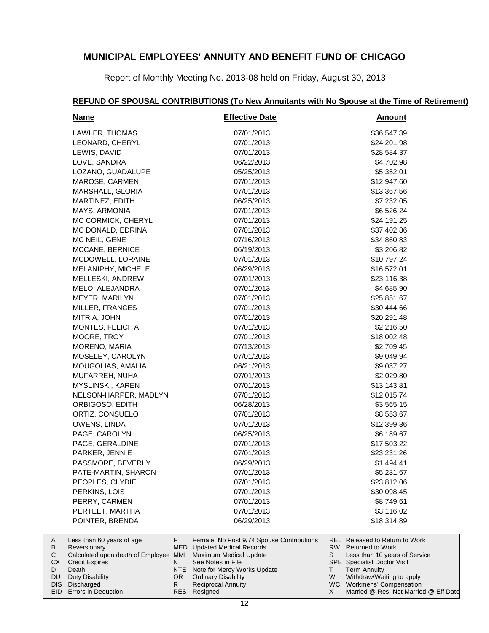Report of Monthly Meeting No. 2013-08 held on Friday, August 30, 2013

#### **Name Effective Date REFUND OF SPOUSAL CONTRIBUTIONS (To New Annuitants with No Spouse at the Time of Retirement) Amount** LAWLER, THOMAS 07/01/2013 \$36,547.39 LEONARD, CHERYL 07/01/2013 \$24,201.98 LEWIS, DAVID 07/01/2013 \$28,584.37 LOVE, SANDRA 06/22/2013 \$4,702.98

| LAWLER, THOMAS        | 07/01/2013 | \$36,547.39 |
|-----------------------|------------|-------------|
| LEONARD, CHERYL       | 07/01/2013 | \$24,201.98 |
| LEWIS, DAVID          | 07/01/2013 | \$28,584.37 |
| LOVE, SANDRA          | 06/22/2013 | \$4,702.98  |
| LOZANO, GUADALUPE     | 05/25/2013 | \$5,352.01  |
| MAROSE, CARMEN        | 07/01/2013 | \$12,947.60 |
| MARSHALL, GLORIA      | 07/01/2013 | \$13,367.56 |
| MARTINEZ, EDITH       | 06/25/2013 | \$7,232.05  |
| MAYS, ARMONIA         | 07/01/2013 | \$6,526.24  |
| MC CORMICK, CHERYL    | 07/01/2013 | \$24,191.25 |
| MC DONALD, EDRINA     | 07/01/2013 | \$37,402.86 |
| MC NEIL, GENE         | 07/16/2013 | \$34,860.83 |
| MCCANE, BERNICE       | 06/19/2013 | \$3,206.82  |
| MCDOWELL, LORAINE     | 07/01/2013 | \$10,797.24 |
| MELANIPHY, MICHELE    | 06/29/2013 | \$16,572.01 |
| MELLESKI, ANDREW      | 07/01/2013 | \$23,116.38 |
| MELO, ALEJANDRA       | 07/01/2013 | \$4,685.90  |
| MEYER, MARILYN        | 07/01/2013 | \$25,851.67 |
| MILLER, FRANCES       | 07/01/2013 | \$30,444.66 |
| MITRIA, JOHN          | 07/01/2013 | \$20,291.48 |
| MONTES, FELICITA      | 07/01/2013 | \$2,216.50  |
| MOORE, TROY           | 07/01/2013 | \$18,002.48 |
| MORENO, MARIA         | 07/13/2013 | \$2,709.45  |
| MOSELEY, CAROLYN      | 07/01/2013 | \$9,049.94  |
| MOUGOLIAS, AMALIA     | 06/21/2013 | \$9,037.27  |
| MUFARREH, NUHA        | 07/01/2013 | \$2,029.80  |
| MYSLINSKI, KAREN      | 07/01/2013 | \$13,143.81 |
| NELSON-HARPER, MADLYN | 07/01/2013 | \$12,015.74 |
| ORBIGOSO, EDITH       | 06/28/2013 | \$3,565.15  |
| ORTIZ, CONSUELO       | 07/01/2013 | \$8,553.67  |
| OWENS, LINDA          | 07/01/2013 | \$12,399.36 |
| PAGE, CAROLYN         | 06/25/2013 | \$6,189.67  |
| PAGE, GERALDINE       | 07/01/2013 | \$17,503.22 |
| PARKER, JENNIE        | 07/01/2013 | \$23,231.26 |
| PASSMORE, BEVERLY     | 06/29/2013 | \$1,494.41  |
| PATE-MARTIN, SHARON   | 07/01/2013 | \$5,231.67  |
| PEOPLES, CLYDIE       | 07/01/2013 | \$23,812.06 |
| PERKINS, LOIS         | 07/01/2013 | \$30,098.45 |
| PERRY, CARMEN         | 07/01/2013 | \$8,749.61  |
| PERTEET, MARTHA       | 07/01/2013 | \$3,116.02  |
| POINTER, BRENDA       | 06/29/2013 | \$18,314.89 |
|                       |            |             |

|    | Less than 60 years of age                                    |     | Female: No Post 9/74 Spouse Contributions |    | REL Released to Return to Work        |
|----|--------------------------------------------------------------|-----|-------------------------------------------|----|---------------------------------------|
| B  | Reversionary                                                 |     | MED Updated Medical Records               |    | RW Returned to Work                   |
|    | Calculated upon death of Employee MMI Maximum Medical Update |     |                                           | S. | Less than 10 years of Service         |
| СX | <b>Credit Expires</b>                                        |     | See Notes in File                         |    | <b>SPE</b> Specialist Doctor Visit    |
|    | Death                                                        |     | NTE Note for Mercy Works Update           |    | <b>Term Annuity</b>                   |
| DU | Duty Disability                                              | OR. | <b>Ordinary Disability</b>                | W  | Withdraw/Waiting to apply             |
|    | DIS Discharged                                               |     | <b>Reciprocal Annuity</b>                 |    | WC Workmens' Compensation             |
|    | <b>EID</b> Errors in Deduction                               |     | RES Resigned                              |    | Married @ Res, Not Married @ Eff Date |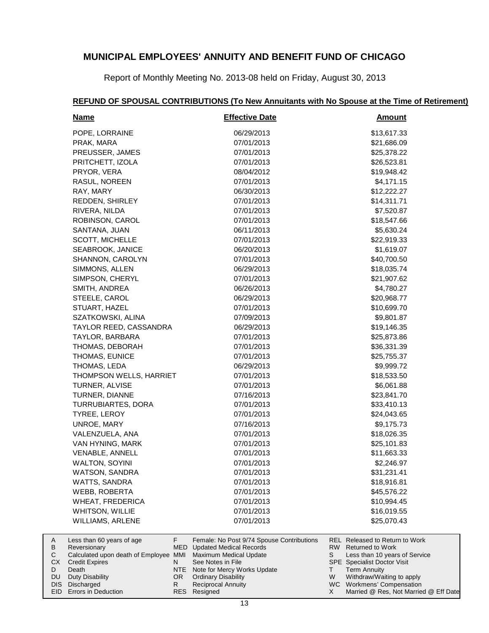Report of Monthly Meeting No. 2013-08 held on Friday, August 30, 2013

#### **Name Effective Date Amount** POPE, LORRAINE 06/29/2013 613.617.33 PRAK, MARA 67/01/2013 621,686.09 321,686.09 PREUSSER, JAMES 07/01/2013 \$25,378.22 PRITCHETT, IZOLA 07/01/2013 \$26,523.81 PRYOR, VERA 08/04/2012 \$19,948.42 RASUL, NOREEN 67/01/2013 64.171.15 RAY, MARY 66/30/2013 66/30/2013 \$12,222.27 REDDEN, SHIRLEY 07/01/2013 \$14,311.71 RIVERA, NILDA 07/01/2013 \$7,520.87 ROBINSON, CAROL 67/01/2013 618,547.66 SANTANA, JUAN 06/11/2013 \$5,630.24 SCOTT, MICHELLE 07/01/2013 07/01/2013 \$22,919.33 SEABROOK, JANICE 06/20/2013 06/20/2013 \$1,619.07 SHANNON, CAROLYN 07/01/2013 07/01/2013 \$40,700.50 SIMMONS, ALLEN 06/29/2013 618,035.74 SIMPSON, CHERYL 07/01/2013 \$21,907.62 SMITH, ANDREA 06/26/2013 \$4,780.27 STEELE, CAROL 06/29/2013 \$20,968.77 STUART, HAZEL 07/01/2013 \$10,699.70 SZATKOWSKI, ALINA 07/09/2013 \$9,801.87 TAYLOR REED, CASSANDRA 06/29/2013 \$19,146.35 TAYLOR, BARBARA 07/01/2013 \$25,873.86 THOMAS, DEBORAH 07/01/2013 07/01/2013 \$36,331.39 THOMAS, EUNICE 07/01/2013 07/01/2013 \$25,755.37 THOMAS, LEDA 06/29/2013 \$9,999.72 THOMPSON WELLS, HARRIET 07/01/2013 318,533.50 TURNER, ALVISE 07/01/2013 \$6,061.88 TURNER, DIANNE 07/16/2013 623,841.70 TURRUBIARTES, DORA 07/01/2013 633,410.13 TYREE, LEROY 07/01/2013 \$24,043.65 UNROE, MARY 67/16/2013 67/16/2013 59,175.73 VALENZUELA, ANA 07/01/2013 \$18,026.35 VAN HYNING, MARK 07/01/2013 07/01/2013 \$25,101.83 VENABLE, ANNELL 07/01/2013 07/01/2013 \$11,663.33 WALTON, SOYINI 07/01/2013 \$2,246.97 WATSON, SANDRA 631,231.41 WATTS, SANDRA 67/01/2013 618,916.81 WEBB, ROBERTA 07/01/2013 \$45,576.22 WHEAT, FREDERICA 07/01/2013 07/01/2013 \$10,994.45 WHITSON, WILLIE 07/01/2013 07/01/2013 \$16.019.55 WILLIAMS, ARLENE 07/01/2013 07/01/2013 \$25,070.43

|    | Less than 60 years of age                                    |     | Female: No Post 9/74 Spouse Contributions |   | REL Released to Return to Work        |
|----|--------------------------------------------------------------|-----|-------------------------------------------|---|---------------------------------------|
| В  | Reversionary                                                 |     | MED Updated Medical Records               |   | RW Returned to Work                   |
|    | Calculated upon death of Employee MMI Maximum Medical Update |     |                                           |   | Less than 10 years of Service         |
| CХ | <b>Credit Expires</b>                                        | N   | See Notes in File                         |   | <b>SPE</b> Specialist Doctor Visit    |
|    | Death                                                        |     | NTE Note for Mercy Works Update           |   | <b>Term Annuity</b>                   |
|    | DU Duty Disability                                           | OR. | Ordinary Disability                       | W | Withdraw/Waiting to apply             |
|    | DIS Discharged                                               |     | <b>Reciprocal Annuity</b>                 |   | WC Workmens' Compensation             |
|    | <b>EID</b> Errors in Deduction                               |     | RES Resigned                              |   | Married @ Res, Not Married @ Eff Date |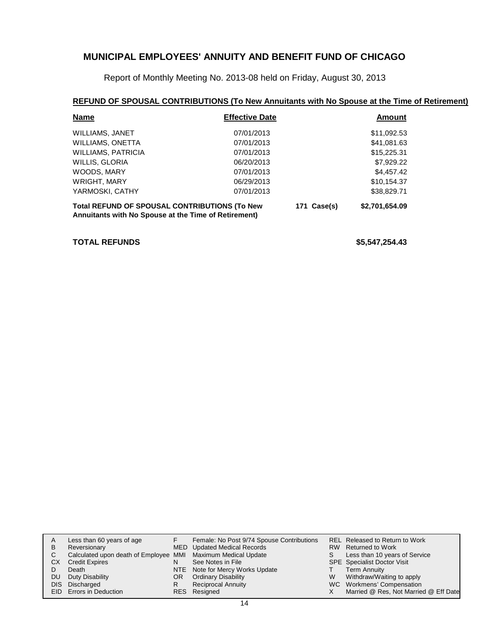Report of Monthly Meeting No. 2013-08 held on Friday, August 30, 2013

#### **REFUND OF SPOUSAL CONTRIBUTIONS (To New Annuitants with No Spouse at the Time of Retirement)**

| <b>Name</b>                                          | <b>Effective Date</b> |             | <b>Amount</b>  |
|------------------------------------------------------|-----------------------|-------------|----------------|
| WILLIAMS, JANET                                      | 07/01/2013            |             | \$11,092.53    |
| <b>WILLIAMS, ONETTA</b>                              | 07/01/2013            |             | \$41,081.63    |
| <b>WILLIAMS, PATRICIA</b>                            | 07/01/2013            |             | \$15,225.31    |
| WILLIS, GLORIA                                       | 06/20/2013            |             | \$7,929.22     |
| WOODS, MARY                                          | 07/01/2013            |             | \$4,457.42     |
| <b>WRIGHT, MARY</b>                                  | 06/29/2013            |             | \$10,154.37    |
| YARMOSKI, CATHY                                      | 07/01/2013            |             | \$38,829.71    |
| <b>Total REFUND OF SPOUSAL CONTRIBUTIONS (To New</b> |                       | 171 Case(s) | \$2,701,654.09 |

**Annuitants with No Spouse at the Time of Retirement)**

#### **TOTAL REFUNDS \$5,547,254.43**

| A   | Less than 60 years of age                                    |     | Female: No Post 9/74 Spouse Contributions |   | REL Released to Return to Work        |
|-----|--------------------------------------------------------------|-----|-------------------------------------------|---|---------------------------------------|
| B   | Reversionary                                                 |     | <b>MED</b> Updated Medical Records        |   | RW Returned to Work                   |
| C.  | Calculated upon death of Employee MMI Maximum Medical Update |     |                                           | S | Less than 10 years of Service         |
| СX  | <b>Credit Expires</b>                                        | N   | See Notes in File                         |   | <b>SPE</b> Specialist Doctor Visit    |
|     | Death                                                        |     | NTE Note for Mercy Works Update           |   | Term Annuity                          |
| DU. | Duty Disability                                              | OR. | <b>Ordinary Disability</b>                | W | Withdraw/Waiting to apply             |
|     | DIS Discharged                                               | R   | <b>Reciprocal Annuity</b>                 |   | WC Workmens' Compensation             |
|     | <b>EID</b> Errors in Deduction                               |     | RES Resigned                              |   | Married @ Res, Not Married @ Eff Date |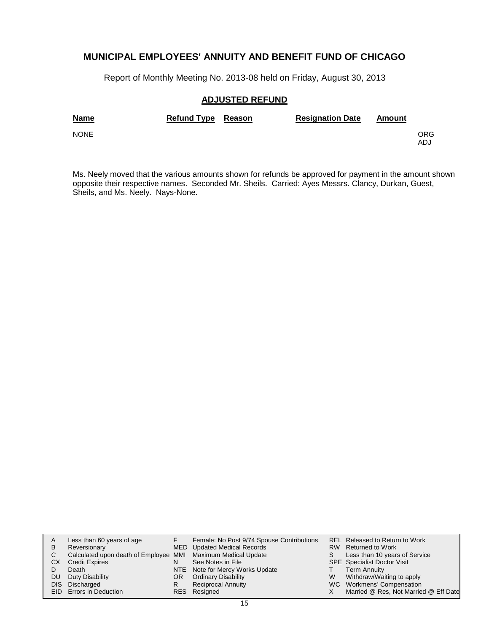Report of Monthly Meeting No. 2013-08 held on Friday, August 30, 2013

#### **ADJUSTED REFUND**

| <b>Name</b> | Refund Type Reason | <b>Resignation Date</b> | Amount |            |
|-------------|--------------------|-------------------------|--------|------------|
| <b>NONE</b> |                    |                         |        | ORG<br>ADJ |

Ms. Neely moved that the various amounts shown for refunds be approved for payment in the amount shown opposite their respective names. Seconded Mr. Sheils. Carried: Ayes Messrs. Clancy, Durkan, Guest, Sheils, and Ms. Neely. Nays-None.

| A    | Less than 60 years of age                                    |    | Female: No Post 9/74 Spouse Contributions |   | <b>REL Released to Return to Work</b> |
|------|--------------------------------------------------------------|----|-------------------------------------------|---|---------------------------------------|
| в    | Reversionary                                                 |    | MED Updated Medical Records               |   | RW Returned to Work                   |
| С    | Calculated upon death of Employee MMI Maximum Medical Update |    |                                           |   | Less than 10 years of Service         |
| CХ   | <b>Credit Expires</b>                                        | N  | See Notes in File                         |   | <b>SPE</b> Specialist Doctor Visit    |
|      | Death                                                        |    | NTE Note for Mercy Works Update           |   | <b>Term Annuity</b>                   |
| DU   | Duty Disability                                              | OR | <b>Ordinary Disability</b>                | W | Withdraw/Waiting to apply             |
| DIS. | Discharged                                                   | R  | <b>Reciprocal Annuity</b>                 |   | WC Workmens' Compensation             |
|      | <b>EID</b> Errors in Deduction                               |    | RES Resigned                              |   | Married @ Res, Not Married @ Eff Date |
|      |                                                              |    |                                           |   |                                       |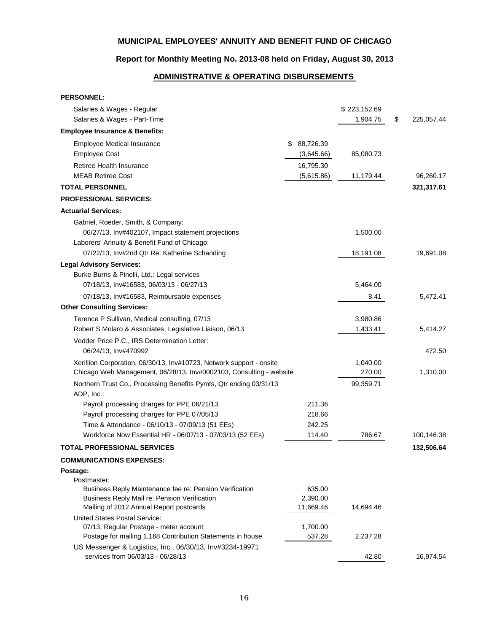# **Report for Monthly Meeting No. 2013-08 held on Friday, August 30, 2013**

# **ADMINISTRATIVE & OPERATING DISBURSEMENTS**

| <b>PERSONNEL:</b>                                                                |                |              |                  |
|----------------------------------------------------------------------------------|----------------|--------------|------------------|
| Salaries & Wages - Regular                                                       |                | \$223,152.69 |                  |
| Salaries & Wages - Part-Time                                                     |                | 1,904.75     | \$<br>225,057.44 |
| <b>Employee Insurance &amp; Benefits:</b>                                        |                |              |                  |
| <b>Employee Medical Insurance</b>                                                | 88,726.39<br>S |              |                  |
| <b>Employee Cost</b>                                                             | (3,645.66)     | 85,080.73    |                  |
| Retiree Health Insurance                                                         | 16,795.30      |              |                  |
| <b>MEAB Retiree Cost</b>                                                         | (5,615.86)     | 11,179.44    | 96,260.17        |
| <b>TOTAL PERSONNEL</b>                                                           |                |              | 321,317.61       |
| <b>PROFESSIONAL SERVICES:</b>                                                    |                |              |                  |
| <b>Actuarial Services:</b>                                                       |                |              |                  |
| Gabriel, Roeder, Smith, & Company:                                               |                |              |                  |
| 06/27/13, Inv#402107, Impact statement projections                               |                | 1,500.00     |                  |
| Laborers' Annuity & Benefit Fund of Chicago:                                     |                |              |                  |
| 07/22/13, Inv#2nd Qtr Re: Katherine Schanding                                    |                | 18,191.08    | 19,691.08        |
| <b>Legal Advisory Services:</b>                                                  |                |              |                  |
| Burke Burns & Pinelli, Ltd.: Legal services                                      |                |              |                  |
| 07/18/13, Inv#16583, 06/03/13 - 06/27/13                                         |                | 5,464.00     |                  |
| 07/18/13, Inv#16583, Reimbursable expenses                                       |                | 8.41         | 5,472.41         |
| <b>Other Consulting Services:</b>                                                |                |              |                  |
| Terence P Sullivan, Medical consulting, 07/13                                    |                | 3,980.86     |                  |
| Robert S Molaro & Associates, Legislative Liaison, 06/13                         |                | 1,433.41     | 5,414.27         |
| Vedder Price P.C., IRS Determination Letter:                                     |                |              |                  |
| 06/24/13, Inv#470992                                                             |                |              | 472.50           |
| Xerillion Corporation, 06/30/13, Inv#10723, Network support - onsite             |                | 1,040.00     |                  |
| Chicago Web Management, 06/28/13, Inv#0002103, Consulting - website              |                | 270.00       | 1,310.00         |
| Northern Trust Co., Processing Benefits Pymts, Qtr ending 03/31/13<br>ADP, Inc.: |                | 99,359.71    |                  |
| Payroll processing charges for PPE 06/21/13                                      | 211.36         |              |                  |
| Payroll processing charges for PPE 07/05/13                                      | 218.66         |              |                  |
| Time & Attendance - 06/10/13 - 07/09/13 (51 EEs)                                 | 242.25         |              |                  |
| Workforce Now Essential HR - 06/07/13 - 07/03/13 (52 EEs)                        | 114.40         | 786.67       | 100,146.38       |
| <b>TOTAL PROFESSIONAL SERVICES</b>                                               |                |              | 132,506.64       |
| <b>COMMUNICATIONS EXPENSES:</b>                                                  |                |              |                  |
| Postage:                                                                         |                |              |                  |
| Postmaster:                                                                      |                |              |                  |
| Business Reply Maintenance fee re: Pension Verification                          | 635.00         |              |                  |
| Business Reply Mail re: Pension Verification                                     | 2,390.00       |              |                  |
| Mailing of 2012 Annual Report postcards<br>United States Postal Service:         | 11,669.46      | 14,694.46    |                  |
| 07/13, Regular Postage - meter account                                           | 1,700.00       |              |                  |
| Postage for mailing 1,168 Contribution Statements in house                       | 537.28         | 2,237.28     |                  |
| US Messenger & Logistics, Inc., 06/30/13, Inv#3234-19971                         |                |              |                  |
| services from 06/03/13 - 06/28/13                                                |                | 42.80        | 16,974.54        |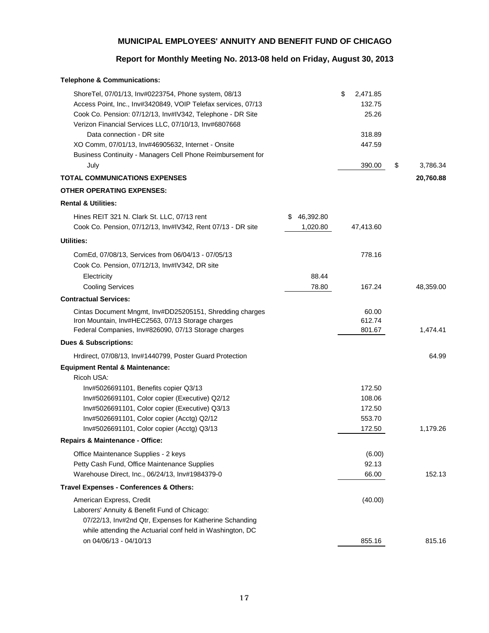# **Report for Monthly Meeting No. 2013-08 held on Friday, August 30, 2013**

| <b>Telephone &amp; Communications:</b>                                                                                |                |                          |                |
|-----------------------------------------------------------------------------------------------------------------------|----------------|--------------------------|----------------|
| ShoreTel, 07/01/13, Inv#0223754, Phone system, 08/13<br>Access Point, Inc., Inv#3420849, VOIP Telefax services, 07/13 |                | \$<br>2,471.85<br>132.75 |                |
| Cook Co. Pension: 07/12/13, Inv#IV342, Telephone - DR Site<br>Verizon Financial Services LLC, 07/10/13, Inv#6807668   |                | 25.26                    |                |
| Data connection - DR site                                                                                             |                | 318.89                   |                |
| XO Comm, 07/01/13, Inv#46905632, Internet - Onsite                                                                    |                | 447.59                   |                |
| Business Continuity - Managers Cell Phone Reimbursement for                                                           |                |                          |                |
| July                                                                                                                  |                | 390.00                   | \$<br>3,786.34 |
| <b>TOTAL COMMUNICATIONS EXPENSES</b>                                                                                  |                |                          | 20,760.88      |
| <b>OTHER OPERATING EXPENSES:</b>                                                                                      |                |                          |                |
| <b>Rental &amp; Utilities:</b>                                                                                        |                |                          |                |
| Hines REIT 321 N. Clark St. LLC, 07/13 rent                                                                           | 46,392.80<br>S |                          |                |
| Cook Co. Pension, 07/12/13, Inv#IV342, Rent 07/13 - DR site                                                           | 1,020.80       | 47,413.60                |                |
| <b>Utilities:</b>                                                                                                     |                |                          |                |
| ComEd, 07/08/13, Services from 06/04/13 - 07/05/13                                                                    |                | 778.16                   |                |
| Cook Co. Pension, 07/12/13, Inv#IV342, DR site                                                                        |                |                          |                |
| Electricity                                                                                                           | 88.44          |                          |                |
| <b>Cooling Services</b>                                                                                               | 78.80          | 167.24                   | 48,359.00      |
| <b>Contractual Services:</b>                                                                                          |                |                          |                |
| Cintas Document Mngmt, Inv#DD25205151, Shredding charges                                                              |                | 60.00                    |                |
| Iron Mountain, Inv#HEC2563, 07/13 Storage charges                                                                     |                | 612.74                   |                |
| Federal Companies, Inv#826090, 07/13 Storage charges                                                                  |                | 801.67                   | 1,474.41       |
| <b>Dues &amp; Subscriptions:</b>                                                                                      |                |                          |                |
| Hrdirect, 07/08/13, Inv#1440799, Poster Guard Protection                                                              |                |                          | 64.99          |
| <b>Equipment Rental &amp; Maintenance:</b>                                                                            |                |                          |                |
| Ricoh USA:                                                                                                            |                |                          |                |
| Inv#5026691101, Benefits copier Q3/13                                                                                 |                | 172.50                   |                |
| Inv#5026691101, Color copier (Executive) Q2/12<br>Inv#5026691101, Color copier (Executive) Q3/13                      |                | 108.06<br>172.50         |                |
| Inv#5026691101, Color copier (Acctg) Q2/12                                                                            |                | 553.70                   |                |
| Inv#5026691101, Color copier (Acctg) Q3/13                                                                            |                | 172.50                   | 1,179.26       |
| <b>Repairs &amp; Maintenance - Office:</b>                                                                            |                |                          |                |
| Office Maintenance Supplies - 2 keys                                                                                  |                | (6.00)                   |                |
| Petty Cash Fund, Office Maintenance Supplies                                                                          |                | 92.13                    |                |
| Warehouse Direct, Inc., 06/24/13, Inv#1984379-0                                                                       |                | 66.00                    | 152.13         |
| Travel Expenses - Conferences & Others:                                                                               |                |                          |                |
| American Express, Credit                                                                                              |                | (40.00)                  |                |
| Laborers' Annuity & Benefit Fund of Chicago:                                                                          |                |                          |                |
| 07/22/13, Inv#2nd Qtr, Expenses for Katherine Schanding                                                               |                |                          |                |
| while attending the Actuarial conf held in Washington, DC                                                             |                |                          |                |
| on 04/06/13 - 04/10/13                                                                                                |                | 855.16                   | 815.16         |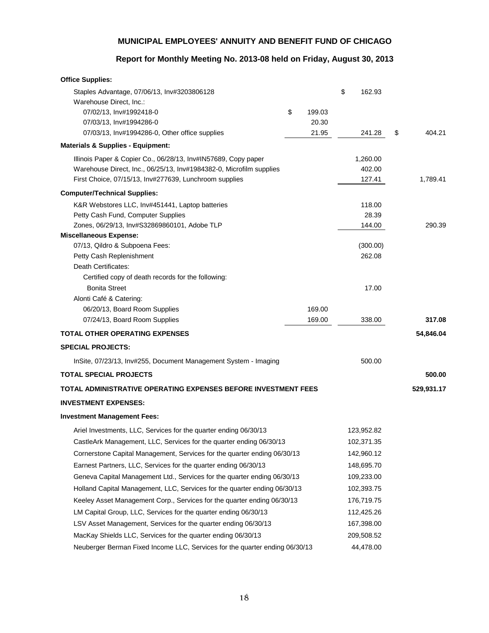# **Report for Monthly Meeting No. 2013-08 held on Friday, August 30, 2013**

| \$<br>162.93<br>Staples Advantage, 07/06/13, Inv#3203806128<br>Warehouse Direct, Inc.:<br>07/02/13, Inv#1992418-0<br>\$<br>199.03<br>20.30<br>07/03/13, Inv#1994286-0<br>21.95<br>404.21<br>07/03/13, Inv#1994286-0, Other office supplies<br>241.28<br>\$<br><b>Materials &amp; Supplies - Equipment:</b><br>Illinois Paper & Copier Co., 06/28/13, Inv#IN57689, Copy paper<br>1,260.00<br>Warehouse Direct, Inc., 06/25/13, Inv#1984382-0, Microfilm supplies<br>402.00<br>127.41<br>First Choice, 07/15/13, Inv#277639, Lunchroom supplies<br>1,789.41<br><b>Computer/Technical Supplies:</b><br>K&R Webstores LLC, Inv#451441, Laptop batteries<br>118.00<br>Petty Cash Fund, Computer Supplies<br>28.39<br>Zones, 06/29/13, Inv#S32869860101, Adobe TLP<br>144.00<br>290.39<br><b>Miscellaneous Expense:</b><br>07/13, Qildro & Subpoena Fees:<br>(300.00)<br>Petty Cash Replenishment<br>262.08<br>Death Certificates:<br>Certified copy of death records for the following:<br><b>Bonita Street</b><br>17.00<br>Alonti Café & Catering:<br>169.00<br>06/20/13, Board Room Supplies<br>169.00<br>338.00<br>07/24/13, Board Room Supplies<br>317.08<br><b>TOTAL OTHER OPERATING EXPENSES</b><br>54,846.04<br><b>SPECIAL PROJECTS:</b><br>500.00<br>InSite, 07/23/13, Inv#255, Document Management System - Imaging<br><b>TOTAL SPECIAL PROJECTS</b><br>500.00<br>TOTAL ADMINISTRATIVE OPERATING EXPENSES BEFORE INVESTMENT FEES<br>529,931.17<br><b>INVESTMENT EXPENSES:</b><br><b>Investment Management Fees:</b><br>Ariel Investments, LLC, Services for the quarter ending 06/30/13<br>123,952.82<br>CastleArk Management, LLC, Services for the quarter ending 06/30/13<br>102,371.35<br>Cornerstone Capital Management, Services for the quarter ending 06/30/13<br>142,960.12<br>Earnest Partners, LLC, Services for the quarter ending 06/30/13<br>148,695.70<br>Geneva Capital Management Ltd., Services for the quarter ending 06/30/13<br>109,233.00<br>Holland Capital Management, LLC, Services for the quarter ending 06/30/13<br>102,393.75<br>Keeley Asset Management Corp., Services for the quarter ending 06/30/13<br>176,719.75<br>LM Capital Group, LLC, Services for the quarter ending 06/30/13<br>112,425.26<br>LSV Asset Management, Services for the quarter ending 06/30/13<br>167,398.00 | <b>Office Supplies:</b> |  |  |  |
|--------------------------------------------------------------------------------------------------------------------------------------------------------------------------------------------------------------------------------------------------------------------------------------------------------------------------------------------------------------------------------------------------------------------------------------------------------------------------------------------------------------------------------------------------------------------------------------------------------------------------------------------------------------------------------------------------------------------------------------------------------------------------------------------------------------------------------------------------------------------------------------------------------------------------------------------------------------------------------------------------------------------------------------------------------------------------------------------------------------------------------------------------------------------------------------------------------------------------------------------------------------------------------------------------------------------------------------------------------------------------------------------------------------------------------------------------------------------------------------------------------------------------------------------------------------------------------------------------------------------------------------------------------------------------------------------------------------------------------------------------------------------------------------------------------------------------------------------------------------------------------------------------------------------------------------------------------------------------------------------------------------------------------------------------------------------------------------------------------------------------------------------------------------------------------------------------------------------------------------------------------------------------------------------------------------------------|-------------------------|--|--|--|
|                                                                                                                                                                                                                                                                                                                                                                                                                                                                                                                                                                                                                                                                                                                                                                                                                                                                                                                                                                                                                                                                                                                                                                                                                                                                                                                                                                                                                                                                                                                                                                                                                                                                                                                                                                                                                                                                                                                                                                                                                                                                                                                                                                                                                                                                                                                          |                         |  |  |  |
|                                                                                                                                                                                                                                                                                                                                                                                                                                                                                                                                                                                                                                                                                                                                                                                                                                                                                                                                                                                                                                                                                                                                                                                                                                                                                                                                                                                                                                                                                                                                                                                                                                                                                                                                                                                                                                                                                                                                                                                                                                                                                                                                                                                                                                                                                                                          |                         |  |  |  |
|                                                                                                                                                                                                                                                                                                                                                                                                                                                                                                                                                                                                                                                                                                                                                                                                                                                                                                                                                                                                                                                                                                                                                                                                                                                                                                                                                                                                                                                                                                                                                                                                                                                                                                                                                                                                                                                                                                                                                                                                                                                                                                                                                                                                                                                                                                                          |                         |  |  |  |
|                                                                                                                                                                                                                                                                                                                                                                                                                                                                                                                                                                                                                                                                                                                                                                                                                                                                                                                                                                                                                                                                                                                                                                                                                                                                                                                                                                                                                                                                                                                                                                                                                                                                                                                                                                                                                                                                                                                                                                                                                                                                                                                                                                                                                                                                                                                          |                         |  |  |  |
|                                                                                                                                                                                                                                                                                                                                                                                                                                                                                                                                                                                                                                                                                                                                                                                                                                                                                                                                                                                                                                                                                                                                                                                                                                                                                                                                                                                                                                                                                                                                                                                                                                                                                                                                                                                                                                                                                                                                                                                                                                                                                                                                                                                                                                                                                                                          |                         |  |  |  |
|                                                                                                                                                                                                                                                                                                                                                                                                                                                                                                                                                                                                                                                                                                                                                                                                                                                                                                                                                                                                                                                                                                                                                                                                                                                                                                                                                                                                                                                                                                                                                                                                                                                                                                                                                                                                                                                                                                                                                                                                                                                                                                                                                                                                                                                                                                                          |                         |  |  |  |
|                                                                                                                                                                                                                                                                                                                                                                                                                                                                                                                                                                                                                                                                                                                                                                                                                                                                                                                                                                                                                                                                                                                                                                                                                                                                                                                                                                                                                                                                                                                                                                                                                                                                                                                                                                                                                                                                                                                                                                                                                                                                                                                                                                                                                                                                                                                          |                         |  |  |  |
|                                                                                                                                                                                                                                                                                                                                                                                                                                                                                                                                                                                                                                                                                                                                                                                                                                                                                                                                                                                                                                                                                                                                                                                                                                                                                                                                                                                                                                                                                                                                                                                                                                                                                                                                                                                                                                                                                                                                                                                                                                                                                                                                                                                                                                                                                                                          |                         |  |  |  |
|                                                                                                                                                                                                                                                                                                                                                                                                                                                                                                                                                                                                                                                                                                                                                                                                                                                                                                                                                                                                                                                                                                                                                                                                                                                                                                                                                                                                                                                                                                                                                                                                                                                                                                                                                                                                                                                                                                                                                                                                                                                                                                                                                                                                                                                                                                                          |                         |  |  |  |
|                                                                                                                                                                                                                                                                                                                                                                                                                                                                                                                                                                                                                                                                                                                                                                                                                                                                                                                                                                                                                                                                                                                                                                                                                                                                                                                                                                                                                                                                                                                                                                                                                                                                                                                                                                                                                                                                                                                                                                                                                                                                                                                                                                                                                                                                                                                          |                         |  |  |  |
|                                                                                                                                                                                                                                                                                                                                                                                                                                                                                                                                                                                                                                                                                                                                                                                                                                                                                                                                                                                                                                                                                                                                                                                                                                                                                                                                                                                                                                                                                                                                                                                                                                                                                                                                                                                                                                                                                                                                                                                                                                                                                                                                                                                                                                                                                                                          |                         |  |  |  |
|                                                                                                                                                                                                                                                                                                                                                                                                                                                                                                                                                                                                                                                                                                                                                                                                                                                                                                                                                                                                                                                                                                                                                                                                                                                                                                                                                                                                                                                                                                                                                                                                                                                                                                                                                                                                                                                                                                                                                                                                                                                                                                                                                                                                                                                                                                                          |                         |  |  |  |
|                                                                                                                                                                                                                                                                                                                                                                                                                                                                                                                                                                                                                                                                                                                                                                                                                                                                                                                                                                                                                                                                                                                                                                                                                                                                                                                                                                                                                                                                                                                                                                                                                                                                                                                                                                                                                                                                                                                                                                                                                                                                                                                                                                                                                                                                                                                          |                         |  |  |  |
|                                                                                                                                                                                                                                                                                                                                                                                                                                                                                                                                                                                                                                                                                                                                                                                                                                                                                                                                                                                                                                                                                                                                                                                                                                                                                                                                                                                                                                                                                                                                                                                                                                                                                                                                                                                                                                                                                                                                                                                                                                                                                                                                                                                                                                                                                                                          |                         |  |  |  |
|                                                                                                                                                                                                                                                                                                                                                                                                                                                                                                                                                                                                                                                                                                                                                                                                                                                                                                                                                                                                                                                                                                                                                                                                                                                                                                                                                                                                                                                                                                                                                                                                                                                                                                                                                                                                                                                                                                                                                                                                                                                                                                                                                                                                                                                                                                                          |                         |  |  |  |
|                                                                                                                                                                                                                                                                                                                                                                                                                                                                                                                                                                                                                                                                                                                                                                                                                                                                                                                                                                                                                                                                                                                                                                                                                                                                                                                                                                                                                                                                                                                                                                                                                                                                                                                                                                                                                                                                                                                                                                                                                                                                                                                                                                                                                                                                                                                          |                         |  |  |  |
|                                                                                                                                                                                                                                                                                                                                                                                                                                                                                                                                                                                                                                                                                                                                                                                                                                                                                                                                                                                                                                                                                                                                                                                                                                                                                                                                                                                                                                                                                                                                                                                                                                                                                                                                                                                                                                                                                                                                                                                                                                                                                                                                                                                                                                                                                                                          |                         |  |  |  |
|                                                                                                                                                                                                                                                                                                                                                                                                                                                                                                                                                                                                                                                                                                                                                                                                                                                                                                                                                                                                                                                                                                                                                                                                                                                                                                                                                                                                                                                                                                                                                                                                                                                                                                                                                                                                                                                                                                                                                                                                                                                                                                                                                                                                                                                                                                                          |                         |  |  |  |
|                                                                                                                                                                                                                                                                                                                                                                                                                                                                                                                                                                                                                                                                                                                                                                                                                                                                                                                                                                                                                                                                                                                                                                                                                                                                                                                                                                                                                                                                                                                                                                                                                                                                                                                                                                                                                                                                                                                                                                                                                                                                                                                                                                                                                                                                                                                          |                         |  |  |  |
|                                                                                                                                                                                                                                                                                                                                                                                                                                                                                                                                                                                                                                                                                                                                                                                                                                                                                                                                                                                                                                                                                                                                                                                                                                                                                                                                                                                                                                                                                                                                                                                                                                                                                                                                                                                                                                                                                                                                                                                                                                                                                                                                                                                                                                                                                                                          |                         |  |  |  |
|                                                                                                                                                                                                                                                                                                                                                                                                                                                                                                                                                                                                                                                                                                                                                                                                                                                                                                                                                                                                                                                                                                                                                                                                                                                                                                                                                                                                                                                                                                                                                                                                                                                                                                                                                                                                                                                                                                                                                                                                                                                                                                                                                                                                                                                                                                                          |                         |  |  |  |
|                                                                                                                                                                                                                                                                                                                                                                                                                                                                                                                                                                                                                                                                                                                                                                                                                                                                                                                                                                                                                                                                                                                                                                                                                                                                                                                                                                                                                                                                                                                                                                                                                                                                                                                                                                                                                                                                                                                                                                                                                                                                                                                                                                                                                                                                                                                          |                         |  |  |  |
|                                                                                                                                                                                                                                                                                                                                                                                                                                                                                                                                                                                                                                                                                                                                                                                                                                                                                                                                                                                                                                                                                                                                                                                                                                                                                                                                                                                                                                                                                                                                                                                                                                                                                                                                                                                                                                                                                                                                                                                                                                                                                                                                                                                                                                                                                                                          |                         |  |  |  |
|                                                                                                                                                                                                                                                                                                                                                                                                                                                                                                                                                                                                                                                                                                                                                                                                                                                                                                                                                                                                                                                                                                                                                                                                                                                                                                                                                                                                                                                                                                                                                                                                                                                                                                                                                                                                                                                                                                                                                                                                                                                                                                                                                                                                                                                                                                                          |                         |  |  |  |
|                                                                                                                                                                                                                                                                                                                                                                                                                                                                                                                                                                                                                                                                                                                                                                                                                                                                                                                                                                                                                                                                                                                                                                                                                                                                                                                                                                                                                                                                                                                                                                                                                                                                                                                                                                                                                                                                                                                                                                                                                                                                                                                                                                                                                                                                                                                          |                         |  |  |  |
|                                                                                                                                                                                                                                                                                                                                                                                                                                                                                                                                                                                                                                                                                                                                                                                                                                                                                                                                                                                                                                                                                                                                                                                                                                                                                                                                                                                                                                                                                                                                                                                                                                                                                                                                                                                                                                                                                                                                                                                                                                                                                                                                                                                                                                                                                                                          |                         |  |  |  |
|                                                                                                                                                                                                                                                                                                                                                                                                                                                                                                                                                                                                                                                                                                                                                                                                                                                                                                                                                                                                                                                                                                                                                                                                                                                                                                                                                                                                                                                                                                                                                                                                                                                                                                                                                                                                                                                                                                                                                                                                                                                                                                                                                                                                                                                                                                                          |                         |  |  |  |
|                                                                                                                                                                                                                                                                                                                                                                                                                                                                                                                                                                                                                                                                                                                                                                                                                                                                                                                                                                                                                                                                                                                                                                                                                                                                                                                                                                                                                                                                                                                                                                                                                                                                                                                                                                                                                                                                                                                                                                                                                                                                                                                                                                                                                                                                                                                          |                         |  |  |  |
|                                                                                                                                                                                                                                                                                                                                                                                                                                                                                                                                                                                                                                                                                                                                                                                                                                                                                                                                                                                                                                                                                                                                                                                                                                                                                                                                                                                                                                                                                                                                                                                                                                                                                                                                                                                                                                                                                                                                                                                                                                                                                                                                                                                                                                                                                                                          |                         |  |  |  |
|                                                                                                                                                                                                                                                                                                                                                                                                                                                                                                                                                                                                                                                                                                                                                                                                                                                                                                                                                                                                                                                                                                                                                                                                                                                                                                                                                                                                                                                                                                                                                                                                                                                                                                                                                                                                                                                                                                                                                                                                                                                                                                                                                                                                                                                                                                                          |                         |  |  |  |
|                                                                                                                                                                                                                                                                                                                                                                                                                                                                                                                                                                                                                                                                                                                                                                                                                                                                                                                                                                                                                                                                                                                                                                                                                                                                                                                                                                                                                                                                                                                                                                                                                                                                                                                                                                                                                                                                                                                                                                                                                                                                                                                                                                                                                                                                                                                          |                         |  |  |  |
|                                                                                                                                                                                                                                                                                                                                                                                                                                                                                                                                                                                                                                                                                                                                                                                                                                                                                                                                                                                                                                                                                                                                                                                                                                                                                                                                                                                                                                                                                                                                                                                                                                                                                                                                                                                                                                                                                                                                                                                                                                                                                                                                                                                                                                                                                                                          |                         |  |  |  |
|                                                                                                                                                                                                                                                                                                                                                                                                                                                                                                                                                                                                                                                                                                                                                                                                                                                                                                                                                                                                                                                                                                                                                                                                                                                                                                                                                                                                                                                                                                                                                                                                                                                                                                                                                                                                                                                                                                                                                                                                                                                                                                                                                                                                                                                                                                                          |                         |  |  |  |
|                                                                                                                                                                                                                                                                                                                                                                                                                                                                                                                                                                                                                                                                                                                                                                                                                                                                                                                                                                                                                                                                                                                                                                                                                                                                                                                                                                                                                                                                                                                                                                                                                                                                                                                                                                                                                                                                                                                                                                                                                                                                                                                                                                                                                                                                                                                          |                         |  |  |  |
|                                                                                                                                                                                                                                                                                                                                                                                                                                                                                                                                                                                                                                                                                                                                                                                                                                                                                                                                                                                                                                                                                                                                                                                                                                                                                                                                                                                                                                                                                                                                                                                                                                                                                                                                                                                                                                                                                                                                                                                                                                                                                                                                                                                                                                                                                                                          |                         |  |  |  |
|                                                                                                                                                                                                                                                                                                                                                                                                                                                                                                                                                                                                                                                                                                                                                                                                                                                                                                                                                                                                                                                                                                                                                                                                                                                                                                                                                                                                                                                                                                                                                                                                                                                                                                                                                                                                                                                                                                                                                                                                                                                                                                                                                                                                                                                                                                                          |                         |  |  |  |
|                                                                                                                                                                                                                                                                                                                                                                                                                                                                                                                                                                                                                                                                                                                                                                                                                                                                                                                                                                                                                                                                                                                                                                                                                                                                                                                                                                                                                                                                                                                                                                                                                                                                                                                                                                                                                                                                                                                                                                                                                                                                                                                                                                                                                                                                                                                          |                         |  |  |  |
| MacKay Shields LLC, Services for the quarter ending 06/30/13<br>209,508.52                                                                                                                                                                                                                                                                                                                                                                                                                                                                                                                                                                                                                                                                                                                                                                                                                                                                                                                                                                                                                                                                                                                                                                                                                                                                                                                                                                                                                                                                                                                                                                                                                                                                                                                                                                                                                                                                                                                                                                                                                                                                                                                                                                                                                                               |                         |  |  |  |
| Neuberger Berman Fixed Income LLC, Services for the quarter ending 06/30/13<br>44,478.00                                                                                                                                                                                                                                                                                                                                                                                                                                                                                                                                                                                                                                                                                                                                                                                                                                                                                                                                                                                                                                                                                                                                                                                                                                                                                                                                                                                                                                                                                                                                                                                                                                                                                                                                                                                                                                                                                                                                                                                                                                                                                                                                                                                                                                 |                         |  |  |  |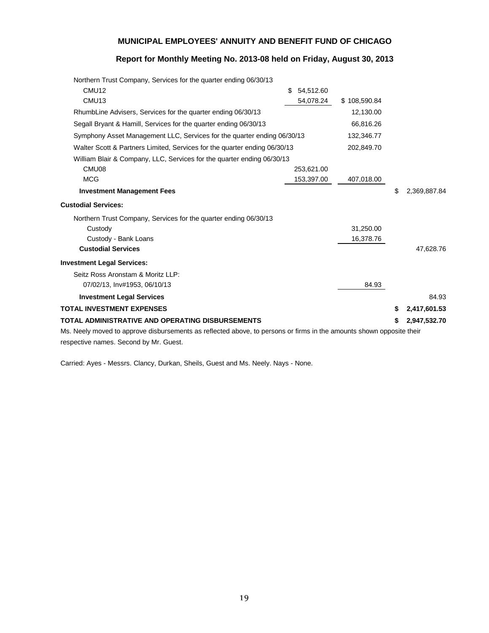# **Report for Monthly Meeting No. 2013-08 held on Friday, August 30, 2013**

| Northern Trust Company, Services for the quarter ending 06/30/13                                                     |                |              |                    |
|----------------------------------------------------------------------------------------------------------------------|----------------|--------------|--------------------|
| CMU <sub>12</sub>                                                                                                    | 54,512.60<br>S |              |                    |
| CMU <sub>13</sub>                                                                                                    | 54,078.24      | \$108,590.84 |                    |
| RhumbLine Advisers, Services for the quarter ending 06/30/13                                                         |                | 12,130.00    |                    |
| Segall Bryant & Hamill, Services for the quarter ending 06/30/13                                                     |                | 66,816.26    |                    |
| Symphony Asset Management LLC, Services for the quarter ending 06/30/13                                              |                | 132,346.77   |                    |
| Walter Scott & Partners Limited, Services for the quarter ending 06/30/13                                            |                | 202,849.70   |                    |
| William Blair & Company, LLC, Services for the quarter ending 06/30/13                                               |                |              |                    |
| CMU08                                                                                                                | 253,621.00     |              |                    |
| <b>MCG</b>                                                                                                           | 153,397.00     | 407,018.00   |                    |
| <b>Investment Management Fees</b>                                                                                    |                |              | \$<br>2,369,887.84 |
| <b>Custodial Services:</b>                                                                                           |                |              |                    |
| Northern Trust Company, Services for the quarter ending 06/30/13                                                     |                |              |                    |
| Custody                                                                                                              |                | 31,250.00    |                    |
| Custody - Bank Loans                                                                                                 |                | 16,378.76    |                    |
| <b>Custodial Services</b>                                                                                            |                |              | 47,628.76          |
| <b>Investment Legal Services:</b>                                                                                    |                |              |                    |
| Seitz Ross Aronstam & Moritz LLP:                                                                                    |                |              |                    |
| 07/02/13, Inv#1953, 06/10/13                                                                                         |                | 84.93        |                    |
| <b>Investment Legal Services</b>                                                                                     |                |              | 84.93              |
| <b>TOTAL INVESTMENT EXPENSES</b>                                                                                     |                |              | \$<br>2,417,601.53 |
| TOTAL ADMINISTRATIVE AND OPERATING DISBURSEMENTS                                                                     |                |              | 2,947,532.70       |
| Ms. Neely moved to approve disbursements as reflected above, to persons or firms in the amounts shown opposite their |                |              |                    |
|                                                                                                                      |                |              |                    |

respective names. Second by Mr. Guest.

Carried: Ayes - Messrs. Clancy, Durkan, Sheils, Guest and Ms. Neely. Nays - None.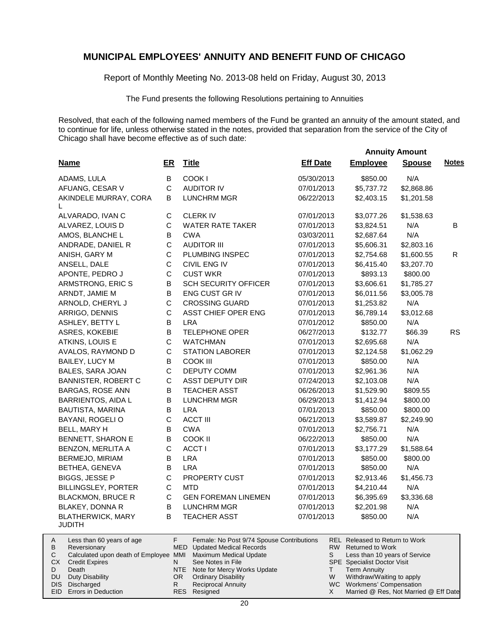Report of Monthly Meeting No. 2013-08 held on Friday, August 30, 2013

The Fund presents the following Resolutions pertaining to Annuities

Resolved, that each of the following named members of the Fund be granted an annuity of the amount stated, and to continue for life, unless otherwise stated in the notes, provided that separation from the service of the City of Chicago shall have become effective as of such date:

 **Annuity Amount**

| <b>Name</b>                               | ER          | <b>Title</b>                | <b>Eff Date</b> | <b>Employee</b> | <b>Spouse</b> | <b>Notes</b> |
|-------------------------------------------|-------------|-----------------------------|-----------------|-----------------|---------------|--------------|
| ADAMS, LULA                               | B           | COOK I                      | 05/30/2013      | \$850.00        | N/A           |              |
| AFUANG, CESAR V                           | C           | <b>AUDITOR IV</b>           | 07/01/2013      | \$5,737.72      | \$2,868.86    |              |
| AKINDELE MURRAY, CORA<br>L                | B           | <b>LUNCHRM MGR</b>          | 06/22/2013      | \$2,403.15      | \$1,201.58    |              |
| ALVARADO, IVAN C                          | $\mathsf C$ | <b>CLERK IV</b>             | 07/01/2013      | \$3,077.26      | \$1,538.63    |              |
| ALVAREZ, LOUIS D                          | С           | <b>WATER RATE TAKER</b>     | 07/01/2013      | \$3,824.51      | N/A           | B            |
| AMOS, BLANCHE L                           | B           | <b>CWA</b>                  | 03/03/2011      | \$2,687.64      | N/A           |              |
| ANDRADE, DANIEL R                         | $\mathsf C$ | <b>AUDITOR III</b>          | 07/01/2013      | \$5,606.31      | \$2,803.16    |              |
| ANISH, GARY M                             | C           | PLUMBING INSPEC             | 07/01/2013      | \$2,754.68      | \$1,600.55    | R.           |
| ANSELL, DALE                              | C           | CIVIL ENG IV                | 07/01/2013      | \$6,415.40      | \$3,207.70    |              |
| APONTE, PEDRO J                           | С           | <b>CUST WKR</b>             | 07/01/2013      | \$893.13        | \$800.00      |              |
| ARMSTRONG, ERIC S                         | B           | <b>SCH SECURITY OFFICER</b> | 07/01/2013      | \$3,606.61      | \$1,785.27    |              |
| ARNDT, JAMIE M                            | B           | ENG CUST GR IV              | 07/01/2013      | \$6,011.56      | \$3,005.78    |              |
| ARNOLD, CHERYL J                          | C           | <b>CROSSING GUARD</b>       | 07/01/2013      | \$1,253.82      | N/A           |              |
| ARRIGO, DENNIS                            | C           | ASST CHIEF OPER ENG         | 07/01/2013      | \$6,789.14      | \$3,012.68    |              |
| ASHLEY, BETTY L                           | B           | <b>LRA</b>                  | 07/01/2012      | \$850.00        | N/A           |              |
| ASRES, KOKEBIE                            | B           | <b>TELEPHONE OPER</b>       | 06/27/2013      | \$132.77        | \$66.39       | <b>RS</b>    |
| ATKINS, LOUIS E                           | C           | <b>WATCHMAN</b>             | 07/01/2013      | \$2,695.68      | N/A           |              |
| AVALOS, RAYMOND D                         | C           | <b>STATION LABORER</b>      | 07/01/2013      | \$2,124.58      | \$1,062.29    |              |
| <b>BAILEY, LUCY M</b>                     | B           | <b>COOK III</b>             | 07/01/2013      | \$850.00        | N/A           |              |
| <b>BALES, SARA JOAN</b>                   | $\mathsf C$ | <b>DEPUTY COMM</b>          | 07/01/2013      | \$2,961.36      | N/A           |              |
| <b>BANNISTER, ROBERT C</b>                | $\mathsf C$ | <b>ASST DEPUTY DIR</b>      | 07/24/2013      | \$2,103.08      | N/A           |              |
| BARGAS, ROSE ANN                          | B           | <b>TEACHER ASST</b>         | 06/26/2013      | \$1,529.90      | \$809.55      |              |
| <b>BARRIENTOS, AIDA L</b>                 | B           | <b>LUNCHRM MGR</b>          | 06/29/2013      | \$1,412.94      | \$800.00      |              |
| <b>BAUTISTA, MARINA</b>                   | В           | <b>LRA</b>                  | 07/01/2013      | \$850.00        | \$800.00      |              |
| BAYANI, ROGELI O                          | $\mathsf C$ | <b>ACCT III</b>             | 06/21/2013      | \$3,589.87      | \$2,249.90    |              |
| BELL, MARY H                              | B           | <b>CWA</b>                  | 07/01/2013      | \$2,756.71      | N/A           |              |
| BENNETT, SHARON E                         | B           | COOK II                     | 06/22/2013      | \$850.00        | N/A           |              |
| BENZON, MERLITA A                         | C           | ACCT I                      | 07/01/2013      | \$3,177.29      | \$1,588.64    |              |
| BERMEJO, MIRIAM                           | B           | <b>LRA</b>                  | 07/01/2013      | \$850.00        | \$800.00      |              |
| BETHEA, GENEVA                            | B           | <b>LRA</b>                  | 07/01/2013      | \$850.00        | N/A           |              |
| <b>BIGGS, JESSE P</b>                     | C           | PROPERTY CUST               | 07/01/2013      | \$2,913.46      | \$1,456.73    |              |
| BILLINGSLEY, PORTER                       | $\mathsf C$ | <b>MTD</b>                  | 07/01/2013      | \$4,210.44      | N/A           |              |
| <b>BLACKMON, BRUCE R</b>                  | $\mathsf C$ | <b>GEN FOREMAN LINEMEN</b>  | 07/01/2013      | \$6,395.69      | \$3,336.68    |              |
| BLAKEY, DONNA R                           | B           | <b>LUNCHRM MGR</b>          | 07/01/2013      | \$2,201.98      | N/A           |              |
| <b>BLATHERWICK, MARY</b><br><b>JUDITH</b> | B           | <b>TEACHER ASST</b>         | 07/01/2013      | \$850.00        | N/A           |              |

| A   | Less than 60 years of age                                    |     | Female: No Post 9/74 Spouse Contributions |   | REL Released to Return to Work        |
|-----|--------------------------------------------------------------|-----|-------------------------------------------|---|---------------------------------------|
| B   | Reversionary                                                 |     | MED Updated Medical Records               |   | RW Returned to Work                   |
|     | Calculated upon death of Employee MMI Maximum Medical Update |     |                                           |   | Less than 10 years of Service         |
| CX. | <b>Credit Expires</b>                                        |     | See Notes in File                         |   | <b>SPE</b> Specialist Doctor Visit    |
|     | Death                                                        |     | NTE Note for Mercy Works Update           |   | <b>Term Annuity</b>                   |
| DU. | Duty Disability                                              | OR. | <b>Ordinary Disability</b>                | W | Withdraw/Waiting to apply             |
|     | DIS Discharged                                               |     | <b>Reciprocal Annuity</b>                 |   | WC Workmens' Compensation             |
|     | <b>EID</b> Errors in Deduction                               |     | RES Resigned                              |   | Married @ Res, Not Married @ Eff Date |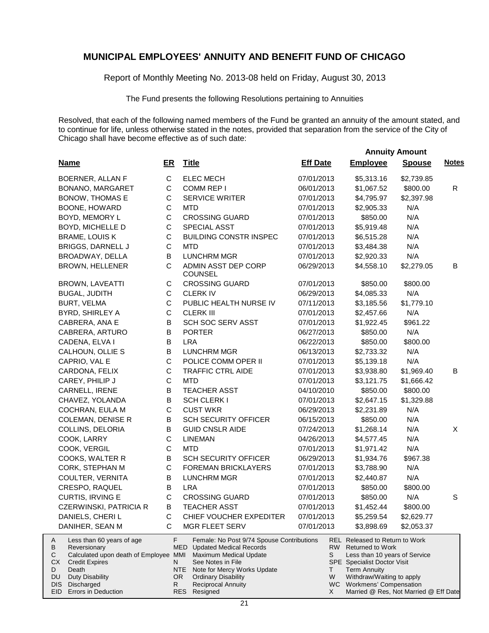Report of Monthly Meeting No. 2013-08 held on Friday, August 30, 2013

The Fund presents the following Resolutions pertaining to Annuities

|                                                                                                                                                                                                                                 |                    |                                                                                                                                                                                                                                                                  | <b>Annuity Amount</b> |                                                                                                                                                                                                                                                               |               |              |
|---------------------------------------------------------------------------------------------------------------------------------------------------------------------------------------------------------------------------------|--------------------|------------------------------------------------------------------------------------------------------------------------------------------------------------------------------------------------------------------------------------------------------------------|-----------------------|---------------------------------------------------------------------------------------------------------------------------------------------------------------------------------------------------------------------------------------------------------------|---------------|--------------|
| <b>Name</b>                                                                                                                                                                                                                     | ER                 | <b>Title</b>                                                                                                                                                                                                                                                     | <b>Eff Date</b>       | <b>Employee</b>                                                                                                                                                                                                                                               | <b>Spouse</b> | <b>Notes</b> |
| <b>BOERNER, ALLAN F</b>                                                                                                                                                                                                         | $\mathsf C$        | <b>ELEC MECH</b>                                                                                                                                                                                                                                                 | 07/01/2013            | \$5,313.16                                                                                                                                                                                                                                                    | \$2,739.85    |              |
| BONANO, MARGARET                                                                                                                                                                                                                | C                  | COMM REP I                                                                                                                                                                                                                                                       | 06/01/2013            | \$1,067.52                                                                                                                                                                                                                                                    | \$800.00      | $\mathsf{R}$ |
| BONOW, THOMAS E                                                                                                                                                                                                                 | C                  | <b>SERVICE WRITER</b>                                                                                                                                                                                                                                            | 07/01/2013            | \$4,795.97                                                                                                                                                                                                                                                    | \$2,397.98    |              |
| BOONE, HOWARD                                                                                                                                                                                                                   | $\mathsf C$        | <b>MTD</b>                                                                                                                                                                                                                                                       | 07/01/2013            | \$2,905.33                                                                                                                                                                                                                                                    | N/A           |              |
| BOYD, MEMORY L                                                                                                                                                                                                                  | $\mathsf C$        | <b>CROSSING GUARD</b>                                                                                                                                                                                                                                            | 07/01/2013            | \$850.00                                                                                                                                                                                                                                                      | N/A           |              |
| BOYD, MICHELLE D                                                                                                                                                                                                                | $\mathsf C$        | SPECIAL ASST                                                                                                                                                                                                                                                     | 07/01/2013            | \$5,919.48                                                                                                                                                                                                                                                    | N/A           |              |
| <b>BRAME, LOUIS K</b>                                                                                                                                                                                                           | $\mathsf C$        | <b>BUILDING CONSTR INSPEC</b>                                                                                                                                                                                                                                    | 07/01/2013            | \$6,515.28                                                                                                                                                                                                                                                    | N/A           |              |
| <b>BRIGGS, DARNELL J</b>                                                                                                                                                                                                        | $\mathsf C$        | <b>MTD</b>                                                                                                                                                                                                                                                       | 07/01/2013            | \$3,484.38                                                                                                                                                                                                                                                    | N/A           |              |
| BROADWAY, DELLA                                                                                                                                                                                                                 | B                  | <b>LUNCHRM MGR</b>                                                                                                                                                                                                                                               | 07/01/2013            | \$2,920.33                                                                                                                                                                                                                                                    | N/A           |              |
| BROWN, HELLENER                                                                                                                                                                                                                 | $\mathsf{C}$       | ADMIN ASST DEP CORP<br><b>COUNSEL</b>                                                                                                                                                                                                                            | 06/29/2013            | \$4,558.10                                                                                                                                                                                                                                                    | \$2,279.05    | В            |
| <b>BROWN, LAVEATTI</b>                                                                                                                                                                                                          | C                  | <b>CROSSING GUARD</b>                                                                                                                                                                                                                                            | 07/01/2013            | \$850.00                                                                                                                                                                                                                                                      | \$800.00      |              |
| <b>BUGAL, JUDITH</b>                                                                                                                                                                                                            | $\mathsf C$        | <b>CLERK IV</b>                                                                                                                                                                                                                                                  | 06/29/2013            | \$4,085.33                                                                                                                                                                                                                                                    | N/A           |              |
| <b>BURT, VELMA</b>                                                                                                                                                                                                              | $\mathsf{C}$       | PUBLIC HEALTH NURSE IV                                                                                                                                                                                                                                           | 07/11/2013            | \$3,185.56                                                                                                                                                                                                                                                    | \$1,779.10    |              |
| BYRD, SHIRLEY A                                                                                                                                                                                                                 | $\mathbf C$        | <b>CLERK III</b>                                                                                                                                                                                                                                                 | 07/01/2013            | \$2,457.66                                                                                                                                                                                                                                                    | N/A           |              |
| CABRERA, ANA E                                                                                                                                                                                                                  | B                  | SCH SOC SERV ASST                                                                                                                                                                                                                                                | 07/01/2013            | \$1,922.45                                                                                                                                                                                                                                                    | \$961.22      |              |
| CABRERA, ARTURO                                                                                                                                                                                                                 | $\sf B$            | <b>PORTER</b>                                                                                                                                                                                                                                                    | 06/27/2013            | \$850.00                                                                                                                                                                                                                                                      | N/A           |              |
| CADENA, ELVA I                                                                                                                                                                                                                  | B                  | <b>LRA</b>                                                                                                                                                                                                                                                       | 06/22/2013            | \$850.00                                                                                                                                                                                                                                                      | \$800.00      |              |
| CALHOUN, OLLIE S                                                                                                                                                                                                                | B                  | <b>LUNCHRM MGR</b>                                                                                                                                                                                                                                               | 06/13/2013            | \$2,733.32                                                                                                                                                                                                                                                    | N/A           |              |
| CAPRIO, VAL E                                                                                                                                                                                                                   | $\mathsf C$        | POLICE COMM OPER II                                                                                                                                                                                                                                              | 07/01/2013            | \$5,139.18                                                                                                                                                                                                                                                    | N/A           |              |
| CARDONA, FELIX                                                                                                                                                                                                                  | $\mathsf C$        | <b>TRAFFIC CTRL AIDE</b>                                                                                                                                                                                                                                         | 07/01/2013            | \$3,938.80                                                                                                                                                                                                                                                    | \$1,969.40    | B            |
| CAREY, PHILIP J                                                                                                                                                                                                                 | $\mathsf C$        | <b>MTD</b>                                                                                                                                                                                                                                                       | 07/01/2013            | \$3,121.75                                                                                                                                                                                                                                                    | \$1,666.42    |              |
| CARNELL, IRENE                                                                                                                                                                                                                  | В                  | <b>TEACHER ASST</b>                                                                                                                                                                                                                                              | 04/10/2010            | \$850.00                                                                                                                                                                                                                                                      | \$800.00      |              |
| CHAVEZ, YOLANDA                                                                                                                                                                                                                 | B                  | <b>SCH CLERK I</b>                                                                                                                                                                                                                                               | 07/01/2013            | \$2,647.15                                                                                                                                                                                                                                                    | \$1,329.88    |              |
| COCHRAN, EULA M                                                                                                                                                                                                                 | $\mathbf C$        | <b>CUST WKR</b>                                                                                                                                                                                                                                                  | 06/29/2013            | \$2,231.89                                                                                                                                                                                                                                                    | N/A           |              |
| <b>COLEMAN, DENISE R</b>                                                                                                                                                                                                        | B                  | <b>SCH SECURITY OFFICER</b>                                                                                                                                                                                                                                      | 06/15/2013            | \$850.00                                                                                                                                                                                                                                                      | N/A           |              |
| COLLINS, DELORIA                                                                                                                                                                                                                | B                  | <b>GUID CNSLR AIDE</b>                                                                                                                                                                                                                                           | 07/24/2013            | \$1,268.14                                                                                                                                                                                                                                                    | N/A           | X            |
| COOK, LARRY                                                                                                                                                                                                                     | $\mathsf C$        | <b>LINEMAN</b>                                                                                                                                                                                                                                                   | 04/26/2013            | \$4,577.45                                                                                                                                                                                                                                                    | N/A           |              |
| COOK, VERGIL                                                                                                                                                                                                                    | $\mathsf C$        | <b>MTD</b>                                                                                                                                                                                                                                                       | 07/01/2013            | \$1,971.42                                                                                                                                                                                                                                                    | N/A           |              |
| COOKS, WALTER R                                                                                                                                                                                                                 | B                  | <b>SCH SECURITY OFFICER</b>                                                                                                                                                                                                                                      | 06/29/2013            | \$1,934.76                                                                                                                                                                                                                                                    | \$967.38      |              |
| CORK, STEPHAN M                                                                                                                                                                                                                 | $\mathsf C$        | <b>FOREMAN BRICKLAYERS</b>                                                                                                                                                                                                                                       | 07/01/2013            | \$3,788.90                                                                                                                                                                                                                                                    | N/A           |              |
| COULTER, VERNITA                                                                                                                                                                                                                | В                  | <b>LUNCHRM MGR</b>                                                                                                                                                                                                                                               | 07/01/2013            | \$2,440.87                                                                                                                                                                                                                                                    | N/A           |              |
| CRESPO, RAQUEL                                                                                                                                                                                                                  | B                  | <b>LRA</b>                                                                                                                                                                                                                                                       | 07/01/2013            | \$850.00                                                                                                                                                                                                                                                      | \$800.00      |              |
| CURTIS, IRVING E                                                                                                                                                                                                                | C                  | <b>CROSSING GUARD</b>                                                                                                                                                                                                                                            | 07/01/2013            | \$850.00                                                                                                                                                                                                                                                      | N/A           | S            |
| CZERWINSKI, PATRICIA R                                                                                                                                                                                                          | $\sf B$            | <b>TEACHER ASST</b>                                                                                                                                                                                                                                              | 07/01/2013            | \$1,452.44                                                                                                                                                                                                                                                    | \$800.00      |              |
| DANIELS, CHERI L                                                                                                                                                                                                                | С                  | CHIEF VOUCHER EXPEDITER                                                                                                                                                                                                                                          | 07/01/2013            | \$5,259.54                                                                                                                                                                                                                                                    | \$2,629.77    |              |
| DANIHER, SEAN M                                                                                                                                                                                                                 | C                  | MGR FLEET SERV                                                                                                                                                                                                                                                   | 07/01/2013            | \$3,898.69                                                                                                                                                                                                                                                    | \$2,053.37    |              |
| Less than 60 years of age<br>A<br>В<br>Reversionary<br>Calculated upon death of Employee MMI<br>С<br>СX<br><b>Credit Expires</b><br>D<br>Death<br><b>Duty Disability</b><br>DU<br>Discharged<br>DIS.<br>EID Errors in Deduction | F<br>N<br>OR.<br>R | Female: No Post 9/74 Spouse Contributions<br><b>MED</b> Updated Medical Records<br>Maximum Medical Update<br>See Notes in File<br><b>NTE</b><br>Note for Mercy Works Update<br><b>Ordinary Disability</b><br><b>Reciprocal Annuity</b><br>Resigned<br><b>RES</b> | S<br>T.<br>W<br>X     | <b>REL Released to Return to Work</b><br>RW Returned to Work<br>Less than 10 years of Service<br><b>SPE</b> Specialist Doctor Visit<br><b>Term Annuity</b><br>Withdraw/Waiting to apply<br>WC Workmens' Compensation<br>Married @ Res, Not Married @ Eff Date |               |              |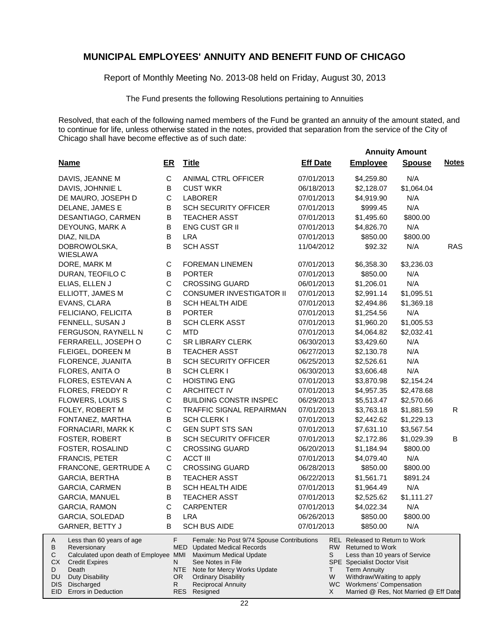Report of Monthly Meeting No. 2013-08 held on Friday, August 30, 2013

The Fund presents the following Resolutions pertaining to Annuities

Resolved, that each of the following named members of the Fund be granted an annuity of the amount stated, and to continue for life, unless otherwise stated in the notes, provided that separation from the service of the City of Chicago shall have become effective as of such date:

 **Annuity Amount**

| <b>Name</b>                                                                                                                                                                                                                | ER           |                                          | <b>Title</b>                                                                                                                                                                                                                     | <b>Eff Date</b> |                   | <b>Employee</b>                                                                                                                                                                                                                                        | <b>Spouse</b> | <b>Notes</b> |
|----------------------------------------------------------------------------------------------------------------------------------------------------------------------------------------------------------------------------|--------------|------------------------------------------|----------------------------------------------------------------------------------------------------------------------------------------------------------------------------------------------------------------------------------|-----------------|-------------------|--------------------------------------------------------------------------------------------------------------------------------------------------------------------------------------------------------------------------------------------------------|---------------|--------------|
| DAVIS, JEANNE M                                                                                                                                                                                                            | $\mathbf C$  |                                          | ANIMAL CTRL OFFICER                                                                                                                                                                                                              | 07/01/2013      |                   | \$4,259.80                                                                                                                                                                                                                                             | N/A           |              |
| DAVIS, JOHNNIE L                                                                                                                                                                                                           | B            |                                          | <b>CUST WKR</b>                                                                                                                                                                                                                  | 06/18/2013      |                   | \$2,128.07                                                                                                                                                                                                                                             | \$1,064.04    |              |
| DE MAURO, JOSEPH D                                                                                                                                                                                                         | $\mathsf C$  |                                          | <b>LABORER</b>                                                                                                                                                                                                                   | 07/01/2013      |                   | \$4,919.90                                                                                                                                                                                                                                             | N/A           |              |
| DELANE, JAMES E                                                                                                                                                                                                            | $\sf B$      |                                          | <b>SCH SECURITY OFFICER</b>                                                                                                                                                                                                      | 07/01/2013      |                   | \$999.45                                                                                                                                                                                                                                               | N/A           |              |
| DESANTIAGO, CARMEN                                                                                                                                                                                                         | $\sf B$      |                                          | <b>TEACHER ASST</b>                                                                                                                                                                                                              | 07/01/2013      |                   | \$1,495.60                                                                                                                                                                                                                                             | \$800.00      |              |
| DEYOUNG, MARK A                                                                                                                                                                                                            | B            |                                          | ENG CUST GR II                                                                                                                                                                                                                   | 07/01/2013      |                   | \$4,826.70                                                                                                                                                                                                                                             | N/A           |              |
| DIAZ, NILDA                                                                                                                                                                                                                | $\sf B$      |                                          | <b>LRA</b>                                                                                                                                                                                                                       | 07/01/2013      |                   | \$850.00                                                                                                                                                                                                                                               | \$800.00      |              |
| DOBROWOLSKA,<br>WIESLAWA                                                                                                                                                                                                   | B            |                                          | <b>SCH ASST</b>                                                                                                                                                                                                                  | 11/04/2012      |                   | \$92.32                                                                                                                                                                                                                                                | N/A           | RAS          |
| DORE, MARK M                                                                                                                                                                                                               | $\mathsf C$  |                                          | <b>FOREMAN LINEMEN</b>                                                                                                                                                                                                           | 07/01/2013      |                   | \$6,358.30                                                                                                                                                                                                                                             | \$3,236.03    |              |
| DURAN, TEOFILO C                                                                                                                                                                                                           | $\sf B$      |                                          | <b>PORTER</b>                                                                                                                                                                                                                    | 07/01/2013      |                   | \$850.00                                                                                                                                                                                                                                               | N/A           |              |
| ELIAS, ELLEN J                                                                                                                                                                                                             | $\mathsf C$  |                                          | <b>CROSSING GUARD</b>                                                                                                                                                                                                            | 06/01/2013      |                   | \$1,206.01                                                                                                                                                                                                                                             | N/A           |              |
| ELLIOTT, JAMES M                                                                                                                                                                                                           | $\mathsf C$  |                                          | <b>CONSUMER INVESTIGATOR II</b>                                                                                                                                                                                                  | 07/01/2013      |                   | \$2,991.14                                                                                                                                                                                                                                             | \$1,095.51    |              |
| EVANS, CLARA                                                                                                                                                                                                               | $\sf B$      |                                          | <b>SCH HEALTH AIDE</b>                                                                                                                                                                                                           | 07/01/2013      |                   | \$2,494.86                                                                                                                                                                                                                                             | \$1,369.18    |              |
| FELICIANO, FELICITA                                                                                                                                                                                                        | $\sf B$      |                                          | <b>PORTER</b>                                                                                                                                                                                                                    | 07/01/2013      |                   | \$1,254.56                                                                                                                                                                                                                                             | N/A           |              |
| FENNELL, SUSAN J                                                                                                                                                                                                           | $\sf B$      |                                          | SCH CLERK ASST                                                                                                                                                                                                                   | 07/01/2013      |                   | \$1,960.20                                                                                                                                                                                                                                             | \$1,005.53    |              |
| FERGUSON, RAYNELL N                                                                                                                                                                                                        | $\mathsf C$  |                                          | <b>MTD</b>                                                                                                                                                                                                                       | 07/01/2013      |                   | \$4,064.82                                                                                                                                                                                                                                             | \$2,032.41    |              |
| FERRARELL, JOSEPH O                                                                                                                                                                                                        | $\mathsf C$  |                                          | <b>SR LIBRARY CLERK</b>                                                                                                                                                                                                          | 06/30/2013      |                   | \$3,429.60                                                                                                                                                                                                                                             | N/A           |              |
| FLEIGEL, DOREEN M                                                                                                                                                                                                          | B            |                                          | <b>TEACHER ASST</b>                                                                                                                                                                                                              | 06/27/2013      |                   | \$2,130.78                                                                                                                                                                                                                                             | N/A           |              |
| FLORENCE, JUANITA                                                                                                                                                                                                          | B            |                                          | <b>SCH SECURITY OFFICER</b>                                                                                                                                                                                                      | 06/25/2013      |                   | \$2,526.61                                                                                                                                                                                                                                             | N/A           |              |
| FLORES, ANITA O                                                                                                                                                                                                            | B            |                                          | <b>SCH CLERK I</b>                                                                                                                                                                                                               | 06/30/2013      |                   | \$3,606.48                                                                                                                                                                                                                                             | N/A           |              |
| FLORES, ESTEVAN A                                                                                                                                                                                                          | $\mathsf C$  |                                          | <b>HOISTING ENG</b>                                                                                                                                                                                                              | 07/01/2013      |                   | \$3,870.98                                                                                                                                                                                                                                             | \$2,154.24    |              |
| FLORES, FREDDY R                                                                                                                                                                                                           | $\mathsf C$  |                                          | <b>ARCHITECT IV</b>                                                                                                                                                                                                              | 07/01/2013      |                   | \$4,957.35                                                                                                                                                                                                                                             | \$2,478.68    |              |
| FLOWERS, LOUIS S                                                                                                                                                                                                           | $\mathsf C$  |                                          | <b>BUILDING CONSTR INSPEC</b>                                                                                                                                                                                                    | 06/29/2013      |                   | \$5,513.47                                                                                                                                                                                                                                             | \$2,570.66    |              |
| FOLEY, ROBERT M                                                                                                                                                                                                            | $\mathsf C$  |                                          | TRAFFIC SIGNAL REPAIRMAN                                                                                                                                                                                                         | 07/01/2013      |                   | \$3,763.18                                                                                                                                                                                                                                             | \$1,881.59    | R            |
| FONTANEZ, MARTHA                                                                                                                                                                                                           | В            |                                          | <b>SCH CLERK I</b>                                                                                                                                                                                                               | 07/01/2013      |                   | \$2,442.62                                                                                                                                                                                                                                             | \$1,229.13    |              |
| FORNACIARI, MARK K                                                                                                                                                                                                         | $\mathsf C$  |                                          | <b>GEN SUPT STS SAN</b>                                                                                                                                                                                                          | 07/01/2013      |                   | \$7,631.10                                                                                                                                                                                                                                             | \$3,567.54    |              |
| FOSTER, ROBERT                                                                                                                                                                                                             | $\sf B$      |                                          | <b>SCH SECURITY OFFICER</b>                                                                                                                                                                                                      | 07/01/2013      |                   | \$2,172.86                                                                                                                                                                                                                                             | \$1,029.39    | В            |
| FOSTER, ROSALIND                                                                                                                                                                                                           | $\mathsf C$  |                                          | <b>CROSSING GUARD</b>                                                                                                                                                                                                            | 06/20/2013      |                   | \$1,184.94                                                                                                                                                                                                                                             | \$800.00      |              |
| <b>FRANCIS, PETER</b>                                                                                                                                                                                                      | $\mathsf C$  |                                          | <b>ACCT III</b>                                                                                                                                                                                                                  | 07/01/2013      |                   | \$4,079.40                                                                                                                                                                                                                                             | N/A           |              |
| FRANCONE, GERTRUDE A                                                                                                                                                                                                       | C            |                                          | <b>CROSSING GUARD</b>                                                                                                                                                                                                            | 06/28/2013      |                   | \$850.00                                                                                                                                                                                                                                               | \$800.00      |              |
| GARCIA, BERTHA                                                                                                                                                                                                             | B            |                                          | <b>TEACHER ASST</b>                                                                                                                                                                                                              | 06/22/2013      |                   | \$1,561.71                                                                                                                                                                                                                                             | \$891.24      |              |
| GARCIA, CARMEN                                                                                                                                                                                                             | B            |                                          | <b>SCH HEALTH AIDE</b>                                                                                                                                                                                                           | 07/01/2013      |                   | \$1,964.49                                                                                                                                                                                                                                             | N/A           |              |
| <b>GARCIA, MANUEL</b>                                                                                                                                                                                                      | B            |                                          | <b>TEACHER ASST</b>                                                                                                                                                                                                              | 07/01/2013      |                   | \$2,525.62                                                                                                                                                                                                                                             | \$1,111.27    |              |
| GARCIA, RAMON                                                                                                                                                                                                              | $\mathsf{C}$ |                                          | <b>CARPENTER</b>                                                                                                                                                                                                                 | 07/01/2013      |                   | \$4,022.34                                                                                                                                                                                                                                             | N/A           |              |
| GARCIA, SOLEDAD                                                                                                                                                                                                            | в            |                                          | LRA                                                                                                                                                                                                                              | 06/26/2013      |                   | \$850.00                                                                                                                                                                                                                                               | \$800.00      |              |
| GARNER, BETTY J                                                                                                                                                                                                            | B            |                                          | <b>SCH BUS AIDE</b>                                                                                                                                                                                                              | 07/01/2013      |                   | \$850.00                                                                                                                                                                                                                                               | N/A           |              |
| Less than 60 years of age<br>A<br>Reversionary<br>В<br>Calculated upon death of Employee MMI<br>С<br>СX<br><b>Credit Expires</b><br>Death<br>D<br>Duty Disability<br>DU.<br>Discharged<br>DIS I<br>EID Errors in Deduction |              | F.<br>MED<br>N<br>NTE<br>OR.<br>R<br>RES | Female: No Post 9/74 Spouse Contributions<br><b>Updated Medical Records</b><br>Maximum Medical Update<br>See Notes in File<br>Note for Mercy Works Update<br><b>Ordinary Disability</b><br><b>Reciprocal Annuity</b><br>Resigned |                 | S<br>T.<br>W<br>X | REL Released to Return to Work<br>RW Returned to Work<br>Less than 10 years of Service<br><b>SPE</b> Specialist Doctor Visit<br><b>Term Annuity</b><br>Withdraw/Waiting to apply<br>WC Workmens' Compensation<br>Married @ Res, Not Married @ Eff Date |               |              |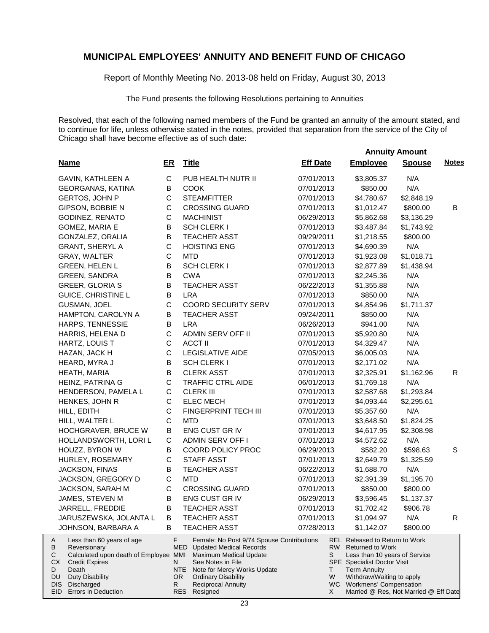Report of Monthly Meeting No. 2013-08 held on Friday, August 30, 2013

The Fund presents the following Resolutions pertaining to Annuities

|                                                                                                                                                                                                     |                |                                                                                                                                                                                                                                        |                     | <b>Annuity Amount</b>                                                                                                                                                                                                    |               |              |
|-----------------------------------------------------------------------------------------------------------------------------------------------------------------------------------------------------|----------------|----------------------------------------------------------------------------------------------------------------------------------------------------------------------------------------------------------------------------------------|---------------------|--------------------------------------------------------------------------------------------------------------------------------------------------------------------------------------------------------------------------|---------------|--------------|
| <b>Name</b>                                                                                                                                                                                         | ER             | <b>Title</b>                                                                                                                                                                                                                           | <b>Eff Date</b>     | <b>Employee</b>                                                                                                                                                                                                          | <b>Spouse</b> | <b>Notes</b> |
| GAVIN, KATHLEEN A                                                                                                                                                                                   | $\mathbf C$    | PUB HEALTH NUTR II                                                                                                                                                                                                                     | 07/01/2013          | \$3,805.37                                                                                                                                                                                                               | N/A           |              |
| GEORGANAS, KATINA                                                                                                                                                                                   | В              | <b>COOK</b>                                                                                                                                                                                                                            | 07/01/2013          | \$850.00                                                                                                                                                                                                                 | N/A           |              |
| GERTOS, JOHN P                                                                                                                                                                                      | $\mathsf{C}$   | <b>STEAMFITTER</b>                                                                                                                                                                                                                     | 07/01/2013          | \$4,780.67                                                                                                                                                                                                               | \$2,848.19    |              |
| GIPSON, BOBBIE N                                                                                                                                                                                    | C              | <b>CROSSING GUARD</b>                                                                                                                                                                                                                  | 07/01/2013          | \$1,012.47                                                                                                                                                                                                               | \$800.00      | B            |
| GODINEZ, RENATO                                                                                                                                                                                     | $\mathsf{C}$   | <b>MACHINIST</b>                                                                                                                                                                                                                       | 06/29/2013          | \$5,862.68                                                                                                                                                                                                               | \$3,136.29    |              |
| GOMEZ, MARIA E                                                                                                                                                                                      | B              | <b>SCH CLERK I</b>                                                                                                                                                                                                                     | 07/01/2013          | \$3,487.84                                                                                                                                                                                                               | \$1,743.92    |              |
| GONZALEZ, ORALIA                                                                                                                                                                                    | B              | <b>TEACHER ASST</b>                                                                                                                                                                                                                    | 09/29/2011          | \$1,218.55                                                                                                                                                                                                               | \$800.00      |              |
| <b>GRANT, SHERYL A</b>                                                                                                                                                                              | $\mathsf{C}$   | <b>HOISTING ENG</b>                                                                                                                                                                                                                    | 07/01/2013          | \$4,690.39                                                                                                                                                                                                               | N/A           |              |
| GRAY, WALTER                                                                                                                                                                                        | $\mathsf{C}$   | <b>MTD</b>                                                                                                                                                                                                                             | 07/01/2013          | \$1,923.08                                                                                                                                                                                                               | \$1,018.71    |              |
| <b>GREEN, HELEN L</b>                                                                                                                                                                               | B              | <b>SCH CLERK I</b>                                                                                                                                                                                                                     | 07/01/2013          | \$2,877.89                                                                                                                                                                                                               | \$1,438.94    |              |
| GREEN, SANDRA                                                                                                                                                                                       | B              | <b>CWA</b>                                                                                                                                                                                                                             | 07/01/2013          | \$2,245.36                                                                                                                                                                                                               | N/A           |              |
| <b>GREER, GLORIA S</b>                                                                                                                                                                              | B              | <b>TEACHER ASST</b>                                                                                                                                                                                                                    | 06/22/2013          | \$1,355.88                                                                                                                                                                                                               | N/A           |              |
| <b>GUICE, CHRISTINE L</b>                                                                                                                                                                           | В              | <b>LRA</b>                                                                                                                                                                                                                             | 07/01/2013          | \$850.00                                                                                                                                                                                                                 | N/A           |              |
| GUSMAN, JOEL                                                                                                                                                                                        | $\mathsf{C}$   | <b>COORD SECURITY SERV</b>                                                                                                                                                                                                             | 07/01/2013          | \$4,854.96                                                                                                                                                                                                               | \$1,711.37    |              |
| HAMPTON, CAROLYN A                                                                                                                                                                                  | В              | <b>TEACHER ASST</b>                                                                                                                                                                                                                    | 09/24/2011          | \$850.00                                                                                                                                                                                                                 | N/A           |              |
| HARPS, TENNESSIE                                                                                                                                                                                    | В              | <b>LRA</b>                                                                                                                                                                                                                             | 06/26/2013          | \$941.00                                                                                                                                                                                                                 | N/A           |              |
| HARRIS, HELENA D                                                                                                                                                                                    | $\mathsf{C}$   | ADMIN SERV OFF II                                                                                                                                                                                                                      | 07/01/2013          | \$5,920.80                                                                                                                                                                                                               | N/A           |              |
| HARTZ, LOUIS T                                                                                                                                                                                      | $\mathsf{C}$   | <b>ACCT II</b>                                                                                                                                                                                                                         | 07/01/2013          | \$4,329.47                                                                                                                                                                                                               | N/A           |              |
| HAZAN, JACK H                                                                                                                                                                                       | $\mathsf{C}$   | <b>LEGISLATIVE AIDE</b>                                                                                                                                                                                                                | 07/05/2013          | \$6,005.03                                                                                                                                                                                                               | N/A           |              |
| HEARD, MYRA J                                                                                                                                                                                       | B              | <b>SCH CLERK I</b>                                                                                                                                                                                                                     | 07/01/2013          | \$2,171.02                                                                                                                                                                                                               | N/A           |              |
| HEATH, MARIA                                                                                                                                                                                        | В              | <b>CLERK ASST</b>                                                                                                                                                                                                                      | 07/01/2013          | \$2,325.91                                                                                                                                                                                                               | \$1,162.96    | R            |
| HEINZ, PATRINA G                                                                                                                                                                                    | $\mathsf C$    | <b>TRAFFIC CTRL AIDE</b>                                                                                                                                                                                                               | 06/01/2013          | \$1,769.18                                                                                                                                                                                                               | N/A           |              |
| HENDERSON, PAMELA L                                                                                                                                                                                 | C              | <b>CLERK III</b>                                                                                                                                                                                                                       | 07/01/2013          | \$2,587.68                                                                                                                                                                                                               | \$1,293.84    |              |
| HENKES, JOHN R                                                                                                                                                                                      | C              | <b>ELEC MECH</b>                                                                                                                                                                                                                       | 07/01/2013          | \$4,093.44                                                                                                                                                                                                               | \$2,295.61    |              |
| HILL, EDITH                                                                                                                                                                                         | $\mathbf C$    | FINGERPRINT TECH III                                                                                                                                                                                                                   | 07/01/2013          | \$5,357.60                                                                                                                                                                                                               | N/A           |              |
| HILL, WALTER L                                                                                                                                                                                      | $\mathsf{C}$   | <b>MTD</b>                                                                                                                                                                                                                             | 07/01/2013          | \$3,648.50                                                                                                                                                                                                               | \$1,824.25    |              |
| HOCHGRAVER, BRUCE W                                                                                                                                                                                 | B              | ENG CUST GR IV                                                                                                                                                                                                                         | 07/01/2013          | \$4,617.95                                                                                                                                                                                                               | \$2,308.98    |              |
| HOLLANDSWORTH, LORI L                                                                                                                                                                               | C              | ADMIN SERV OFF I                                                                                                                                                                                                                       | 07/01/2013          | \$4,572.62                                                                                                                                                                                                               | N/A           |              |
| HOUZZ, BYRON W                                                                                                                                                                                      | B              | COORD POLICY PROC                                                                                                                                                                                                                      | 06/29/2013          | \$582.20                                                                                                                                                                                                                 | \$598.63      | S            |
| HURLEY, ROSEMARY                                                                                                                                                                                    | C              | <b>STAFF ASST</b>                                                                                                                                                                                                                      | 07/01/2013          | \$2,649.79                                                                                                                                                                                                               | \$1,325.59    |              |
| JACKSON, FINAS                                                                                                                                                                                      | B              | <b>TEACHER ASST</b>                                                                                                                                                                                                                    | 06/22/2013          | \$1,688.70                                                                                                                                                                                                               | N/A           |              |
| JACKSON, GREGORY D                                                                                                                                                                                  | $\mathsf C$    | <b>MTD</b>                                                                                                                                                                                                                             | 07/01/2013          | \$2,391.39                                                                                                                                                                                                               | \$1,195.70    |              |
| JACKSON, SARAH M                                                                                                                                                                                    | $\mathsf{C}$   | <b>CROSSING GUARD</b>                                                                                                                                                                                                                  | 07/01/2013          | \$850.00                                                                                                                                                                                                                 | \$800.00      |              |
| JAMES, STEVEN M                                                                                                                                                                                     | B              | ENG CUST GR IV                                                                                                                                                                                                                         | 06/29/2013          | \$3,596.45                                                                                                                                                                                                               | \$1,137.37    |              |
| JARRELL, FREDDIE                                                                                                                                                                                    | в              | <b>TEACHER ASST</b>                                                                                                                                                                                                                    | 07/01/2013          | \$1,702.42                                                                                                                                                                                                               | \$906.78      |              |
| JARUSZEWSKA, JOLANTA L                                                                                                                                                                              | в              | <b>TEACHER ASST</b>                                                                                                                                                                                                                    | 07/01/2013          | \$1,094.97                                                                                                                                                                                                               | N/A           | R            |
| JOHNSON, BARBARA A                                                                                                                                                                                  | B              | <b>TEACHER ASST</b>                                                                                                                                                                                                                    | 07/28/2013          | \$1,142.07                                                                                                                                                                                                               | \$800.00      |              |
| Less than 60 years of age<br>A<br>В<br>Reversionary<br>С<br>Calculated upon death of Employee MMI<br>СX<br><b>Credit Expires</b><br>Death<br>D<br>DU<br><b>Duty Disability</b><br>DIS<br>Discharged | F.<br>N.<br>R. | Female: No Post 9/74 Spouse Contributions<br><b>MED</b> Updated Medical Records<br>Maximum Medical Update<br>See Notes in File<br>NTE<br>Note for Mercy Works Update<br>OR.<br><b>Ordinary Disability</b><br><b>Reciprocal Annuity</b> | RW -<br>S<br>Τ<br>W | <b>REL</b> Released to Return to Work<br><b>Returned to Work</b><br>Less than 10 years of Service<br><b>SPE</b> Specialist Doctor Visit<br><b>Term Annuity</b><br>Withdraw/Waiting to apply<br>WC Workmens' Compensation |               |              |
| EID Errors in Deduction                                                                                                                                                                             |                | RES<br>Resigned                                                                                                                                                                                                                        | X                   | Married @ Res, Not Married @ Eff Date                                                                                                                                                                                    |               |              |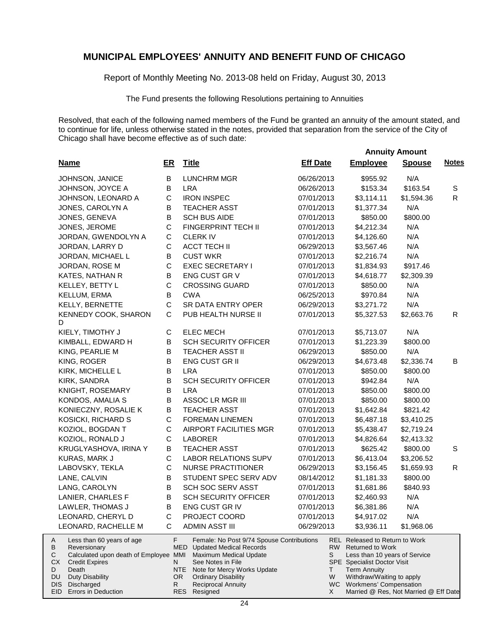Report of Monthly Meeting No. 2013-08 held on Friday, August 30, 2013

The Fund presents the following Resolutions pertaining to Annuities

|                                                                                         |             |                                                                                          |                 | <b>Annuity Amount</b>                                                                      |               |              |
|-----------------------------------------------------------------------------------------|-------------|------------------------------------------------------------------------------------------|-----------------|--------------------------------------------------------------------------------------------|---------------|--------------|
| <b>Name</b>                                                                             | ER          | <b>Title</b>                                                                             | <b>Eff Date</b> | <b>Employee</b>                                                                            | <b>Spouse</b> | <b>Notes</b> |
| JOHNSON, JANICE                                                                         | В           | <b>LUNCHRM MGR</b>                                                                       | 06/26/2013      | \$955.92                                                                                   | N/A           |              |
| JOHNSON, JOYCE A                                                                        | B           | <b>LRA</b>                                                                               | 06/26/2013      | \$153.34                                                                                   | \$163.54      | S            |
| JOHNSON, LEONARD A                                                                      | $\mathsf C$ | <b>IRON INSPEC</b>                                                                       | 07/01/2013      | \$3,114.11                                                                                 | \$1,594.36    | $\mathsf{R}$ |
| JONES, CAROLYN A                                                                        | В           | <b>TEACHER ASST</b>                                                                      | 07/01/2013      | \$1,377.34                                                                                 | N/A           |              |
| JONES, GENEVA                                                                           | B           | <b>SCH BUS AIDE</b>                                                                      | 07/01/2013      | \$850.00                                                                                   | \$800.00      |              |
| JONES, JEROME                                                                           | $\mathsf C$ | FINGERPRINT TECH II                                                                      | 07/01/2013      | \$4,212.34                                                                                 | N/A           |              |
| JORDAN, GWENDOLYN A                                                                     | $\mathsf C$ | <b>CLERK IV</b>                                                                          | 07/01/2013      | \$4,126.60                                                                                 | N/A           |              |
| JORDAN, LARRY D                                                                         | $\mathsf C$ | <b>ACCT TECH II</b>                                                                      | 06/29/2013      | \$3,567.46                                                                                 | N/A           |              |
| JORDAN, MICHAEL L                                                                       | В           | <b>CUST WKR</b>                                                                          | 07/01/2013      | \$2,216.74                                                                                 | N/A           |              |
| JORDAN, ROSE M                                                                          | C           | <b>EXEC SECRETARY I</b>                                                                  | 07/01/2013      | \$1,834.93                                                                                 | \$917.46      |              |
| KATES, NATHAN R                                                                         | В           | ENG CUST GR V                                                                            | 07/01/2013      | \$4,618.77                                                                                 | \$2,309.39    |              |
| KELLEY, BETTY L                                                                         | C           | <b>CROSSING GUARD</b>                                                                    | 07/01/2013      | \$850.00                                                                                   | N/A           |              |
| KELLUM, ERMA                                                                            | B           | <b>CWA</b>                                                                               | 06/25/2013      | \$970.84                                                                                   | N/A           |              |
| KELLY, BERNETTE                                                                         | $\mathsf C$ | <b>SR DATA ENTRY OPER</b>                                                                | 06/29/2013      | \$3,271.72                                                                                 | N/A           |              |
| KENNEDY COOK, SHARON<br>D                                                               | C           | PUB HEALTH NURSE II                                                                      | 07/01/2013      | \$5,327.53                                                                                 | \$2,663.76    | R            |
| KIELY, TIMOTHY J                                                                        | С           | <b>ELEC MECH</b>                                                                         | 07/01/2013      | \$5,713.07                                                                                 | N/A           |              |
| KIMBALL, EDWARD H                                                                       | B           | <b>SCH SECURITY OFFICER</b>                                                              | 07/01/2013      | \$1,223.39                                                                                 | \$800.00      |              |
| KING, PEARLIE M                                                                         | B           | <b>TEACHER ASST II</b>                                                                   | 06/29/2013      | \$850.00                                                                                   | N/A           |              |
| KING, ROGER                                                                             | B           | <b>ENG CUST GR II</b>                                                                    | 06/29/2013      | \$4,673.48                                                                                 | \$2,336.74    | B            |
| KIRK, MICHELLE L                                                                        | B           | <b>LRA</b>                                                                               | 07/01/2013      | \$850.00                                                                                   | \$800.00      |              |
| KIRK, SANDRA                                                                            | B           | <b>SCH SECURITY OFFICER</b>                                                              | 07/01/2013      | \$942.84                                                                                   | N/A           |              |
| KNIGHT, ROSEMARY                                                                        | В           | <b>LRA</b>                                                                               | 07/01/2013      | \$850.00                                                                                   | \$800.00      |              |
| KONDOS, AMALIA S                                                                        | В           | ASSOC LR MGR III                                                                         | 07/01/2013      | \$850.00                                                                                   | \$800.00      |              |
| KONIECZNY, ROSALIE K                                                                    | В           | <b>TEACHER ASST</b>                                                                      | 07/01/2013      | \$1,642.84                                                                                 | \$821.42      |              |
| KOSICKI, RICHARD S                                                                      | C           | <b>FOREMAN LINEMEN</b>                                                                   | 07/01/2013      | \$6,487.18                                                                                 | \$3,410.25    |              |
| KOZIOL, BOGDAN T                                                                        | C           | AIRPORT FACILITIES MGR                                                                   | 07/01/2013      | \$5,438.47                                                                                 | \$2,719.24    |              |
| KOZIOL, RONALD J                                                                        | $\mathsf C$ | <b>LABORER</b>                                                                           | 07/01/2013      | \$4,826.64                                                                                 | \$2,413.32    |              |
| KRUGLYASHOVA, IRINA Y                                                                   | В           | <b>TEACHER ASST</b>                                                                      | 07/01/2013      | \$625.42                                                                                   | \$800.00      | S            |
| KURAS, MARK J                                                                           | C           | <b>LABOR RELATIONS SUPV</b>                                                              | 07/01/2013      | \$6,413.04                                                                                 | \$3,206.52    |              |
| LABOVSKY, TEKLA                                                                         | $\mathsf C$ | <b>NURSE PRACTITIONER</b>                                                                | 06/29/2013      | \$3,156.45                                                                                 | \$1,659.93    | R.           |
| LANE, CALVIN                                                                            | B           | STUDENT SPEC SERV ADV                                                                    | 08/14/2012      | \$1,181.33                                                                                 | \$800.00      |              |
| LANG, CAROLYN                                                                           | B           | SCH SOC SERV ASST                                                                        | 07/01/2013      | \$1,681.86                                                                                 | \$840.93      |              |
| LANIER, CHARLES F                                                                       | B           | <b>SCH SECURITY OFFICER</b>                                                              | 07/01/2013      | \$2,460.93                                                                                 | N/A           |              |
| LAWLER, THOMAS J                                                                        | B           | ENG CUST GR IV                                                                           | 07/01/2013      | \$6,381.86                                                                                 | N/A           |              |
| LEONARD, CHERYL D                                                                       | C           | PROJECT COORD                                                                            | 07/01/2013      | \$4,917.02                                                                                 | N/A           |              |
| LEONARD, RACHELLE M                                                                     | С           | <b>ADMIN ASST III</b>                                                                    | 06/29/2013      | \$3,936.11                                                                                 | \$1,968.06    |              |
| Less than 60 years of age<br>A<br>В<br>Reversionary                                     | F           | Female: No Post 9/74 Spouse Contributions<br>MED<br><b>Updated Medical Records</b>       |                 | <b>REL Released to Return to Work</b><br>RW Returned to Work                               |               |              |
| Calculated upon death of Employee MMI<br>С<br>СX<br><b>Credit Expires</b><br>D<br>Death | N.          | <b>Maximum Medical Update</b><br>See Notes in File<br>NTE<br>Note for Mercy Works Update | S<br>T.         | Less than 10 years of Service<br><b>SPE</b> Specialist Doctor Visit<br><b>Term Annuity</b> |               |              |
| <b>Duty Disability</b><br>DU.                                                           |             | <b>Ordinary Disability</b><br>OR.                                                        | W               | Withdraw/Waiting to apply                                                                  |               |              |
| Discharged<br>DIS.                                                                      | R           | <b>Reciprocal Annuity</b>                                                                |                 | WC Workmens' Compensation                                                                  |               |              |
| EID Errors in Deduction                                                                 |             | <b>RES</b><br>Resigned                                                                   | X               | Married @ Res, Not Married @ Eff Date                                                      |               |              |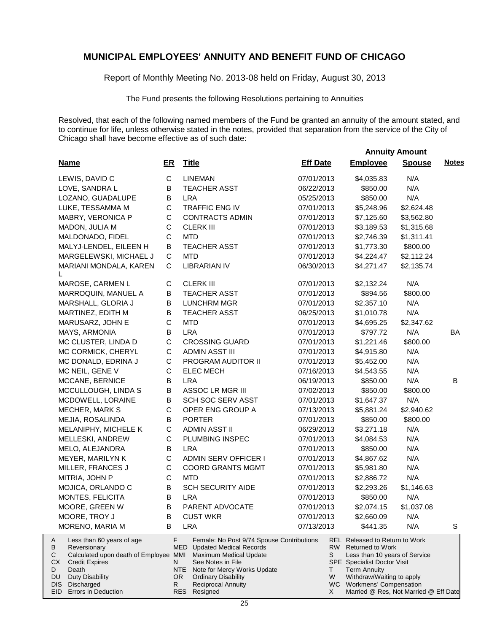Report of Monthly Meeting No. 2013-08 held on Friday, August 30, 2013

The Fund presents the following Resolutions pertaining to Annuities

|                                                                                                                                                                                                                                       |             |                                                                                                                                                                                                                                                        |                    |                                                                                                                                                                                                                                                        | <b>Annuity Amount</b> |              |
|---------------------------------------------------------------------------------------------------------------------------------------------------------------------------------------------------------------------------------------|-------------|--------------------------------------------------------------------------------------------------------------------------------------------------------------------------------------------------------------------------------------------------------|--------------------|--------------------------------------------------------------------------------------------------------------------------------------------------------------------------------------------------------------------------------------------------------|-----------------------|--------------|
| <b>Name</b>                                                                                                                                                                                                                           | <u>ER</u>   | <b>Title</b>                                                                                                                                                                                                                                           | <b>Eff Date</b>    | <b>Employee</b>                                                                                                                                                                                                                                        | <b>Spouse</b>         | <b>Notes</b> |
| LEWIS, DAVID C                                                                                                                                                                                                                        | $\mathsf C$ | <b>LINEMAN</b>                                                                                                                                                                                                                                         | 07/01/2013         | \$4,035.83                                                                                                                                                                                                                                             | N/A                   |              |
| LOVE, SANDRA L                                                                                                                                                                                                                        | В           | <b>TEACHER ASST</b>                                                                                                                                                                                                                                    | 06/22/2013         | \$850.00                                                                                                                                                                                                                                               | N/A                   |              |
| LOZANO, GUADALUPE                                                                                                                                                                                                                     | В           | <b>LRA</b>                                                                                                                                                                                                                                             | 05/25/2013         | \$850.00                                                                                                                                                                                                                                               | N/A                   |              |
| LUKE, TESSAMMA M                                                                                                                                                                                                                      | $\mathsf C$ | <b>TRAFFIC ENG IV</b>                                                                                                                                                                                                                                  | 07/01/2013         | \$5,248.96                                                                                                                                                                                                                                             | \$2,624.48            |              |
| MABRY, VERONICA P                                                                                                                                                                                                                     | $\mathsf C$ | <b>CONTRACTS ADMIN</b>                                                                                                                                                                                                                                 | 07/01/2013         | \$7,125.60                                                                                                                                                                                                                                             | \$3,562.80            |              |
| MADON, JULIA M                                                                                                                                                                                                                        | C           | <b>CLERK III</b>                                                                                                                                                                                                                                       | 07/01/2013         | \$3,189.53                                                                                                                                                                                                                                             | \$1,315.68            |              |
| MALDONADO, FIDEL                                                                                                                                                                                                                      | C           | <b>MTD</b>                                                                                                                                                                                                                                             | 07/01/2013         | \$2,746.39                                                                                                                                                                                                                                             | \$1,311.41            |              |
| MALYJ-LENDEL, EILEEN H                                                                                                                                                                                                                | B           | <b>TEACHER ASST</b>                                                                                                                                                                                                                                    | 07/01/2013         | \$1,773.30                                                                                                                                                                                                                                             | \$800.00              |              |
| MARGELEWSKI, MICHAEL J                                                                                                                                                                                                                | C           | <b>MTD</b>                                                                                                                                                                                                                                             | 07/01/2013         | \$4,224.47                                                                                                                                                                                                                                             | \$2,112.24            |              |
| MARIANI MONDALA, KAREN<br>L                                                                                                                                                                                                           | C           | <b>LIBRARIAN IV</b>                                                                                                                                                                                                                                    | 06/30/2013         | \$4,271.47                                                                                                                                                                                                                                             | \$2,135.74            |              |
| MAROSE, CARMEN L                                                                                                                                                                                                                      | С           | <b>CLERK III</b>                                                                                                                                                                                                                                       | 07/01/2013         | \$2,132.24                                                                                                                                                                                                                                             | N/A                   |              |
| MARROQUIN, MANUEL A                                                                                                                                                                                                                   | B           | <b>TEACHER ASST</b>                                                                                                                                                                                                                                    | 07/01/2013         | \$894.56                                                                                                                                                                                                                                               | \$800.00              |              |
| MARSHALL, GLORIA J                                                                                                                                                                                                                    | В           | <b>LUNCHRM MGR</b>                                                                                                                                                                                                                                     | 07/01/2013         | \$2,357.10                                                                                                                                                                                                                                             | N/A                   |              |
| MARTINEZ, EDITH M                                                                                                                                                                                                                     | В           | <b>TEACHER ASST</b>                                                                                                                                                                                                                                    | 06/25/2013         | \$1,010.78                                                                                                                                                                                                                                             | N/A                   |              |
| MARUSARZ, JOHN E                                                                                                                                                                                                                      | C           | <b>MTD</b>                                                                                                                                                                                                                                             | 07/01/2013         | \$4,695.25                                                                                                                                                                                                                                             | \$2,347.62            |              |
| MAYS, ARMONIA                                                                                                                                                                                                                         | В           | <b>LRA</b>                                                                                                                                                                                                                                             | 07/01/2013         | \$797.72                                                                                                                                                                                                                                               | N/A                   | BA           |
| MC CLUSTER, LINDA D                                                                                                                                                                                                                   | $\mathsf C$ | <b>CROSSING GUARD</b>                                                                                                                                                                                                                                  | 07/01/2013         | \$1,221.46                                                                                                                                                                                                                                             | \$800.00              |              |
| MC CORMICK, CHERYL                                                                                                                                                                                                                    | $\mathsf C$ | <b>ADMIN ASST III</b>                                                                                                                                                                                                                                  | 07/01/2013         | \$4,915.80                                                                                                                                                                                                                                             | N/A                   |              |
| MC DONALD, EDRINA J                                                                                                                                                                                                                   | $\mathsf C$ | PROGRAM AUDITOR II                                                                                                                                                                                                                                     | 07/01/2013         | \$5,452.00                                                                                                                                                                                                                                             | N/A                   |              |
| MC NEIL, GENE V                                                                                                                                                                                                                       | C           | <b>ELEC MECH</b>                                                                                                                                                                                                                                       | 07/16/2013         | \$4,543.55                                                                                                                                                                                                                                             | N/A                   |              |
| MCCANE, BERNICE                                                                                                                                                                                                                       | B           | <b>LRA</b>                                                                                                                                                                                                                                             | 06/19/2013         | \$850.00                                                                                                                                                                                                                                               | N/A                   | В            |
| MCCULLOUGH, LINDA S                                                                                                                                                                                                                   | B           | ASSOC LR MGR III                                                                                                                                                                                                                                       | 07/02/2013         | \$850.00                                                                                                                                                                                                                                               | \$800.00              |              |
| MCDOWELL, LORAINE                                                                                                                                                                                                                     | $\sf B$     | <b>SCH SOC SERV ASST</b>                                                                                                                                                                                                                               | 07/01/2013         | \$1,647.37                                                                                                                                                                                                                                             | N/A                   |              |
| MECHER, MARK S                                                                                                                                                                                                                        | $\mathsf C$ | OPER ENG GROUP A                                                                                                                                                                                                                                       | 07/13/2013         | \$5,881.24                                                                                                                                                                                                                                             | \$2,940.62            |              |
| MEJIA, ROSALINDA                                                                                                                                                                                                                      | В           | <b>PORTER</b>                                                                                                                                                                                                                                          | 07/01/2013         | \$850.00                                                                                                                                                                                                                                               | \$800.00              |              |
| MELANIPHY, MICHELE K                                                                                                                                                                                                                  | $\mathsf C$ | <b>ADMIN ASST II</b>                                                                                                                                                                                                                                   | 06/29/2013         | \$3,271.18                                                                                                                                                                                                                                             | N/A                   |              |
| MELLESKI, ANDREW                                                                                                                                                                                                                      | $\mathsf C$ | PLUMBING INSPEC                                                                                                                                                                                                                                        | 07/01/2013         | \$4,084.53                                                                                                                                                                                                                                             | N/A                   |              |
| MELO, ALEJANDRA                                                                                                                                                                                                                       | B           | <b>LRA</b>                                                                                                                                                                                                                                             | 07/01/2013         | \$850.00                                                                                                                                                                                                                                               | N/A                   |              |
| MEYER, MARILYN K                                                                                                                                                                                                                      | $\mathsf C$ | ADMIN SERV OFFICER I                                                                                                                                                                                                                                   | 07/01/2013         | \$4,867.62                                                                                                                                                                                                                                             | N/A                   |              |
| MILLER, FRANCES J                                                                                                                                                                                                                     | C           | <b>COORD GRANTS MGMT</b>                                                                                                                                                                                                                               | 07/01/2013         | \$5,981.80                                                                                                                                                                                                                                             | N/A                   |              |
| MITRIA, JOHN P                                                                                                                                                                                                                        | $\mathsf C$ | <b>MTD</b>                                                                                                                                                                                                                                             | 07/01/2013         | \$2,886.72                                                                                                                                                                                                                                             | N/A                   |              |
| MOJICA, ORLANDO C                                                                                                                                                                                                                     | В           | <b>SCH SECURITY AIDE</b>                                                                                                                                                                                                                               | 07/01/2013         | \$2,293.26                                                                                                                                                                                                                                             | \$1,146.63            |              |
| MONTES, FELICITA                                                                                                                                                                                                                      | B           | <b>LRA</b>                                                                                                                                                                                                                                             | 07/01/2013         | \$850.00                                                                                                                                                                                                                                               | N/A                   |              |
| MOORE, GREEN W                                                                                                                                                                                                                        | B           | PARENT ADVOCATE                                                                                                                                                                                                                                        | 07/01/2013         | \$2,074.15                                                                                                                                                                                                                                             | \$1,037.08            |              |
| MOORE, TROY J                                                                                                                                                                                                                         | B           | <b>CUST WKR</b>                                                                                                                                                                                                                                        | 07/01/2013         | \$2,660.09                                                                                                                                                                                                                                             | N/A                   |              |
| MORENO, MARIA M                                                                                                                                                                                                                       | B           | <b>LRA</b>                                                                                                                                                                                                                                             | 07/13/2013         | \$441.35                                                                                                                                                                                                                                               | N/A                   | S            |
| Less than 60 years of age<br>A<br>В<br>Reversionary<br>Calculated upon death of Employee MMI<br>С<br>СX<br><b>Credit Expires</b><br>D<br>Death<br><b>Duty Disability</b><br>DU<br>Discharged<br><b>DIS</b><br>EID Errors in Deduction | F<br>N<br>R | Female: No Post 9/74 Spouse Contributions<br><b>MED</b> Updated Medical Records<br>Maximum Medical Update<br>See Notes in File<br>NTE<br>Note for Mercy Works Update<br>OR.<br><b>Ordinary Disability</b><br><b>Reciprocal Annuity</b><br>RES Resigned | S<br>T.<br>W<br>X. | REL Released to Return to Work<br>RW Returned to Work<br>Less than 10 years of Service<br><b>SPE</b> Specialist Doctor Visit<br><b>Term Annuity</b><br>Withdraw/Waiting to apply<br>WC Workmens' Compensation<br>Married @ Res, Not Married @ Eff Date |                       |              |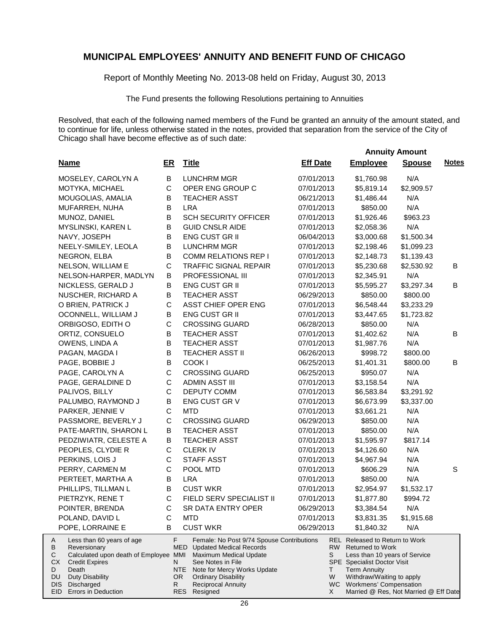Report of Monthly Meeting No. 2013-08 held on Friday, August 30, 2013

The Fund presents the following Resolutions pertaining to Annuities

|                                                                                                                                                                                                     |                     |                                                                                                                                                                                                                                 |                   |                                                                                                                                                                                                                   | <b>Annuity Amount</b> |              |
|-----------------------------------------------------------------------------------------------------------------------------------------------------------------------------------------------------|---------------------|---------------------------------------------------------------------------------------------------------------------------------------------------------------------------------------------------------------------------------|-------------------|-------------------------------------------------------------------------------------------------------------------------------------------------------------------------------------------------------------------|-----------------------|--------------|
| <b>Name</b>                                                                                                                                                                                         | ER                  | <b>Title</b>                                                                                                                                                                                                                    | <b>Eff Date</b>   | <b>Employee</b>                                                                                                                                                                                                   | <b>Spouse</b>         | <b>Notes</b> |
| MOSELEY, CAROLYN A                                                                                                                                                                                  | B                   | <b>LUNCHRM MGR</b>                                                                                                                                                                                                              | 07/01/2013        | \$1,760.98                                                                                                                                                                                                        | N/A                   |              |
| MOTYKA, MICHAEL                                                                                                                                                                                     | $\mathsf{C}$        | OPER ENG GROUP C                                                                                                                                                                                                                | 07/01/2013        | \$5,819.14                                                                                                                                                                                                        | \$2,909.57            |              |
| MOUGOLIAS, AMALIA                                                                                                                                                                                   | B                   | <b>TEACHER ASST</b>                                                                                                                                                                                                             | 06/21/2013        | \$1,486.44                                                                                                                                                                                                        | N/A                   |              |
| MUFARREH, NUHA                                                                                                                                                                                      | B                   | <b>LRA</b>                                                                                                                                                                                                                      | 07/01/2013        | \$850.00                                                                                                                                                                                                          | N/A                   |              |
| MUNOZ, DANIEL                                                                                                                                                                                       | В                   | <b>SCH SECURITY OFFICER</b>                                                                                                                                                                                                     | 07/01/2013        | \$1,926.46                                                                                                                                                                                                        | \$963.23              |              |
| MYSLINSKI, KAREN L                                                                                                                                                                                  | B                   | <b>GUID CNSLR AIDE</b>                                                                                                                                                                                                          | 07/01/2013        | \$2,058.36                                                                                                                                                                                                        | N/A                   |              |
| NAVY, JOSEPH                                                                                                                                                                                        | B                   | <b>ENG CUST GR II</b>                                                                                                                                                                                                           | 06/04/2013        | \$3,000.68                                                                                                                                                                                                        | \$1,500.34            |              |
| NEELY-SMILEY, LEOLA                                                                                                                                                                                 | В                   | <b>LUNCHRM MGR</b>                                                                                                                                                                                                              | 07/01/2013        | \$2,198.46                                                                                                                                                                                                        | \$1,099.23            |              |
| NEGRON, ELBA                                                                                                                                                                                        | B                   | <b>COMM RELATIONS REP I</b>                                                                                                                                                                                                     | 07/01/2013        | \$2,148.73                                                                                                                                                                                                        | \$1,139.43            |              |
| NELSON, WILLIAM E                                                                                                                                                                                   | $\mathsf{C}$        | <b>TRAFFIC SIGNAL REPAIR</b>                                                                                                                                                                                                    | 07/01/2013        | \$5,230.68                                                                                                                                                                                                        | \$2,530.92            | В            |
| NELSON-HARPER, MADLYN                                                                                                                                                                               | B                   | PROFESSIONAL III                                                                                                                                                                                                                | 07/01/2013        | \$2,345.91                                                                                                                                                                                                        | N/A                   |              |
| NICKLESS, GERALD J                                                                                                                                                                                  | В                   | <b>ENG CUST GR II</b>                                                                                                                                                                                                           | 07/01/2013        | \$5,595.27                                                                                                                                                                                                        | \$3,297.34            | В            |
| NUSCHER, RICHARD A                                                                                                                                                                                  | B                   | <b>TEACHER ASST</b>                                                                                                                                                                                                             | 06/29/2013        | \$850.00                                                                                                                                                                                                          | \$800.00              |              |
| O BRIEN, PATRICK J                                                                                                                                                                                  | $\mathsf C$         | ASST CHIEF OPER ENG                                                                                                                                                                                                             | 07/01/2013        | \$6,548.44                                                                                                                                                                                                        | \$3,233.29            |              |
| OCONNELL, WILLIAM J                                                                                                                                                                                 | B                   | <b>ENG CUST GR II</b>                                                                                                                                                                                                           | 07/01/2013        | \$3,447.65                                                                                                                                                                                                        | \$1,723.82            |              |
| ORBIGOSO, EDITH O                                                                                                                                                                                   | $\mathsf C$         | <b>CROSSING GUARD</b>                                                                                                                                                                                                           | 06/28/2013        | \$850.00                                                                                                                                                                                                          | N/A                   |              |
| ORTIZ, CONSUELO                                                                                                                                                                                     | B                   | <b>TEACHER ASST</b>                                                                                                                                                                                                             | 07/01/2013        | \$1,402.62                                                                                                                                                                                                        | N/A                   | В            |
| OWENS, LINDA A                                                                                                                                                                                      | B                   | <b>TEACHER ASST</b>                                                                                                                                                                                                             | 07/01/2013        | \$1,987.76                                                                                                                                                                                                        | N/A                   |              |
| PAGAN, MAGDA I                                                                                                                                                                                      | B                   | <b>TEACHER ASST II</b>                                                                                                                                                                                                          | 06/26/2013        | \$998.72                                                                                                                                                                                                          | \$800.00              |              |
| PAGE, BOBBIE J                                                                                                                                                                                      | B                   | COOK I                                                                                                                                                                                                                          | 06/25/2013        | \$1,401.31                                                                                                                                                                                                        | \$800.00              | В            |
| PAGE, CAROLYN A                                                                                                                                                                                     | $\mathsf C$         | <b>CROSSING GUARD</b>                                                                                                                                                                                                           | 06/25/2013        | \$950.07                                                                                                                                                                                                          | N/A                   |              |
| PAGE, GERALDINE D                                                                                                                                                                                   | $\mathsf C$         | <b>ADMIN ASST III</b>                                                                                                                                                                                                           | 07/01/2013        | \$3,158.54                                                                                                                                                                                                        | N/A                   |              |
| PALIVOS, BILLY                                                                                                                                                                                      | $\mathsf C$         | DEPUTY COMM                                                                                                                                                                                                                     | 07/01/2013        | \$6,583.84                                                                                                                                                                                                        | \$3,291.92            |              |
| PALUMBO, RAYMOND J                                                                                                                                                                                  | B                   | ENG CUST GR V                                                                                                                                                                                                                   | 07/01/2013        | \$6,673.99                                                                                                                                                                                                        | \$3,337.00            |              |
| PARKER, JENNIE V                                                                                                                                                                                    | $\mathsf C$         | <b>MTD</b>                                                                                                                                                                                                                      | 07/01/2013        | \$3,661.21                                                                                                                                                                                                        | N/A                   |              |
| PASSMORE, BEVERLY J                                                                                                                                                                                 | $\mathsf C$         | <b>CROSSING GUARD</b>                                                                                                                                                                                                           | 06/29/2013        | \$850.00                                                                                                                                                                                                          | N/A                   |              |
| PATE-MARTIN, SHARON L                                                                                                                                                                               | B                   | <b>TEACHER ASST</b>                                                                                                                                                                                                             | 07/01/2013        | \$850.00                                                                                                                                                                                                          | N/A                   |              |
| PEDZIWIATR, CELESTE A                                                                                                                                                                               | В                   | <b>TEACHER ASST</b>                                                                                                                                                                                                             | 07/01/2013        | \$1,595.97                                                                                                                                                                                                        | \$817.14              |              |
| PEOPLES, CLYDIE R                                                                                                                                                                                   | $\mathsf C$         | <b>CLERK IV</b>                                                                                                                                                                                                                 | 07/01/2013        | \$4,126.60                                                                                                                                                                                                        | N/A                   |              |
| PERKINS, LOIS J                                                                                                                                                                                     | $\mathsf C$         | <b>STAFF ASST</b>                                                                                                                                                                                                               | 07/01/2013        | \$4,967.94                                                                                                                                                                                                        | N/A                   |              |
| PERRY, CARMEN M                                                                                                                                                                                     | $\mathsf C$         | POOL MTD                                                                                                                                                                                                                        | 07/01/2013        | \$606.29                                                                                                                                                                                                          | N/A                   | S            |
| PERTEET, MARTHA A                                                                                                                                                                                   | B                   | <b>LRA</b>                                                                                                                                                                                                                      | 07/01/2013        | \$850.00                                                                                                                                                                                                          | N/A                   |              |
| PHILLIPS, TILLMAN L                                                                                                                                                                                 | B                   | <b>CUST WKR</b>                                                                                                                                                                                                                 | 07/01/2013        | \$2,954.97                                                                                                                                                                                                        | \$1,532.17            |              |
| PIETRZYK, RENE T                                                                                                                                                                                    | C                   | FIELD SERV SPECIALIST II                                                                                                                                                                                                        | 07/01/2013        | \$1,877.80                                                                                                                                                                                                        | \$994.72              |              |
| POINTER, BRENDA                                                                                                                                                                                     | С                   | SR DATA ENTRY OPER                                                                                                                                                                                                              | 06/29/2013        | \$3,384.54                                                                                                                                                                                                        | N/A                   |              |
| POLAND, DAVID L                                                                                                                                                                                     | С                   | <b>MTD</b>                                                                                                                                                                                                                      | 07/01/2013        | \$3,831.35                                                                                                                                                                                                        | \$1,915.68            |              |
| POPE, LORRAINE E                                                                                                                                                                                    | B                   | <b>CUST WKR</b>                                                                                                                                                                                                                 | 06/29/2013        | \$1,840.32                                                                                                                                                                                                        | N/A                   |              |
| Less than 60 years of age<br>A<br>В<br>Reversionary<br>С<br>Calculated upon death of Employee MMI<br>СX<br><b>Credit Expires</b><br>D<br>Death<br>DU<br><b>Duty Disability</b><br>DIS<br>Discharged | F<br>N<br>OR.<br>R. | Female: No Post 9/74 Spouse Contributions<br><b>MED</b> Updated Medical Records<br>Maximum Medical Update<br>See Notes in File<br>NTE<br>Note for Mercy Works Update<br><b>Ordinary Disability</b><br><b>Reciprocal Annuity</b> | RW<br>S<br>Τ<br>W | REL Released to Return to Work<br><b>Returned to Work</b><br>Less than 10 years of Service<br><b>SPE</b> Specialist Doctor Visit<br><b>Term Annuity</b><br>Withdraw/Waiting to apply<br>WC Workmens' Compensation |                       |              |
| EID<br>Errors in Deduction                                                                                                                                                                          |                     | RES Resigned                                                                                                                                                                                                                    | X                 | Married @ Res, Not Married @ Eff Date                                                                                                                                                                             |                       |              |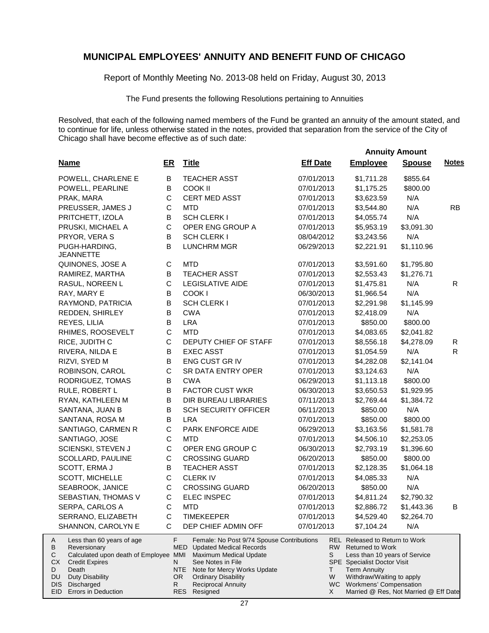Report of Monthly Meeting No. 2013-08 held on Friday, August 30, 2013

The Fund presents the following Resolutions pertaining to Annuities

|                                                                                                                                                                                |                 |                                                                                                                                                                                                           |                 |                                                                                                                                                                           | <b>Annuity Amount</b> |              |
|--------------------------------------------------------------------------------------------------------------------------------------------------------------------------------|-----------------|-----------------------------------------------------------------------------------------------------------------------------------------------------------------------------------------------------------|-----------------|---------------------------------------------------------------------------------------------------------------------------------------------------------------------------|-----------------------|--------------|
| <b>Name</b>                                                                                                                                                                    | ER              | <b>Title</b>                                                                                                                                                                                              | <b>Eff Date</b> | <b>Employee</b>                                                                                                                                                           | <b>Spouse</b>         | <b>Notes</b> |
| POWELL, CHARLENE E                                                                                                                                                             | В               | <b>TEACHER ASST</b>                                                                                                                                                                                       | 07/01/2013      | \$1,711.28                                                                                                                                                                | \$855.64              |              |
| POWELL, PEARLINE                                                                                                                                                               | В               | <b>COOK II</b>                                                                                                                                                                                            | 07/01/2013      | \$1,175.25                                                                                                                                                                | \$800.00              |              |
| PRAK, MARA                                                                                                                                                                     | C               | <b>CERT MED ASST</b>                                                                                                                                                                                      | 07/01/2013      | \$3,623.59                                                                                                                                                                | N/A                   |              |
| PREUSSER, JAMES J                                                                                                                                                              | C               | <b>MTD</b>                                                                                                                                                                                                | 07/01/2013      | \$3,544.80                                                                                                                                                                | N/A                   | <b>RB</b>    |
| PRITCHETT, IZOLA                                                                                                                                                               | B               | <b>SCH CLERK I</b>                                                                                                                                                                                        | 07/01/2013      | \$4,055.74                                                                                                                                                                | N/A                   |              |
| PRUSKI, MICHAEL A                                                                                                                                                              | $\mathsf{C}$    | OPER ENG GROUP A                                                                                                                                                                                          | 07/01/2013      | \$5,953.19                                                                                                                                                                | \$3,091.30            |              |
| PRYOR, VERA S                                                                                                                                                                  | B               | <b>SCH CLERK I</b>                                                                                                                                                                                        | 08/04/2012      | \$3,243.56                                                                                                                                                                | N/A                   |              |
| PUGH-HARDING,<br><b>JEANNETTE</b>                                                                                                                                              | B               | <b>LUNCHRM MGR</b>                                                                                                                                                                                        | 06/29/2013      | \$2,221.91                                                                                                                                                                | \$1,110.96            |              |
| QUINONES, JOSE A                                                                                                                                                               | C               | <b>MTD</b>                                                                                                                                                                                                | 07/01/2013      | \$3,591.60                                                                                                                                                                | \$1,795.80            |              |
| RAMIREZ, MARTHA                                                                                                                                                                | B               | <b>TEACHER ASST</b>                                                                                                                                                                                       | 07/01/2013      | \$2,553.43                                                                                                                                                                | \$1,276.71            |              |
| RASUL, NOREEN L                                                                                                                                                                | $\mathsf{C}$    | <b>LEGISLATIVE AIDE</b>                                                                                                                                                                                   | 07/01/2013      | \$1,475.81                                                                                                                                                                | N/A                   | R            |
| RAY, MARY E                                                                                                                                                                    | B               | COOK I                                                                                                                                                                                                    | 06/30/2013      | \$1,966.54                                                                                                                                                                | N/A                   |              |
| RAYMOND, PATRICIA                                                                                                                                                              | B               | <b>SCH CLERK I</b>                                                                                                                                                                                        | 07/01/2013      | \$2,291.98                                                                                                                                                                | \$1,145.99            |              |
| REDDEN, SHIRLEY                                                                                                                                                                | B               | <b>CWA</b>                                                                                                                                                                                                | 07/01/2013      | \$2,418.09                                                                                                                                                                | N/A                   |              |
| REYES, LILIA                                                                                                                                                                   | В               | <b>LRA</b>                                                                                                                                                                                                | 07/01/2013      | \$850.00                                                                                                                                                                  | \$800.00              |              |
| RHIMES, ROOSEVELT                                                                                                                                                              | C               | <b>MTD</b>                                                                                                                                                                                                | 07/01/2013      | \$4,083.65                                                                                                                                                                | \$2,041.82            |              |
| RICE, JUDITH C                                                                                                                                                                 | $\mathsf{C}$    | DEPUTY CHIEF OF STAFF                                                                                                                                                                                     | 07/01/2013      | \$8,556.18                                                                                                                                                                | \$4,278.09            | R            |
| RIVERA, NILDA E                                                                                                                                                                | B               | <b>EXEC ASST</b>                                                                                                                                                                                          | 07/01/2013      | \$1,054.59                                                                                                                                                                | N/A                   | R.           |
| RIZVI, SYED M                                                                                                                                                                  | B               | ENG CUST GR IV                                                                                                                                                                                            | 07/01/2013      | \$4,282.08                                                                                                                                                                | \$2,141.04            |              |
| ROBINSON, CAROL                                                                                                                                                                | $\mathsf C$     | SR DATA ENTRY OPER                                                                                                                                                                                        | 07/01/2013      | \$3,124.63                                                                                                                                                                | N/A                   |              |
| RODRIGUEZ, TOMAS                                                                                                                                                               | B               | <b>CWA</b>                                                                                                                                                                                                | 06/29/2013      | \$1,113.18                                                                                                                                                                | \$800.00              |              |
| RULE, ROBERT L                                                                                                                                                                 | B               | <b>FACTOR CUST WKR</b>                                                                                                                                                                                    | 06/30/2013      | \$3,650.53                                                                                                                                                                | \$1,929.95            |              |
| RYAN, KATHLEEN M                                                                                                                                                               | B               | DIR BUREAU LIBRARIES                                                                                                                                                                                      | 07/11/2013      | \$2,769.44                                                                                                                                                                | \$1,384.72            |              |
| SANTANA, JUAN B                                                                                                                                                                | B               | <b>SCH SECURITY OFFICER</b>                                                                                                                                                                               | 06/11/2013      | \$850.00                                                                                                                                                                  | N/A                   |              |
| SANTANA, ROSA M                                                                                                                                                                | B               | <b>LRA</b>                                                                                                                                                                                                | 07/01/2013      | \$850.00                                                                                                                                                                  | \$800.00              |              |
| SANTIAGO, CARMEN R                                                                                                                                                             | C               | PARK ENFORCE AIDE                                                                                                                                                                                         | 06/29/2013      | \$3,163.56                                                                                                                                                                | \$1,581.78            |              |
| SANTIAGO, JOSE                                                                                                                                                                 | C               | <b>MTD</b>                                                                                                                                                                                                | 07/01/2013      | \$4,506.10                                                                                                                                                                | \$2,253.05            |              |
| SCIENSKI, STEVEN J                                                                                                                                                             | C               | OPER ENG GROUP C                                                                                                                                                                                          | 06/30/2013      | \$2,793.19                                                                                                                                                                | \$1,396.60            |              |
| SCOLLARD, PAULINE                                                                                                                                                              | $\mathsf{C}$    | <b>CROSSING GUARD</b>                                                                                                                                                                                     | 06/20/2013      | \$850.00                                                                                                                                                                  | \$800.00              |              |
| SCOTT, ERMA J                                                                                                                                                                  | В               | <b>TEACHER ASST</b>                                                                                                                                                                                       | 07/01/2013      | \$2,128.35                                                                                                                                                                | \$1,064.18            |              |
| <b>SCOTT, MICHELLE</b>                                                                                                                                                         | $\mathbf C$     | <b>CLERKIV</b>                                                                                                                                                                                            | 07/01/2013      | \$4,085.33                                                                                                                                                                | N/A                   |              |
| SEABROOK, JANICE                                                                                                                                                               | C               | <b>CROSSING GUARD</b>                                                                                                                                                                                     | 06/20/2013      | \$850.00                                                                                                                                                                  | N/A                   |              |
| SEBASTIAN, THOMAS V                                                                                                                                                            | C               | <b>ELEC INSPEC</b>                                                                                                                                                                                        | 07/01/2013      | \$4,811.24                                                                                                                                                                | \$2,790.32            |              |
| SERPA, CARLOS A                                                                                                                                                                | С               | <b>MTD</b>                                                                                                                                                                                                | 07/01/2013      | \$2,886.72                                                                                                                                                                | \$1,443.36            | в            |
| SERRANO, ELIZABETH                                                                                                                                                             | C               | <b>TIMEKEEPER</b>                                                                                                                                                                                         | 07/01/2013      | \$4,529.40                                                                                                                                                                | \$2,264.70            |              |
| SHANNON, CAROLYN E                                                                                                                                                             | C               | DEP CHIEF ADMIN OFF                                                                                                                                                                                       | 07/01/2013      | \$7,104.24                                                                                                                                                                | N/A                   |              |
| Less than 60 years of age<br>A<br>В<br>Reversionary<br>С<br>Calculated upon death of Employee MMI<br>СX<br><b>Credit Expires</b><br>Death<br>D<br>DU<br><b>Duty Disability</b> | F.<br>N.<br>OR. | Female: No Post 9/74 Spouse Contributions<br><b>MED</b> Updated Medical Records<br><b>Maximum Medical Update</b><br>See Notes in File<br>NTE<br>Note for Mercy Works Update<br><b>Ordinary Disability</b> | S<br>т<br>W     | REL Released to Return to Work<br>RW Returned to Work<br>Less than 10 years of Service<br>SPE Specialist Doctor Visit<br><b>Term Annuity</b><br>Withdraw/Waiting to apply |                       |              |
| Discharged<br>DIS                                                                                                                                                              | R.              | <b>Reciprocal Annuity</b>                                                                                                                                                                                 |                 | WC Workmens' Compensation                                                                                                                                                 |                       |              |
| EID Errors in Deduction                                                                                                                                                        |                 | RES Resigned                                                                                                                                                                                              | X               | Married @ Res, Not Married @ Eff Date                                                                                                                                     |                       |              |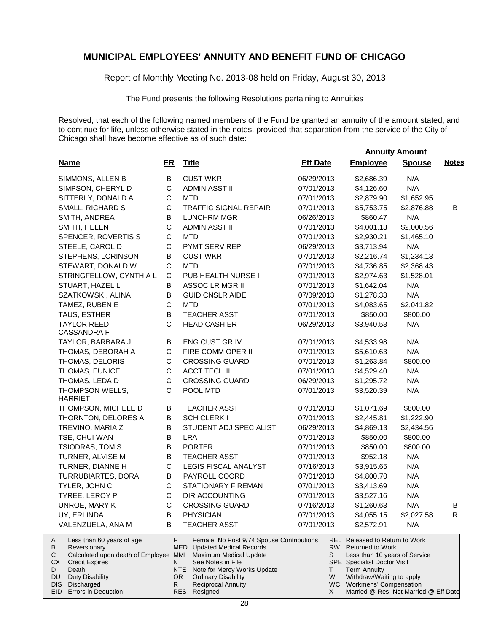Report of Monthly Meeting No. 2013-08 held on Friday, August 30, 2013

The Fund presents the following Resolutions pertaining to Annuities

|                                        |                                                                                                                                                                                  |               |                                                                                                                                                  |                                                                                                    |                 |                   |                                                                                                                                                                                                                                                        | <b>Annuity Amount</b> |              |
|----------------------------------------|----------------------------------------------------------------------------------------------------------------------------------------------------------------------------------|---------------|--------------------------------------------------------------------------------------------------------------------------------------------------|----------------------------------------------------------------------------------------------------|-----------------|-------------------|--------------------------------------------------------------------------------------------------------------------------------------------------------------------------------------------------------------------------------------------------------|-----------------------|--------------|
|                                        | <b>Name</b>                                                                                                                                                                      | ER            | <b>Title</b>                                                                                                                                     |                                                                                                    | <b>Eff Date</b> |                   | <b>Employee</b>                                                                                                                                                                                                                                        | <b>Spouse</b>         | <b>Notes</b> |
|                                        | SIMMONS, ALLEN B                                                                                                                                                                 | B             | <b>CUST WKR</b>                                                                                                                                  |                                                                                                    | 06/29/2013      |                   | \$2,686.39                                                                                                                                                                                                                                             | N/A                   |              |
|                                        | SIMPSON, CHERYL D                                                                                                                                                                | $\mathbf C$   | <b>ADMIN ASST II</b>                                                                                                                             |                                                                                                    | 07/01/2013      |                   | \$4,126.60                                                                                                                                                                                                                                             | N/A                   |              |
|                                        | SITTERLY, DONALD A                                                                                                                                                               | $\mathsf C$   | <b>MTD</b>                                                                                                                                       |                                                                                                    | 07/01/2013      |                   | \$2,879.90                                                                                                                                                                                                                                             | \$1,652.95            |              |
|                                        | SMALL, RICHARD S                                                                                                                                                                 | $\mathsf C$   | <b>TRAFFIC SIGNAL REPAIR</b>                                                                                                                     |                                                                                                    | 07/01/2013      |                   | \$5,753.75                                                                                                                                                                                                                                             | \$2,876.88            | B            |
|                                        | SMITH, ANDREA                                                                                                                                                                    | B             | <b>LUNCHRM MGR</b>                                                                                                                               |                                                                                                    | 06/26/2013      |                   | \$860.47                                                                                                                                                                                                                                               | N/A                   |              |
|                                        | SMITH, HELEN                                                                                                                                                                     | $\mathsf C$   | <b>ADMIN ASST II</b>                                                                                                                             |                                                                                                    | 07/01/2013      |                   | \$4,001.13                                                                                                                                                                                                                                             | \$2,000.56            |              |
|                                        | SPENCER, ROVERTIS S                                                                                                                                                              | $\mathbf C$   | <b>MTD</b>                                                                                                                                       |                                                                                                    | 07/01/2013      |                   | \$2,930.21                                                                                                                                                                                                                                             | \$1,465.10            |              |
|                                        | STEELE, CAROL D                                                                                                                                                                  | $\mathsf{C}$  | PYMT SERV REP                                                                                                                                    |                                                                                                    | 06/29/2013      |                   | \$3,713.94                                                                                                                                                                                                                                             | N/A                   |              |
|                                        | STEPHENS, LORINSON                                                                                                                                                               | В             | <b>CUST WKR</b>                                                                                                                                  |                                                                                                    | 07/01/2013      |                   | \$2,216.74                                                                                                                                                                                                                                             | \$1,234.13            |              |
|                                        | STEWART, DONALD W                                                                                                                                                                | $\mathsf C$   | <b>MTD</b>                                                                                                                                       |                                                                                                    | 07/01/2013      |                   | \$4,736.85                                                                                                                                                                                                                                             | \$2,368.43            |              |
|                                        | STRINGFELLOW, CYNTHIA L                                                                                                                                                          | $\mathsf C$   | PUB HEALTH NURSE I                                                                                                                               |                                                                                                    | 07/01/2013      |                   | \$2,974.63                                                                                                                                                                                                                                             | \$1,528.01            |              |
|                                        | STUART, HAZEL L                                                                                                                                                                  | В             | ASSOC LR MGR II                                                                                                                                  |                                                                                                    | 07/01/2013      |                   | \$1,642.04                                                                                                                                                                                                                                             | N/A                   |              |
|                                        | SZATKOWSKI, ALINA                                                                                                                                                                | B             | <b>GUID CNSLR AIDE</b>                                                                                                                           |                                                                                                    | 07/09/2013      |                   | \$1,278.33                                                                                                                                                                                                                                             | N/A                   |              |
|                                        | TAMEZ, RUBEN E                                                                                                                                                                   | $\mathsf C$   | <b>MTD</b>                                                                                                                                       |                                                                                                    | 07/01/2013      |                   | \$4,083.65                                                                                                                                                                                                                                             | \$2,041.82            |              |
|                                        | TAUS, ESTHER                                                                                                                                                                     | B             | <b>TEACHER ASST</b>                                                                                                                              |                                                                                                    | 07/01/2013      |                   | \$850.00                                                                                                                                                                                                                                               | \$800.00              |              |
|                                        | TAYLOR REED,<br><b>CASSANDRA F</b>                                                                                                                                               | $\mathsf{C}$  | <b>HEAD CASHIER</b>                                                                                                                              |                                                                                                    | 06/29/2013      |                   | \$3,940.58                                                                                                                                                                                                                                             | N/A                   |              |
|                                        | TAYLOR, BARBARA J                                                                                                                                                                | B             | ENG CUST GR IV                                                                                                                                   |                                                                                                    | 07/01/2013      |                   | \$4,533.98                                                                                                                                                                                                                                             | N/A                   |              |
|                                        | THOMAS, DEBORAH A                                                                                                                                                                | $\mathsf C$   | FIRE COMM OPER II                                                                                                                                |                                                                                                    | 07/01/2013      |                   | \$5,610.63                                                                                                                                                                                                                                             | N/A                   |              |
|                                        | THOMAS, DELORIS                                                                                                                                                                  | C             | <b>CROSSING GUARD</b>                                                                                                                            |                                                                                                    | 07/01/2013      |                   | \$1,263.84                                                                                                                                                                                                                                             | \$800.00              |              |
|                                        | THOMAS, EUNICE                                                                                                                                                                   | $\mathsf C$   | <b>ACCT TECH II</b>                                                                                                                              |                                                                                                    | 07/01/2013      |                   | \$4,529.40                                                                                                                                                                                                                                             | N/A                   |              |
|                                        | THOMAS, LEDA D                                                                                                                                                                   | $\mathbf C$   | <b>CROSSING GUARD</b>                                                                                                                            |                                                                                                    | 06/29/2013      |                   | \$1,295.72                                                                                                                                                                                                                                             | N/A                   |              |
|                                        | THOMPSON WELLS,<br><b>HARRIET</b>                                                                                                                                                | C             | POOL MTD                                                                                                                                         |                                                                                                    | 07/01/2013      |                   | \$3,520.39                                                                                                                                                                                                                                             | N/A                   |              |
|                                        | THOMPSON, MICHELE D                                                                                                                                                              | B             | <b>TEACHER ASST</b>                                                                                                                              |                                                                                                    | 07/01/2013      |                   | \$1,071.69                                                                                                                                                                                                                                             | \$800.00              |              |
|                                        | THORNTON, DELORES A                                                                                                                                                              | В             | <b>SCH CLERK I</b>                                                                                                                               |                                                                                                    | 07/01/2013      |                   | \$2,445.81                                                                                                                                                                                                                                             | \$1,222.90            |              |
|                                        | TREVINO, MARIA Z                                                                                                                                                                 | B             |                                                                                                                                                  | STUDENT ADJ SPECIALIST                                                                             | 06/29/2013      |                   | \$4,869.13                                                                                                                                                                                                                                             | \$2,434.56            |              |
|                                        | TSE, CHUI WAN                                                                                                                                                                    | B             | <b>LRA</b>                                                                                                                                       |                                                                                                    | 07/01/2013      |                   | \$850.00                                                                                                                                                                                                                                               | \$800.00              |              |
|                                        | <b>TSIODRAS, TOM S</b>                                                                                                                                                           | В             | <b>PORTER</b>                                                                                                                                    |                                                                                                    | 07/01/2013      |                   | \$850.00                                                                                                                                                                                                                                               | \$800.00              |              |
|                                        | TURNER, ALVISE M                                                                                                                                                                 | В             | TEACHER ASST                                                                                                                                     |                                                                                                    | 07/01/2013      |                   | \$952.18                                                                                                                                                                                                                                               | N/A                   |              |
|                                        | TURNER, DIANNE H                                                                                                                                                                 | $\mathbf C$   | LEGIS FISCAL ANALYST                                                                                                                             |                                                                                                    | 07/16/2013      |                   | \$3,915.65                                                                                                                                                                                                                                             | N/A                   |              |
|                                        | TURRUBIARTES, DORA                                                                                                                                                               | В             | PAYROLL COORD                                                                                                                                    |                                                                                                    | 07/01/2013      |                   | \$4,800.70                                                                                                                                                                                                                                             | N/A                   |              |
|                                        | TYLER, JOHN C                                                                                                                                                                    | $\mathbf C$   | <b>STATIONARY FIREMAN</b>                                                                                                                        |                                                                                                    | 07/01/2013      |                   | \$3,413.69                                                                                                                                                                                                                                             | N/A                   |              |
|                                        | TYREE, LEROY P                                                                                                                                                                   | $\mathbf C$   | <b>DIR ACCOUNTING</b>                                                                                                                            |                                                                                                    | 07/01/2013      |                   | \$3,527.16                                                                                                                                                                                                                                             | N/A                   |              |
|                                        | UNROE, MARY K                                                                                                                                                                    | C             | <b>CROSSING GUARD</b>                                                                                                                            |                                                                                                    | 07/16/2013      |                   | \$1,260.63                                                                                                                                                                                                                                             | N/A                   | В            |
|                                        | UY, ERLINDA                                                                                                                                                                      | B             | <b>PHYSICIAN</b>                                                                                                                                 |                                                                                                    | 07/01/2013      |                   | \$4,055.15                                                                                                                                                                                                                                             | \$2,027.58            | R            |
|                                        | VALENZUELA, ANA M                                                                                                                                                                | в             | <b>TEACHER ASST</b>                                                                                                                              |                                                                                                    | 07/01/2013      |                   | \$2,572.91                                                                                                                                                                                                                                             | N/A                   |              |
| A<br>В<br>С<br>CX.<br>D<br>DU.<br>DIS. | Less than 60 years of age<br>Reversionary<br>Calculated upon death of Employee MMI<br><b>Credit Expires</b><br>Death<br>Duty Disability<br>Discharged<br>EID Errors in Deduction | F.<br>N<br>R. | <b>MED</b> Updated Medical Records<br>See Notes in File<br>NTE<br>OR.<br><b>Ordinary Disability</b><br><b>Reciprocal Annuity</b><br>RES Resigned | Female: No Post 9/74 Spouse Contributions<br>Maximum Medical Update<br>Note for Mercy Works Update |                 | S<br>T.<br>W<br>X | <b>REL Released to Return to Work</b><br>RW Returned to Work<br>Less than 10 years of Service<br>SPE Specialist Doctor Visit<br><b>Term Annuity</b><br>Withdraw/Waiting to apply<br>WC Workmens' Compensation<br>Married @ Res, Not Married @ Eff Date |                       |              |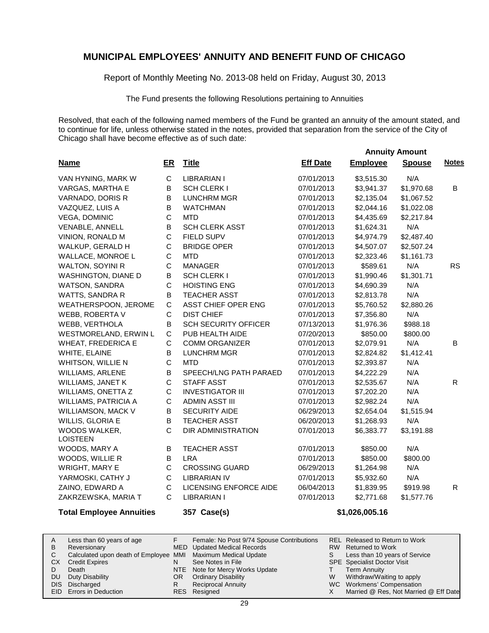Report of Monthly Meeting No. 2013-08 held on Friday, August 30, 2013

The Fund presents the following Resolutions pertaining to Annuities

Resolved, that each of the following named members of the Fund be granted an annuity of the amount stated, and to continue for life, unless otherwise stated in the notes, provided that separation from the service of the City of Chicago shall have become effective as of such date:

 **Annuity Amount**

| <b>Name</b>                      | $E$ R        | <b>Title</b>                | <b>Eff Date</b> | <b>Employee</b> | <b>Spouse</b> | <b>Notes</b> |
|----------------------------------|--------------|-----------------------------|-----------------|-----------------|---------------|--------------|
| VAN HYNING, MARK W               | $\mathbf C$  | <b>LIBRARIAN I</b>          | 07/01/2013      | \$3,515.30      | N/A           |              |
| VARGAS, MARTHA E                 | B            | <b>SCH CLERK I</b>          | 07/01/2013      | \$3,941.37      | \$1,970.68    | B            |
| VARNADO, DORIS R                 | B            | <b>LUNCHRM MGR</b>          | 07/01/2013      | \$2,135.04      | \$1,067.52    |              |
| VAZQUEZ, LUIS A                  | В            | <b>WATCHMAN</b>             | 07/01/2013      | \$2,044.16      | \$1,022.08    |              |
| <b>VEGA, DOMINIC</b>             | $\mathsf C$  | <b>MTD</b>                  | 07/01/2013      | \$4,435.69      | \$2,217.84    |              |
| VENABLE, ANNELL                  | B            | <b>SCH CLERK ASST</b>       | 07/01/2013      | \$1,624.31      | N/A           |              |
| VINION, RONALD M                 | C            | FIELD SUPV                  | 07/01/2013      | \$4,974.79      | \$2,487.40    |              |
| WALKUP, GERALD H                 | C            | <b>BRIDGE OPER</b>          | 07/01/2013      | \$4,507.07      | \$2,507.24    |              |
| WALLACE, MONROE L                | $\mathsf C$  | <b>MTD</b>                  | 07/01/2013      | \$2,323.46      | \$1,161.73    |              |
| <b>WALTON, SOYINI R</b>          | $\mathsf C$  | <b>MANAGER</b>              | 07/01/2013      | \$589.61        | N/A           | <b>RS</b>    |
| WASHINGTON, DIANE D              | В            | SCH CLERK I                 | 07/01/2013      | \$1,990.46      | \$1,301.71    |              |
| <b>WATSON, SANDRA</b>            | C            | <b>HOISTING ENG</b>         | 07/01/2013      | \$4,690.39      | N/A           |              |
| WATTS, SANDRA R                  | B            | <b>TEACHER ASST</b>         | 07/01/2013      | \$2,813.78      | N/A           |              |
| WEATHERSPOON, JEROME             | C            | ASST CHIEF OPER ENG         | 07/01/2013      | \$5,760.52      | \$2,880.26    |              |
| WEBB, ROBERTA V                  | C            | <b>DIST CHIEF</b>           | 07/01/2013      | \$7,356.80      | N/A           |              |
| WEBB, VERTHOLA                   | В            | <b>SCH SECURITY OFFICER</b> | 07/13/2013      | \$1,976.36      | \$988.18      |              |
| WESTMORELAND, ERWIN L            | C            | PUB HEALTH AIDE             | 07/20/2013      | \$850.00        | \$800.00      |              |
| WHEAT, FREDERICA E               | C            | <b>COMM ORGANIZER</b>       | 07/01/2013      | \$2,079.91      | N/A           | В            |
| WHITE, ELAINE                    | B            | <b>LUNCHRM MGR</b>          | 07/01/2013      | \$2,824.82      | \$1,412.41    |              |
| WHITSON, WILLIE N                | $\mathsf C$  | <b>MTD</b>                  | 07/01/2013      | \$2,393.87      | N/A           |              |
| WILLIAMS, ARLENE                 | B            | SPEECH/LNG PATH PARAED      | 07/01/2013      | \$4,222.29      | N/A           |              |
| <b>WILLIAMS, JANET K</b>         | C            | <b>STAFF ASST</b>           | 07/01/2013      | \$2,535.67      | N/A           | R            |
| WILLIAMS, ONETTA Z               | C            | <b>INVESTIGATOR III</b>     | 07/01/2013      | \$7,202.20      | N/A           |              |
| <b>WILLIAMS, PATRICIA A</b>      | С            | ADMIN ASST III              | 07/01/2013      | \$2,982.24      | N/A           |              |
| WILLIAMSON, MACK V               | B            | <b>SECURITY AIDE</b>        | 06/29/2013      | \$2,654.04      | \$1,515.94    |              |
| WILLIS, GLORIA E                 | B            | <b>TEACHER ASST</b>         | 06/20/2013      | \$1,268.93      | N/A           |              |
| WOODS WALKER,<br><b>LOISTEEN</b> | $\mathsf{C}$ | DIR ADMINISTRATION          | 07/01/2013      | \$6,383.77      | \$3,191.88    |              |
| WOODS, MARY A                    | В            | <b>TEACHER ASST</b>         | 07/01/2013      | \$850.00        | N/A           |              |
| WOODS, WILLIE R                  | В            | <b>LRA</b>                  | 07/01/2013      | \$850.00        | \$800.00      |              |
| <b>WRIGHT, MARY E</b>            | C            | <b>CROSSING GUARD</b>       | 06/29/2013      | \$1,264.98      | N/A           |              |
| YARMOSKI, CATHY J                | $\mathsf C$  | <b>LIBRARIAN IV</b>         | 07/01/2013      | \$5,932.60      | N/A           |              |
| ZAINO, EDWARD A                  | С            | LICENSING ENFORCE AIDE      | 06/04/2013      | \$1,839.95      | \$919.98      | $\mathsf{R}$ |
| ZAKRZEWSKA, MARIA T              | C            | <b>LIBRARIAN I</b>          | 07/01/2013      | \$2,771.68      | \$1,577.76    |              |
| <b>Total Employee Annuities</b>  |              | 357 Case(s)                 |                 | \$1,026,005.16  |               |              |

|           | Less than 60 years of age                                    |     | Female: No Post 9/74 Spouse Contributions |   | REL Released to Return to Work        |
|-----------|--------------------------------------------------------------|-----|-------------------------------------------|---|---------------------------------------|
| B         | Reversionary                                                 |     | MED Updated Medical Records               |   | RW Returned to Work                   |
|           | Calculated upon death of Employee MMI Maximum Medical Update |     |                                           |   | Less than 10 years of Service         |
| <b>CX</b> | <b>Credit Expires</b>                                        |     | See Notes in File                         |   | <b>SPE</b> Specialist Doctor Visit    |
|           | Death                                                        |     | NTE Note for Mercy Works Update           |   | <b>Term Annuity</b>                   |
| DU.       | Duty Disability                                              | OR. | <b>Ordinary Disability</b>                | W | Withdraw/Waiting to apply             |
|           | DIS Discharged                                               |     | <b>Reciprocal Annuity</b>                 |   | WC Workmens' Compensation             |
|           | <b>EID</b> Errors in Deduction                               |     | RES Resigned                              |   | Married @ Res, Not Married @ Eff Date |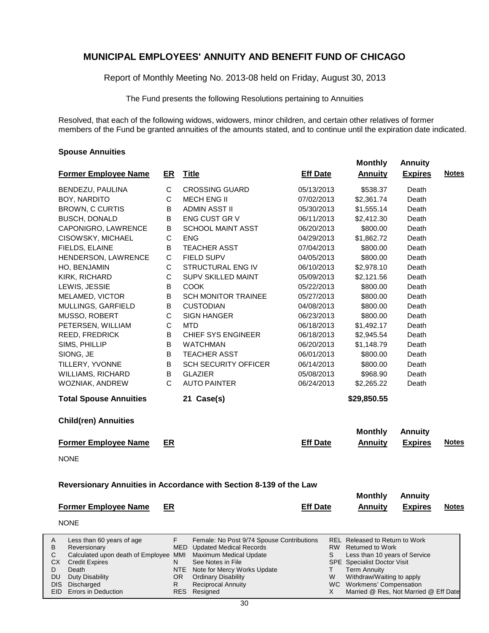Report of Monthly Meeting No. 2013-08 held on Friday, August 30, 2013

The Fund presents the following Resolutions pertaining to Annuities

Resolved, that each of the following widows, widowers, minor children, and certain other relatives of former members of the Fund be granted annuities of the amounts stated, and to continue until the expiration date indicated.

 **Monthly Annuity**

Married @ Res, Not Married @ Eff Date

X

#### **Spouse Annuities**

Errors in Deduction

EID

|                                                                 |              |                                                                     |                 |                                                        | Annuny         |              |
|-----------------------------------------------------------------|--------------|---------------------------------------------------------------------|-----------------|--------------------------------------------------------|----------------|--------------|
| <b>Former Employee Name</b>                                     | <u>ER</u>    | <u>Title</u>                                                        | <b>Eff Date</b> | <b>Annuity</b>                                         | <b>Expires</b> | <b>Notes</b> |
| BENDEZU, PAULINA                                                | С            | <b>CROSSING GUARD</b>                                               | 05/13/2013      | \$538.37                                               | Death          |              |
| BOY, NARDITO                                                    | C            | <b>MECH ENG II</b>                                                  | 07/02/2013      | \$2,361.74                                             | Death          |              |
| <b>BROWN, C CURTIS</b>                                          | В            | ADMIN ASST II                                                       | 05/30/2013      | \$1,555.14                                             | Death          |              |
| <b>BUSCH, DONALD</b>                                            | В            | ENG CUST GR V                                                       | 06/11/2013      | \$2,412.30                                             | Death          |              |
| CAPONIGRO, LAWRENCE                                             | В            | <b>SCHOOL MAINT ASST</b>                                            | 06/20/2013      | \$800.00                                               | Death          |              |
| CISOWSKY, MICHAEL                                               | $\mathsf C$  | <b>ENG</b>                                                          | 04/29/2013      | \$1,862.72                                             | Death          |              |
| FIELDS, ELAINE                                                  | B            | <b>TEACHER ASST</b>                                                 | 07/04/2013      | \$800.00                                               | Death          |              |
| HENDERSON, LAWRENCE                                             | C            | FIELD SUPV                                                          | 04/05/2013      | \$800.00                                               | Death          |              |
| HO, BENJAMIN                                                    | C            | <b>STRUCTURAL ENG IV</b>                                            | 06/10/2013      | \$2,978.10                                             | Death          |              |
| KIRK, RICHARD                                                   | C            | SUPV SKILLED MAINT                                                  | 05/09/2013      | \$2,121.56                                             | Death          |              |
| LEWIS, JESSIE                                                   | В            | <b>COOK</b>                                                         | 05/22/2013      | \$800.00                                               | Death          |              |
| MELAMED, VICTOR                                                 | B            | <b>SCH MONITOR TRAINEE</b>                                          | 05/27/2013      | \$800.00                                               | Death          |              |
| MULLINGS, GARFIELD                                              | В            | <b>CUSTODIAN</b>                                                    | 04/08/2013      | \$800.00                                               | Death          |              |
| MUSSO, ROBERT                                                   | С            | <b>SIGN HANGER</b>                                                  | 06/23/2013      | \$800.00                                               | Death          |              |
| PETERSEN, WILLIAM                                               | $\mathsf C$  | <b>MTD</b>                                                          | 06/18/2013      | \$1,492.17                                             | Death          |              |
| REED, FREDRICK                                                  | B            | <b>CHIEF SYS ENGINEER</b>                                           | 06/18/2013      | \$2,945.54                                             | Death          |              |
| SIMS, PHILLIP                                                   | В            | <b>WATCHMAN</b>                                                     | 06/20/2013      | \$1,148.79                                             | Death          |              |
| SIONG, JE                                                       | В            | <b>TEACHER ASST</b>                                                 | 06/01/2013      | \$800.00                                               | Death          |              |
| TILLERY, YVONNE                                                 | В            | <b>SCH SECURITY OFFICER</b>                                         | 06/14/2013      | \$800.00                                               | Death          |              |
| WILLIAMS, RICHARD                                               | В            | <b>GLAZIER</b>                                                      | 05/08/2013      | \$968.90                                               | Death          |              |
| WOZNIAK, ANDREW                                                 | $\mathsf{C}$ | <b>AUTO PAINTER</b>                                                 | 06/24/2013      | \$2,265.22                                             | Death          |              |
| <b>Total Spouse Annuities</b>                                   |              | 21 Case(s)                                                          |                 | \$29,850.55                                            |                |              |
| <b>Child(ren) Annuities</b>                                     |              |                                                                     |                 |                                                        |                |              |
|                                                                 |              |                                                                     |                 | <b>Monthly</b>                                         | <b>Annuity</b> |              |
| <b>Former Employee Name</b>                                     | ER           |                                                                     | <b>Eff Date</b> | <b>Annuity</b>                                         | <b>Expires</b> | <b>Notes</b> |
| <b>NONE</b>                                                     |              |                                                                     |                 |                                                        |                |              |
|                                                                 |              |                                                                     |                 |                                                        |                |              |
|                                                                 |              | Reversionary Annuities in Accordance with Section 8-139 of the Law  |                 |                                                        |                |              |
|                                                                 |              |                                                                     |                 | <b>Monthly</b>                                         | <b>Annuity</b> |              |
| <b>Former Employee Name</b>                                     | ER           |                                                                     | <b>Eff Date</b> | <b>Annuity</b>                                         | <b>Expires</b> | <b>Notes</b> |
| <b>NONE</b>                                                     |              |                                                                     |                 |                                                        |                |              |
| A<br>Less than 60 years of age                                  | F            | Female: No Post 9/74 Spouse Contributions                           |                 | <b>REL</b> Released to Return to Work                  |                |              |
| В<br>Reversionary<br>С<br>Calculated upon death of Employee MMI |              | <b>MED</b> Updated Medical Records<br><b>Maximum Medical Update</b> | S               | RW Returned to Work<br>Less than 10 years of Service   |                |              |
| СX<br><b>Credit Expires</b>                                     | N            | See Notes in File                                                   |                 | <b>SPE</b> Specialist Doctor Visit                     |                |              |
| D<br>Death                                                      |              | NTE<br>Note for Mercy Works Update                                  | т               | <b>Term Annuity</b>                                    |                |              |
| DU<br><b>Duty Disability</b><br>Discharged<br>DIS.              | R.           | <b>Ordinary Disability</b><br>OR.<br><b>Reciprocal Annuity</b>      | W               | Withdraw/Waiting to apply<br>WC Workmens' Compensation |                |              |

Resigned

RES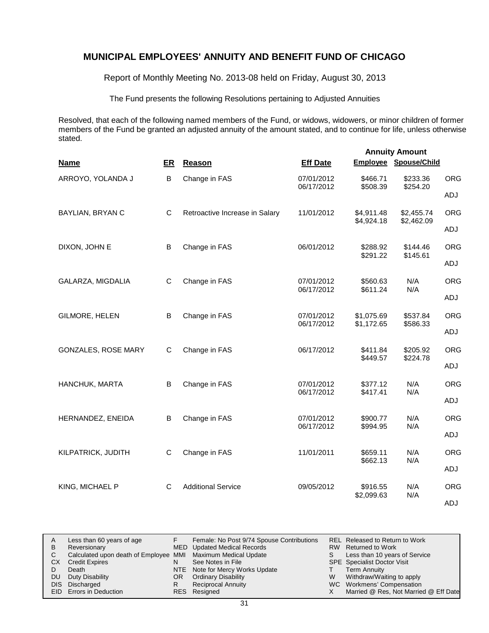Report of Monthly Meeting No. 2013-08 held on Friday, August 30, 2013

The Fund presents the following Resolutions pertaining to Adjusted Annuities

Resolved, that each of the following named members of the Fund, or widows, widowers, or minor children of former members of the Fund be granted an adjusted annuity of the amount stated, and to continue for life, unless otherwise stated.

|                            |    |                                |                          | <b>Annuity Amount</b>    |                              |                                                                                                                                  |  |
|----------------------------|----|--------------------------------|--------------------------|--------------------------|------------------------------|----------------------------------------------------------------------------------------------------------------------------------|--|
| <b>Name</b>                | ER | Reason                         | <b>Eff Date</b>          |                          | <b>Employee Spouse/Child</b> |                                                                                                                                  |  |
| ARROYO, YOLANDA J          | B  | Change in FAS                  | 07/01/2012               | \$466.71                 | \$233.36                     | <b>ORG</b>                                                                                                                       |  |
|                            |    |                                | 06/17/2012               | \$508.39                 |                              | ADJ                                                                                                                              |  |
| BAYLIAN, BRYAN C           | C  | Retroactive Increase in Salary | 11/01/2012               | \$4,911.48<br>\$4,924.18 | \$2,455.74                   | <b>ORG</b>                                                                                                                       |  |
|                            |    |                                |                          |                          |                              | ADJ                                                                                                                              |  |
| DIXON, JOHN E              | B  | Change in FAS                  | 06/01/2012               | \$288.92<br>\$291.22     | \$144.46                     | <b>ORG</b>                                                                                                                       |  |
|                            |    |                                |                          |                          |                              | ADJ                                                                                                                              |  |
| GALARZA, MIGDALIA          | C  | Change in FAS                  | 07/01/2012<br>06/17/2012 | \$560.63<br>\$611.24     | N/A                          | <b>ORG</b>                                                                                                                       |  |
|                            |    |                                |                          |                          |                              | ADJ                                                                                                                              |  |
| GILMORE, HELEN             | B  | Change in FAS                  | 07/01/2012<br>06/17/2012 | \$1,075.69<br>\$1,172.65 | \$537.84                     | <b>ORG</b>                                                                                                                       |  |
|                            |    |                                |                          |                          |                              | ADJ                                                                                                                              |  |
| <b>GONZALES, ROSE MARY</b> | C  | Change in FAS                  | 06/17/2012               | \$411.84<br>\$449.57     | \$205.92                     | <b>ORG</b>                                                                                                                       |  |
|                            |    |                                |                          |                          |                              | ADJ                                                                                                                              |  |
| HANCHUK, MARTA             | B  | Change in FAS                  | 07/01/2012<br>06/17/2012 | \$377.12<br>\$417.41     | N/A                          | <b>ORG</b>                                                                                                                       |  |
|                            |    |                                |                          |                          |                              | ADJ                                                                                                                              |  |
| HERNANDEZ, ENEIDA          | B  | Change in FAS                  | 07/01/2012<br>06/17/2012 | \$900.77<br>\$994.95     | N/A                          | <b>ORG</b>                                                                                                                       |  |
|                            |    |                                |                          |                          |                              | ADJ                                                                                                                              |  |
| KILPATRICK, JUDITH         | C  | Change in FAS                  | 11/01/2011               | \$659.11<br>\$662.13     | N/A                          | <b>ORG</b>                                                                                                                       |  |
|                            |    |                                |                          |                          |                              | \$254.20<br>\$2,462.09<br>\$145.61<br>N/A<br>\$586.33<br>\$224.78<br>N/A<br>N/A<br>N/A<br>ADJ<br>N/A<br><b>ORG</b><br>N/A<br>ADJ |  |
| KING, MICHAEL P            | C  | <b>Additional Service</b>      | 09/05/2012               | \$916.55                 |                              |                                                                                                                                  |  |
|                            |    |                                |                          | \$2,099.63               |                              |                                                                                                                                  |  |

|    | Less than 60 years of age                                    |     | Female: No Post 9/74 Spouse Contributions |    | REL Released to Return to Work        |
|----|--------------------------------------------------------------|-----|-------------------------------------------|----|---------------------------------------|
| B  | Reversionary                                                 |     | MED Updated Medical Records               |    | RW Returned to Work                   |
|    | Calculated upon death of Employee MMI Maximum Medical Update |     |                                           | S. | Less than 10 years of Service         |
| СX | <b>Credit Expires</b>                                        |     | See Notes in File                         |    | <b>SPE</b> Specialist Doctor Visit    |
|    | Death                                                        |     | NTE Note for Mercy Works Update           |    | <b>Term Annuity</b>                   |
| DU | Duty Disability                                              | OR. | <b>Ordinary Disability</b>                | W  | Withdraw/Waiting to apply             |
|    | DIS Discharged                                               |     | <b>Reciprocal Annuity</b>                 |    | WC Workmens' Compensation             |
|    | <b>EID</b> Errors in Deduction                               |     | RES Resigned                              |    | Married @ Res, Not Married @ Eff Date |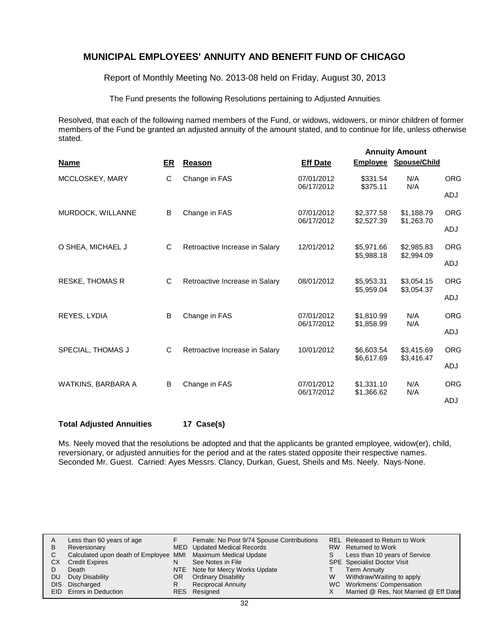Report of Monthly Meeting No. 2013-08 held on Friday, August 30, 2013

The Fund presents the following Resolutions pertaining to Adjusted Annuities

Resolved, that each of the following named members of the Fund, or widows, widowers, or minor children of former members of the Fund be granted an adjusted annuity of the amount stated, and to continue for life, unless otherwise stated.

|                        |    |                                |                          |                          | <b>Annuity Amount</b>    |            |
|------------------------|----|--------------------------------|--------------------------|--------------------------|--------------------------|------------|
| <b>Name</b>            | ER | <b>Reason</b>                  | <b>Eff Date</b>          |                          | Employee Spouse/Child    |            |
| MCCLOSKEY, MARY        | C  | Change in FAS                  | 07/01/2012<br>06/17/2012 | \$331.54<br>\$375.11     | N/A<br>N/A               | <b>ORG</b> |
|                        |    |                                |                          |                          |                          | <b>ADJ</b> |
| MURDOCK, WILLANNE      | B  | Change in FAS                  | 07/01/2012<br>06/17/2012 | \$2,377.58<br>\$2,527.39 | \$1,188.79<br>\$1,263.70 | <b>ORG</b> |
|                        |    |                                |                          |                          |                          | ADJ        |
| O SHEA, MICHAEL J      | C  | Retroactive Increase in Salary | 12/01/2012               | \$5,971.66<br>\$5,988.18 | \$2,985.83<br>\$2,994.09 | <b>ORG</b> |
|                        |    |                                |                          |                          |                          | <b>ADJ</b> |
| <b>RESKE, THOMAS R</b> | C  | Retroactive Increase in Salary | 08/01/2012               | \$5,953.31<br>\$5,959.04 | \$3,054.15               | <b>ORG</b> |
|                        |    |                                |                          |                          | \$3,054.37               | <b>ADJ</b> |
| REYES, LYDIA           | B  | Change in FAS                  | 07/01/2012               | \$1.810.99               | N/A<br>N/A               | <b>ORG</b> |
|                        |    |                                | 06/17/2012               | \$1,858.99               |                          | ADJ        |
| SPECIAL, THOMAS J      | C  | Retroactive Increase in Salary | 10/01/2012               | \$6,603.54               | \$3,415.69               | <b>ORG</b> |
|                        |    |                                |                          | \$6,617.69               | \$3,416.47               | ADJ        |
| WATKINS, BARBARA A     | B  | Change in FAS                  | 07/01/2012               | \$1.331.10               | N/A                      | <b>ORG</b> |
|                        |    |                                | 06/17/2012               | \$1,366.62               | N/A                      | ADJ        |

**Total Adjusted Annuities 17 Case(s)**

Ms. Neely moved that the resolutions be adopted and that the applicants be granted employee, widow(er), child, reversionary, or adjusted annuities for the period and at the rates stated opposite their respective names. Seconded Mr. Guest. Carried: Ayes Messrs. Clancy, Durkan, Guest, Sheils and Ms. Neely. Nays-None.

| Α   | Less than 60 years of age                                    |     | Female: No Post 9/74 Spouse Contributions |    | REL Released to Return to Work        |
|-----|--------------------------------------------------------------|-----|-------------------------------------------|----|---------------------------------------|
| В   | Reversionary                                                 |     | MED Updated Medical Records               |    | RW Returned to Work                   |
|     | Calculated upon death of Employee MMI Maximum Medical Update |     |                                           | S. | Less than 10 years of Service         |
| CХ  | <b>Credit Expires</b>                                        | N   | See Notes in File                         |    | <b>SPE</b> Specialist Doctor Visit    |
|     | Death                                                        |     | NTE Note for Mercy Works Update           |    | <b>Term Annuity</b>                   |
| DU. | Duty Disability                                              | OR. | <b>Ordinary Disability</b>                | W  | Withdraw/Waiting to apply             |
|     | DIS Discharged                                               |     | <b>Reciprocal Annuity</b>                 |    | WC Workmens' Compensation             |
|     | <b>EID</b> Errors in Deduction                               |     | RES Resigned                              |    | Married @ Res, Not Married @ Eff Date |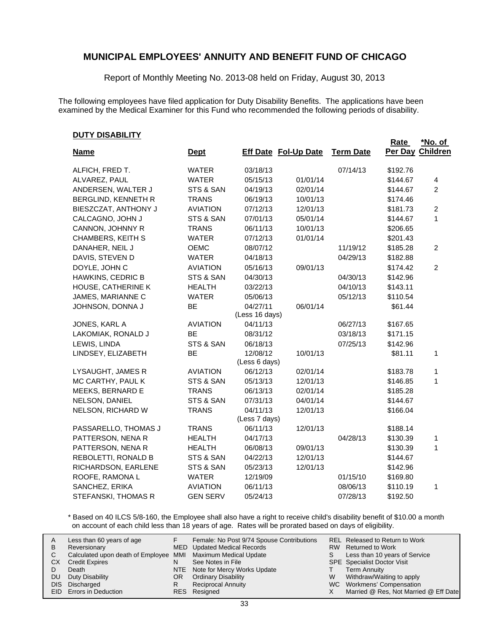Report of Monthly Meeting No. 2013-08 held on Friday, August 30, 2013

The following employees have filed application for Duty Disability Benefits. The applications have been examined by the Medical Examiner for this Fund who recommended the following periods of disability.

#### **DUTY DISABILITY**

| <u> PUTT DISABILITT</u>  |                 |                            |                             |                  | <b>Rate</b> | *No. of         |
|--------------------------|-----------------|----------------------------|-----------------------------|------------------|-------------|-----------------|
| <b>Name</b>              | <b>Dept</b>     |                            | <b>Eff Date Fol-Up Date</b> | <b>Term Date</b> | Per Day     | <b>Children</b> |
| ALFICH, FRED T.          | <b>WATER</b>    | 03/18/13                   |                             | 07/14/13         | \$192.76    |                 |
| ALVAREZ, PAUL            | <b>WATER</b>    | 05/15/13                   | 01/01/14                    |                  | \$144.67    | 4               |
| ANDERSEN, WALTER J       | STS & SAN       | 04/19/13                   | 02/01/14                    |                  | \$144.67    | 2               |
| BERGLIND, KENNETH R      | <b>TRANS</b>    | 06/19/13                   | 10/01/13                    |                  | \$174.46    |                 |
| BIESZCZAT, ANTHONY J     | <b>AVIATION</b> | 07/12/13                   | 12/01/13                    |                  | \$181.73    | $\overline{c}$  |
| CALCAGNO, JOHN J         | STS & SAN       | 07/01/13                   | 05/01/14                    |                  | \$144.67    | 1               |
| CANNON, JOHNNY R         | <b>TRANS</b>    | 06/11/13                   | 10/01/13                    |                  | \$206.65    |                 |
| <b>CHAMBERS, KEITH S</b> | <b>WATER</b>    | 07/12/13                   | 01/01/14                    |                  | \$201.43    |                 |
| DANAHER, NEIL J          | <b>OEMC</b>     | 08/07/12                   |                             | 11/19/12         | \$185.28    | $\overline{2}$  |
| DAVIS, STEVEN D          | <b>WATER</b>    | 04/18/13                   |                             | 04/29/13         | \$182.88    |                 |
| DOYLE, JOHN C            | <b>AVIATION</b> | 05/16/13                   | 09/01/13                    |                  | \$174.42    | $\overline{c}$  |
| <b>HAWKINS, CEDRIC B</b> | STS & SAN       | 04/30/13                   |                             | 04/30/13         | \$142.96    |                 |
| HOUSE, CATHERINE K       | <b>HEALTH</b>   | 03/22/13                   |                             | 04/10/13         | \$143.11    |                 |
| JAMES, MARIANNE C        | <b>WATER</b>    | 05/06/13                   |                             | 05/12/13         | \$110.54    |                 |
| JOHNSON, DONNA J         | BE              | 04/27/11<br>(Less 16 days) | 06/01/14                    |                  | \$61.44     |                 |
| JONES, KARL A            | <b>AVIATION</b> | 04/11/13                   |                             | 06/27/13         | \$167.65    |                 |
| LAKOMIAK, RONALD J       | <b>BE</b>       | 08/31/12                   |                             | 03/18/13         | \$171.15    |                 |
| LEWIS, LINDA             | STS & SAN       | 06/18/13                   |                             | 07/25/13         | \$142.96    |                 |
| LINDSEY, ELIZABETH       | BE              | 12/08/12                   | 10/01/13                    |                  | \$81.11     | 1               |
|                          |                 | (Less 6 days)              |                             |                  |             |                 |
| LYSAUGHT, JAMES R        | <b>AVIATION</b> | 06/12/13                   | 02/01/14                    |                  | \$183.78    | 1               |
| MC CARTHY, PAUL K        | STS & SAN       | 05/13/13                   | 12/01/13                    |                  | \$146.85    | 1               |
| MEEKS, BERNARD E         | <b>TRANS</b>    | 06/13/13                   | 02/01/14                    |                  | \$185.28    |                 |
| NELSON, DANIEL           | STS & SAN       | 07/31/13                   | 04/01/14                    |                  | \$144.67    |                 |
| NELSON, RICHARD W        | <b>TRANS</b>    | 04/11/13                   | 12/01/13                    |                  | \$166.04    |                 |
|                          |                 | (Less 7 days)              |                             |                  |             |                 |
| PASSARELLO, THOMAS J     | <b>TRANS</b>    | 06/11/13                   | 12/01/13                    |                  | \$188.14    |                 |
| PATTERSON, NENA R        | <b>HEALTH</b>   | 04/17/13                   |                             | 04/28/13         | \$130.39    | 1               |
| PATTERSON, NENA R        | <b>HEALTH</b>   | 06/08/13                   | 09/01/13                    |                  | \$130.39    | 1               |
| REBOLETTI, RONALD B      | STS & SAN       | 04/22/13                   | 12/01/13                    |                  | \$144.67    |                 |
| RICHARDSON, EARLENE      | STS & SAN       | 05/23/13                   | 12/01/13                    |                  | \$142.96    |                 |
| ROOFE, RAMONA L          | <b>WATER</b>    | 12/19/09                   |                             | 01/15/10         | \$169.80    |                 |
| SANCHEZ, ERIKA           | <b>AVIATION</b> | 06/11/13                   |                             | 08/06/13         | \$110.19    | 1               |
| STEFANSKI, THOMAS R      | <b>GEN SERV</b> | 05/24/13                   |                             | 07/28/13         | \$192.50    |                 |

\* Based on 40 ILCS 5/8-160, the Employee shall also have a right to receive child's disability benefit of \$10.00 a month on account of each child less than 18 years of age. Rates will be prorated based on days of eligibility.

| A  | Less than 60 years of age                                    |    | Female: No Post 9/74 Spouse Contributions |    | REL Released to Return to Work        |
|----|--------------------------------------------------------------|----|-------------------------------------------|----|---------------------------------------|
| В  | Reversionary                                                 |    | <b>MED</b> Updated Medical Records        |    | RW Returned to Work                   |
|    | Calculated upon death of Employee MMI Maximum Medical Update |    |                                           | S. | Less than 10 years of Service         |
| СX | <b>Credit Expires</b>                                        | N  | See Notes in File                         |    | <b>SPE</b> Specialist Doctor Visit    |
|    | Death                                                        |    | NTE Note for Mercy Works Update           |    | <b>Term Annuity</b>                   |
| DU | Duty Disability                                              | OR | <b>Ordinary Disability</b>                | W  | Withdraw/Waiting to apply             |
|    | DIS Discharged                                               | R  | <b>Reciprocal Annuity</b>                 |    | WC Workmens' Compensation             |
|    | EID Errors in Deduction                                      |    | RES Resigned                              |    | Married @ Res, Not Married @ Eff Date |
|    |                                                              |    |                                           |    |                                       |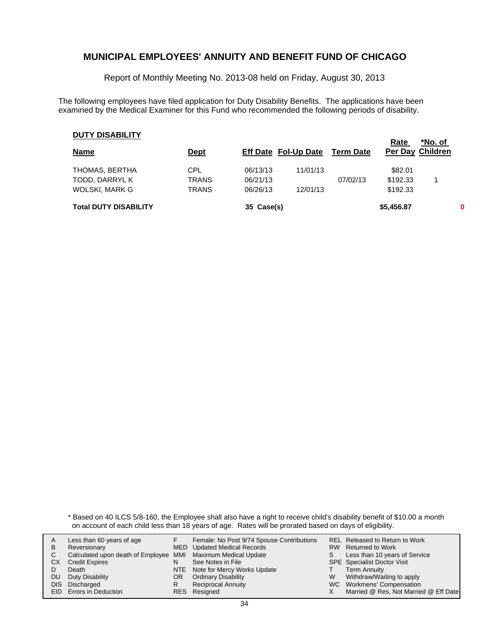Report of Monthly Meeting No. 2013-08 held on Friday, August 30, 2013

The following employees have filed application for Duty Disability Benefits. The applications have been examined by the Medical Examiner for this Fund who recommended the following periods of disability.

#### **DUTY DISABILITY**

| <b>DUIT DIONDILIT</b><br><b>Name</b> | <u>Dept</u>  |            | <b>Eff Date Fol-Up Date</b> | <b>Term Date</b> | Rate<br><b>Per Day Children</b> | *No. of |  |
|--------------------------------------|--------------|------------|-----------------------------|------------------|---------------------------------|---------|--|
| THOMAS, BERTHA                       | CPL          | 06/13/13   | 11/01/13                    |                  | \$82.01                         |         |  |
| TODD, DARRYL K                       | <b>TRANS</b> | 06/21/13   |                             | 07/02/13         | \$192.33                        |         |  |
| WOLSKI, MARK G                       | <b>TRANS</b> | 06/26/13   | 12/01/13                    |                  | \$192.33                        |         |  |
| <b>Total DUTY DISABILITY</b>         |              | 35 Case(s) |                             |                  | \$5,456.87                      | 0       |  |

\* Based on 40 ILCS 5/8-160, the Employee shall also have a right to receive child's disability benefit of \$10.00 a month on account of each child less than 18 years of age. Rates will be prorated based on days of eligibility.

| A    | Less than 60 years of age                                    |    | Female: No Post 9/74 Spouse Contributions |    | REL Released to Return to Work        |
|------|--------------------------------------------------------------|----|-------------------------------------------|----|---------------------------------------|
| В    | Reversionary                                                 |    | <b>MED</b> Updated Medical Records        |    | RW Returned to Work                   |
|      | Calculated upon death of Employee MMI Maximum Medical Update |    |                                           | S. | Less than 10 years of Service         |
| CХ   | <b>Credit Expires</b>                                        | N  | See Notes in File                         |    | <b>SPE</b> Specialist Doctor Visit    |
|      | Death                                                        |    | NTE Note for Mercy Works Update           |    | <b>Term Annuity</b>                   |
| DU   | Duty Disability                                              | OR | <b>Ordinary Disability</b>                | W  | Withdraw/Waiting to apply             |
| DIS. | Discharged                                                   | R  | <b>Reciprocal Annuity</b>                 |    | WC Workmens' Compensation             |
|      | <b>EID</b> Errors in Deduction                               |    | RES Resigned                              |    | Married @ Res, Not Married @ Eff Date |
|      |                                                              |    |                                           |    |                                       |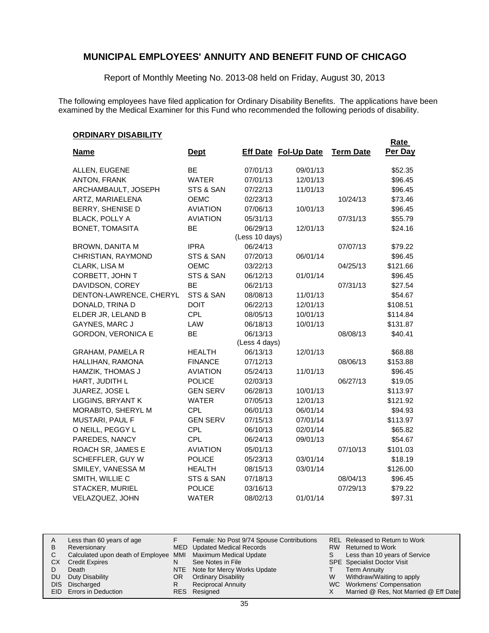Report of Monthly Meeting No. 2013-08 held on Friday, August 30, 2013

The following employees have filed application for Ordinary Disability Benefits. The applications have been examined by the Medical Examiner for this Fund who recommended the following periods of disability.

#### **ORDINARY DISABILITY**

|                           |                 |                |                             |                  | <b>Rate</b> |
|---------------------------|-----------------|----------------|-----------------------------|------------------|-------------|
| <b>Name</b>               | <u>Dept</u>     |                | <b>Eff Date Fol-Up Date</b> | <b>Term Date</b> | Per Day     |
| ALLEN, EUGENE             | BE              | 07/01/13       | 09/01/13                    |                  | \$52.35     |
| ANTON, FRANK              | <b>WATER</b>    | 07/01/13       | 12/01/13                    |                  | \$96.45     |
| ARCHAMBAULT, JOSEPH       | STS & SAN       | 07/22/13       | 11/01/13                    |                  | \$96.45     |
| ARTZ, MARIAELENA          | OEMC            | 02/23/13       |                             | 10/24/13         | \$73.46     |
| BERRY, SHENISE D          | <b>AVIATION</b> | 07/06/13       | 10/01/13                    |                  | \$96.45     |
| <b>BLACK, POLLY A</b>     | <b>AVIATION</b> | 05/31/13       |                             | 07/31/13         | \$55.79     |
| BONET, TOMASITA           | <b>BE</b>       | 06/29/13       | 12/01/13                    |                  | \$24.16     |
|                           |                 | (Less 10 days) |                             |                  |             |
| BROWN, DANITA M           | <b>IPRA</b>     | 06/24/13       |                             | 07/07/13         | \$79.22     |
| CHRISTIAN, RAYMOND        | STS & SAN       | 07/20/13       | 06/01/14                    |                  | \$96.45     |
| CLARK, LISA M             | OEMC            | 03/22/13       |                             | 04/25/13         | \$121.66    |
| CORBETT, JOHN T           | STS & SAN       | 06/12/13       | 01/01/14                    |                  | \$96.45     |
| DAVIDSON, COREY           | <b>BE</b>       | 06/21/13       |                             | 07/31/13         | \$27.54     |
| DENTON-LAWRENCE, CHERYL   | STS & SAN       | 08/08/13       | 11/01/13                    |                  | \$54.67     |
| DONALD, TRINA D           | <b>DOIT</b>     | 06/22/13       | 12/01/13                    |                  | \$108.51    |
| ELDER JR, LELAND B        | <b>CPL</b>      | 08/05/13       | 10/01/13                    |                  | \$114.84    |
| <b>GAYNES, MARC J</b>     | LAW             | 06/18/13       | 10/01/13                    |                  | \$131.87    |
| <b>GORDON, VERONICA E</b> | BE              | 06/13/13       |                             | 08/08/13         | \$40.41     |
|                           |                 | (Less 4 days)  |                             |                  |             |
| <b>GRAHAM, PAMELA R</b>   | <b>HEALTH</b>   | 06/13/13       | 12/01/13                    |                  | \$68.88     |
| HALLIHAN, RAMONA          | <b>FINANCE</b>  | 07/12/13       |                             | 08/06/13         | \$153.88    |
| HAMZIK, THOMAS J          | <b>AVIATION</b> | 05/24/13       | 11/01/13                    |                  | \$96.45     |
| HART, JUDITH L            | <b>POLICE</b>   | 02/03/13       |                             | 06/27/13         | \$19.05     |
| JUAREZ, JOSE L            | <b>GEN SERV</b> | 06/28/13       | 10/01/13                    |                  | \$113.97    |
| <b>LIGGINS, BRYANT K</b>  | <b>WATER</b>    | 07/05/13       | 12/01/13                    |                  | \$121.92    |
| MORABITO, SHERYL M        | <b>CPL</b>      | 06/01/13       | 06/01/14                    |                  | \$94.93     |
| MUSTARI, PAUL F           | <b>GEN SERV</b> | 07/15/13       | 07/01/14                    |                  | \$113.97    |
| O NEILL, PEGGY L          | <b>CPL</b>      | 06/10/13       | 02/01/14                    |                  | \$65.82     |
| PAREDES, NANCY            | <b>CPL</b>      | 06/24/13       | 09/01/13                    |                  | \$54.67     |
| ROACH SR, JAMES E         | <b>AVIATION</b> | 05/01/13       |                             | 07/10/13         | \$101.03    |
| SCHEFFLER, GUY W          | <b>POLICE</b>   | 05/23/13       | 03/01/14                    |                  | \$18.19     |
| SMILEY, VANESSA M         | <b>HEALTH</b>   | 08/15/13       | 03/01/14                    |                  | \$126.00    |
| SMITH, WILLIE C           | STS & SAN       | 07/18/13       |                             | 08/04/13         | \$96.45     |
| STACKER, MURIEL           | <b>POLICE</b>   | 03/16/13       |                             | 07/29/13         | \$79.22     |
| VELAZQUEZ, JOHN           | <b>WATER</b>    | 08/02/13       | 01/01/14                    |                  | \$97.31     |

| A  | Less than 60 years of age                                    |    | Female: No Post 9/74 Spouse Contributions |   | REL Released to Return to Work        |
|----|--------------------------------------------------------------|----|-------------------------------------------|---|---------------------------------------|
| В  | Reversionary                                                 |    | <b>MED</b> Updated Medical Records        |   | RW Returned to Work                   |
|    | Calculated upon death of Employee MMI Maximum Medical Update |    |                                           |   | Less than 10 years of Service         |
| CХ | <b>Credit Expires</b>                                        | N  | See Notes in File                         |   | <b>SPE</b> Specialist Doctor Visit    |
|    | Death                                                        |    | NTE Note for Mercy Works Update           |   | <b>Term Annuity</b>                   |
| DU | Duty Disability                                              | OR | <b>Ordinary Disability</b>                | W | Withdraw/Waiting to apply             |
|    | DIS Discharged                                               | R  | <b>Reciprocal Annuity</b>                 |   | WC Workmens' Compensation             |
|    | EID Errors in Deduction                                      |    | RES Resigned                              |   | Married @ Res, Not Married @ Eff Date |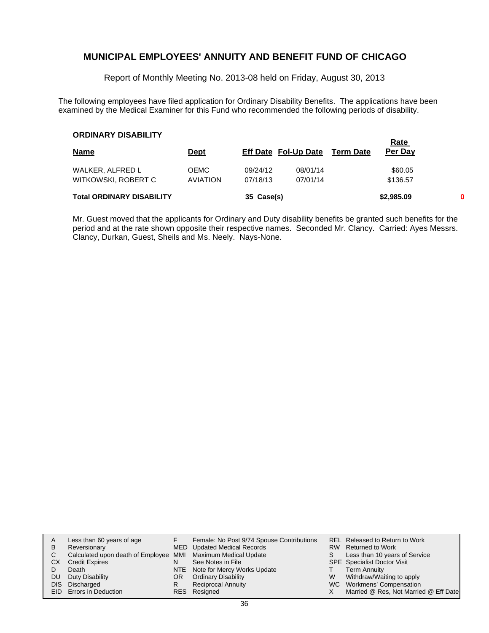Report of Monthly Meeting No. 2013-08 held on Friday, August 30, 2013

The following employees have filed application for Ordinary Disability Benefits. The applications have been examined by the Medical Examiner for this Fund who recommended the following periods of disability.

#### **ORDINARY DISABILITY**

| <b>UNDIMANT DISABILITI</b>       |                 |            |                             |                  | <b>Rate</b> |   |
|----------------------------------|-----------------|------------|-----------------------------|------------------|-------------|---|
| <b>Name</b>                      | <u>Dept</u>     |            | <b>Eff Date Fol-Up Date</b> | <b>Term Date</b> | Per Day     |   |
| WALKER, ALFRED L                 | <b>OEMC</b>     | 09/24/12   | 08/01/14                    |                  | \$60.05     |   |
| WITKOWSKI, ROBERT C              | <b>AVIATION</b> | 07/18/13   | 07/01/14                    |                  | \$136.57    |   |
| <b>Total ORDINARY DISABILITY</b> |                 | 35 Case(s) |                             |                  | \$2,985.09  | 0 |

Mr. Guest moved that the applicants for Ordinary and Duty disability benefits be granted such benefits for the period and at the rate shown opposite their respective names. Seconded Mr. Clancy. Carried: Ayes Messrs. Clancy, Durkan, Guest, Sheils and Ms. Neely. Nays-None.

| A    | Less than 60 years of age                                    |    | Female: No Post 9/74 Spouse Contributions |   | REL Released to Return to Work        |
|------|--------------------------------------------------------------|----|-------------------------------------------|---|---------------------------------------|
| B    | Reversionary                                                 |    | <b>MED</b> Updated Medical Records        |   | RW Returned to Work                   |
|      | Calculated upon death of Employee MMI Maximum Medical Update |    |                                           | S | Less than 10 years of Service         |
| CХ   | <b>Credit Expires</b>                                        | N  | See Notes in File                         |   | <b>SPE</b> Specialist Doctor Visit    |
|      | Death                                                        |    | NTE Note for Mercy Works Update           |   | <b>Term Annuity</b>                   |
| DU.  | Duty Disability                                              | OR | <b>Ordinary Disability</b>                | W | Withdraw/Waiting to apply             |
| DIS. | Discharged                                                   | R  | <b>Reciprocal Annuity</b>                 |   | WC Workmens' Compensation             |
|      | EID Errors in Deduction                                      |    | RES Resigned                              |   | Married @ Res, Not Married @ Eff Date |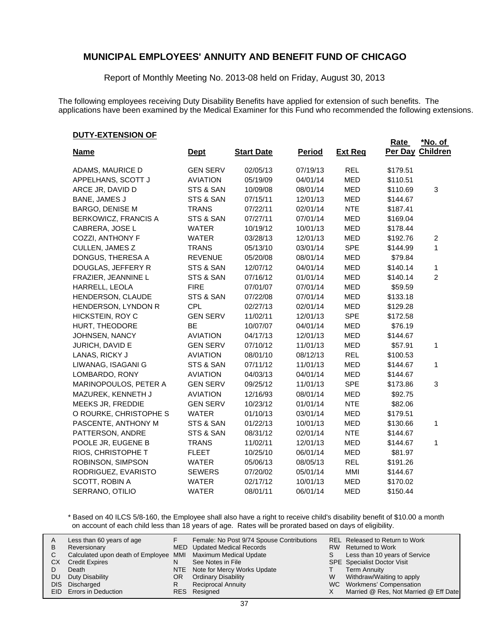Report of Monthly Meeting No. 2013-08 held on Friday, August 30, 2013

The following employees receiving Duty Disability Benefits have applied for extension of such benefits. The applications have been examined by the Medical Examiner for this Fund who recommended the following extensions.

#### **DUTY-EXTENSION OF**

|                        |                 |                   |               |                | <b>Rate</b> | <u>*No. of</u>  |
|------------------------|-----------------|-------------------|---------------|----------------|-------------|-----------------|
| <b>Name</b>            | <u>Dept</u>     | <b>Start Date</b> | <b>Period</b> | <b>Ext Req</b> | Per Day     | <b>Children</b> |
| ADAMS, MAURICE D       | <b>GEN SERV</b> | 02/05/13          | 07/19/13      | <b>REL</b>     | \$179.51    |                 |
| APPELHANS, SCOTT J     | <b>AVIATION</b> | 05/19/09          | 04/01/14      | <b>MED</b>     | \$110.51    |                 |
| ARCE JR, DAVID D       | STS & SAN       | 10/09/08          | 08/01/14      | MED            | \$110.69    | 3               |
| <b>BANE, JAMES J</b>   | STS & SAN       | 07/15/11          | 12/01/13      | <b>MED</b>     | \$144.67    |                 |
| <b>BARGO, DENISE M</b> | <b>TRANS</b>    | 07/22/11          | 02/01/14      | <b>NTE</b>     | \$187.41    |                 |
| BERKOWICZ, FRANCIS A   | STS & SAN       | 07/27/11          | 07/01/14      | MED            | \$169.04    |                 |
| CABRERA, JOSE L        | <b>WATER</b>    | 10/19/12          | 10/01/13      | MED            | \$178.44    |                 |
| COZZI, ANTHONY F       | <b>WATER</b>    | 03/28/13          | 12/01/13      | <b>MED</b>     | \$192.76    | $\overline{c}$  |
| CULLEN, JAMES Z        | <b>TRANS</b>    | 05/13/10          | 03/01/14      | <b>SPE</b>     | \$144.99    | 1               |
| DONGUS, THERESA A      | <b>REVENUE</b>  | 05/20/08          | 08/01/14      | MED            | \$79.84     |                 |
| DOUGLAS, JEFFERY R     | STS & SAN       | 12/07/12          | 04/01/14      | MED            | \$140.14    | 1               |
| FRAZIER, JEANNINE L    | STS & SAN       | 07/16/12          | 01/01/14      | MED            | \$140.14    | $\overline{2}$  |
| HARRELL, LEOLA         | <b>FIRE</b>     | 07/01/07          | 07/01/14      | MED            | \$59.59     |                 |
| HENDERSON, CLAUDE      | STS & SAN       | 07/22/08          | 07/01/14      | <b>MED</b>     | \$133.18    |                 |
| HENDERSON, LYNDON R    | <b>CPL</b>      | 02/27/13          | 02/01/14      | <b>MED</b>     | \$129.28    |                 |
| HICKSTEIN, ROY C       | <b>GEN SERV</b> | 11/02/11          | 12/01/13      | <b>SPE</b>     | \$172.58    |                 |
| HURT, THEODORE         | BE              | 10/07/07          | 04/01/14      | <b>MED</b>     | \$76.19     |                 |
| JOHNSEN, NANCY         | <b>AVIATION</b> | 04/17/13          | 12/01/13      | <b>MED</b>     | \$144.67    |                 |
| JURICH, DAVID E        | <b>GEN SERV</b> | 07/10/12          | 11/01/13      | <b>MED</b>     | \$57.91     | 1               |
| LANAS, RICKY J         | <b>AVIATION</b> | 08/01/10          | 08/12/13      | <b>REL</b>     | \$100.53    |                 |
| LIWANAG, ISAGANI G     | STS & SAN       | 07/11/12          | 11/01/13      | <b>MED</b>     | \$144.67    | 1               |
| LOMBARDO, RONY         | <b>AVIATION</b> | 04/03/13          | 04/01/14      | <b>MED</b>     | \$144.67    |                 |
| MARINOPOULOS, PETER A  | <b>GEN SERV</b> | 09/25/12          | 11/01/13      | <b>SPE</b>     | \$173.86    | 3               |
| MAZUREK, KENNETH J     | <b>AVIATION</b> | 12/16/93          | 08/01/14      | <b>MED</b>     | \$92.75     |                 |
| MEEKS JR, FREDDIE      | <b>GEN SERV</b> | 10/23/12          | 01/01/14      | <b>NTE</b>     | \$82.06     |                 |
| O ROURKE, CHRISTOPHE S | <b>WATER</b>    | 01/10/13          | 03/01/14      | <b>MED</b>     | \$179.51    |                 |
| PASCENTE, ANTHONY M    | STS & SAN       | 01/22/13          | 10/01/13      | MED            | \$130.66    | 1               |
| PATTERSON, ANDRE       | STS & SAN       | 08/31/12          | 02/01/14      | <b>NTE</b>     | \$144.67    |                 |
| POOLE JR, EUGENE B     | <b>TRANS</b>    | 11/02/11          | 12/01/13      | <b>MED</b>     | \$144.67    | 1               |
| RIOS, CHRISTOPHE T     | <b>FLEET</b>    | 10/25/10          | 06/01/14      | <b>MED</b>     | \$81.97     |                 |
| ROBINSON, SIMPSON      | <b>WATER</b>    | 05/06/13          | 08/05/13      | <b>REL</b>     | \$191.26    |                 |
| RODRIGUEZ, EVARISTO    | <b>SEWERS</b>   | 07/20/02          | 05/01/14      | MMI            | \$144.67    |                 |
| SCOTT, ROBIN A         | <b>WATER</b>    | 02/17/12          | 10/01/13      | MED            | \$170.02    |                 |
| SERRANO, OTILIO        | <b>WATER</b>    | 08/01/11          | 06/01/14      | MED            | \$150.44    |                 |

\* Based on 40 ILCS 5/8-160, the Employee shall also have a right to receive child's disability benefit of \$10.00 a month on account of each child less than 18 years of age. Rates will be prorated based on days of eligibility.

| A  | Less than 60 years of age                                    |    | Female: No Post 9/74 Spouse Contributions |    | REL Released to Return to Work        |
|----|--------------------------------------------------------------|----|-------------------------------------------|----|---------------------------------------|
| В  | Reversionary                                                 |    | <b>MED</b> Updated Medical Records        |    | RW Returned to Work                   |
|    | Calculated upon death of Employee MMI Maximum Medical Update |    |                                           | S. | Less than 10 years of Service         |
| СX | <b>Credit Expires</b>                                        | N  | See Notes in File                         |    | <b>SPE</b> Specialist Doctor Visit    |
|    | Death                                                        |    | NTE Note for Mercy Works Update           |    | <b>Term Annuity</b>                   |
| DU | Duty Disability                                              | OR | <b>Ordinary Disability</b>                | W  | Withdraw/Waiting to apply             |
|    | DIS Discharged                                               | R  | <b>Reciprocal Annuity</b>                 |    | WC Workmens' Compensation             |
|    | <b>EID</b> Errors in Deduction                               |    | RES Resigned                              |    | Married @ Res, Not Married @ Eff Date |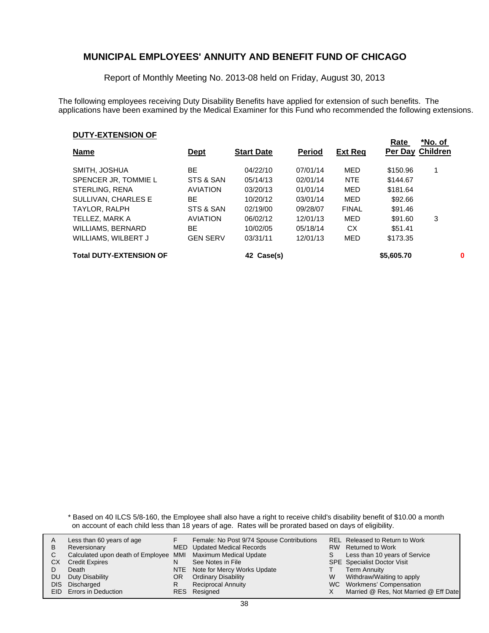Report of Monthly Meeting No. 2013-08 held on Friday, August 30, 2013

The following employees receiving Duty Disability Benefits have applied for extension of such benefits. The applications have been examined by the Medical Examiner for this Fund who recommended the following extensions.

#### **DUTY-EXTENSION OF**

| <b>Name</b>                    | <u>Dept</u>     | <b>Start Date</b> | <b>Period</b> | <b>Ext Req</b> | Rate<br>Per Day Children | *No. of |
|--------------------------------|-----------------|-------------------|---------------|----------------|--------------------------|---------|
| SMITH, JOSHUA                  | BE              | 04/22/10          | 07/01/14      | MED            | \$150.96                 |         |
| SPENCER JR, TOMMIE L           | STS & SAN       | 05/14/13          | 02/01/14      | <b>NTE</b>     | \$144.67                 |         |
| STERLING, RENA                 | <b>AVIATION</b> | 03/20/13          | 01/01/14      | MED            | \$181.64                 |         |
| SULLIVAN, CHARLES E            | ВE              | 10/20/12          | 03/01/14      | MED            | \$92.66                  |         |
| TAYLOR, RALPH                  | STS & SAN       | 02/19/00          | 09/28/07      | <b>FINAL</b>   | \$91.46                  |         |
| TELLEZ, MARK A                 | <b>AVIATION</b> | 06/02/12          | 12/01/13      | MED            | \$91.60                  | 3       |
| <b>WILLIAMS, BERNARD</b>       | ВE              | 10/02/05          | 05/18/14      | СX             | \$51.41                  |         |
| WILLIAMS, WILBERT J            | <b>GEN SERV</b> | 03/31/11          | 12/01/13      | MED            | \$173.35                 |         |
| <b>Total DUTY-EXTENSION OF</b> |                 | 42 Case(s)        |               |                | \$5,605.70               | 0       |

\* Based on 40 ILCS 5/8-160, the Employee shall also have a right to receive child's disability benefit of \$10.00 a month on account of each child less than 18 years of age. Rates will be prorated based on days of eligibility.

| A  | Less than 60 years of age                                    |    | Female: No Post 9/74 Spouse Contributions |   | <b>REL Released to Return to Work</b> |
|----|--------------------------------------------------------------|----|-------------------------------------------|---|---------------------------------------|
| В  | Reversionary                                                 |    | MED Updated Medical Records               |   | RW Returned to Work                   |
|    | Calculated upon death of Employee MMI Maximum Medical Update |    |                                           |   | Less than 10 years of Service         |
| СX | <b>Credit Expires</b>                                        | N  | See Notes in File                         |   | <b>SPE</b> Specialist Doctor Visit    |
|    | Death                                                        |    | NTE Note for Mercy Works Update           |   | <b>Term Annuity</b>                   |
| DU | Duty Disability                                              | OR | <b>Ordinary Disability</b>                | W | Withdraw/Waiting to apply             |
|    | DIS Discharged                                               | R  | <b>Reciprocal Annuity</b>                 |   | WC Workmens' Compensation             |
|    | <b>EID</b> Errors in Deduction                               |    | RES Resigned                              |   | Married @ Res, Not Married @ Eff Date |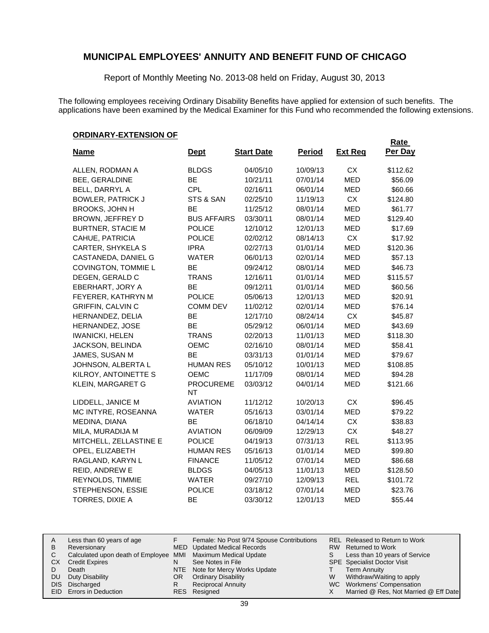Report of Monthly Meeting No. 2013-08 held on Friday, August 30, 2013

The following employees receiving Ordinary Disability Benefits have applied for extension of such benefits. The applications have been examined by the Medical Examiner for this Fund who recommended the following extensions.

#### **ORDINARY-EXTENSION OF**

| <b>Name</b>              | <u>Dept</u>                   | <b>Start Date</b> | <b>Period</b> | <b>Ext Req</b> | <b>Rate</b><br>Per Day |
|--------------------------|-------------------------------|-------------------|---------------|----------------|------------------------|
|                          |                               |                   |               |                |                        |
| ALLEN, RODMAN A          | <b>BLDGS</b>                  | 04/05/10          | 10/09/13      | <b>CX</b>      | \$112.62               |
| BEE, GERALDINE           | BE                            | 10/21/11          | 07/01/14      | <b>MED</b>     | \$56.09                |
| BELL, DARRYL A           | <b>CPL</b>                    | 02/16/11          | 06/01/14      | <b>MED</b>     | \$60.66                |
| <b>BOWLER, PATRICK J</b> | STS & SAN                     | 02/25/10          | 11/19/13      | CX             | \$124.80               |
| <b>BROOKS, JOHN H</b>    | <b>BE</b>                     | 11/25/12          | 08/01/14      | <b>MED</b>     | \$61.77                |
| BROWN, JEFFREY D         | <b>BUS AFFAIRS</b>            | 03/30/11          | 08/01/14      | MED            | \$129.40               |
| <b>BURTNER, STACIE M</b> | <b>POLICE</b>                 | 12/10/12          | 12/01/13      | <b>MED</b>     | \$17.69                |
| CAHUE, PATRICIA          | <b>POLICE</b>                 | 02/02/12          | 08/14/13      | <b>CX</b>      | \$17.92                |
| CARTER, SHYKELA S        | <b>IPRA</b>                   | 02/27/13          | 01/01/14      | <b>MED</b>     | \$120.36               |
| CASTANEDA, DANIEL G      | <b>WATER</b>                  | 06/01/13          | 02/01/14      | <b>MED</b>     | \$57.13                |
| COVINGTON, TOMMIE L      | <b>BE</b>                     | 09/24/12          | 08/01/14      | <b>MED</b>     | \$46.73                |
| DEGEN, GERALD C          | <b>TRANS</b>                  | 12/16/11          | 01/01/14      | <b>MED</b>     | \$115.57               |
| EBERHART, JORY A         | ВE                            | 09/12/11          | 01/01/14      | <b>MED</b>     | \$60.56                |
| FEYERER, KATHRYN M       | <b>POLICE</b>                 | 05/06/13          | 12/01/13      | <b>MED</b>     | \$20.91                |
| <b>GRIFFIN, CALVIN C</b> | <b>COMM DEV</b>               | 11/02/12          | 02/01/14      | <b>MED</b>     | \$76.14                |
| HERNANDEZ, DELIA         | <b>BE</b>                     | 12/17/10          | 08/24/14      | <b>CX</b>      | \$45.87                |
| <b>HERNANDEZ, JOSE</b>   | <b>BE</b>                     | 05/29/12          | 06/01/14      | <b>MED</b>     | \$43.69                |
| <b>IWANICKI, HELEN</b>   | <b>TRANS</b>                  | 02/20/13          | 11/01/13      | <b>MED</b>     | \$118.30               |
| JACKSON, BELINDA         | <b>OEMC</b>                   | 02/16/10          | 08/01/14      | <b>MED</b>     | \$58.41                |
| JAMES, SUSAN M           | <b>BE</b>                     | 03/31/13          | 01/01/14      | MED            | \$79.67                |
| JOHNSON, ALBERTA L       | <b>HUMAN RES</b>              | 05/10/12          | 10/01/13      | <b>MED</b>     | \$108.85               |
| KILROY, ANTOINETTE S     | <b>OEMC</b>                   | 11/17/09          | 08/01/14      | <b>MED</b>     | \$94.28                |
| KLEIN, MARGARET G        | <b>PROCUREME</b><br><b>NT</b> | 03/03/12          | 04/01/14      | <b>MED</b>     | \$121.66               |
| LIDDELL, JANICE M        | <b>AVIATION</b>               | 11/12/12          | 10/20/13      | CX.            | \$96.45                |
| MC INTYRE, ROSEANNA      | <b>WATER</b>                  | 05/16/13          | 03/01/14      | <b>MED</b>     | \$79.22                |
| MEDINA, DIANA            | <b>BE</b>                     | 06/18/10          | 04/14/14      | <b>CX</b>      | \$38.83                |
| MILA, MURADIJA M         | <b>AVIATION</b>               | 06/09/09          | 12/29/13      | <b>CX</b>      | \$48.27                |
| MITCHELL, ZELLASTINE E   | <b>POLICE</b>                 | 04/19/13          | 07/31/13      | <b>REL</b>     | \$113.95               |
| OPEL, ELIZABETH          | <b>HUMAN RES</b>              | 05/16/13          | 01/01/14      | <b>MED</b>     | \$99.80                |
| RAGLAND, KARYN L         | <b>FINANCE</b>                | 11/05/12          | 07/01/14      | MED            | \$86.68                |
| REID, ANDREW E           | <b>BLDGS</b>                  | 04/05/13          | 11/01/13      | <b>MED</b>     | \$128.50               |
| REYNOLDS, TIMMIE         | <b>WATER</b>                  | 09/27/10          | 12/09/13      | <b>REL</b>     | \$101.72               |
| STEPHENSON, ESSIE        | <b>POLICE</b>                 | 03/18/12          | 07/01/14      | <b>MED</b>     | \$23.76                |
| TORRES, DIXIE A          | <b>BE</b>                     | 03/30/12          | 12/01/13      | MED            | \$55.44                |

| A  | Less than 60 years of age                                    |    | Female: No Post 9/74 Spouse Contributions |   | REL Released to Return to Work        |
|----|--------------------------------------------------------------|----|-------------------------------------------|---|---------------------------------------|
| В  | Reversionary                                                 |    | <b>MED</b> Updated Medical Records        |   | RW Returned to Work                   |
|    | Calculated upon death of Employee MMI Maximum Medical Update |    |                                           |   | Less than 10 years of Service         |
| CХ | <b>Credit Expires</b>                                        | N  | See Notes in File                         |   | <b>SPE</b> Specialist Doctor Visit    |
|    | Death                                                        |    | NTE Note for Mercy Works Update           |   | <b>Term Annuity</b>                   |
| DU | Duty Disability                                              | OR | <b>Ordinary Disability</b>                | W | Withdraw/Waiting to apply             |
|    | DIS Discharged                                               | R  | <b>Reciprocal Annuity</b>                 |   | WC Workmens' Compensation             |
|    | EID Errors in Deduction                                      |    | RES Resigned                              |   | Married @ Res, Not Married @ Eff Date |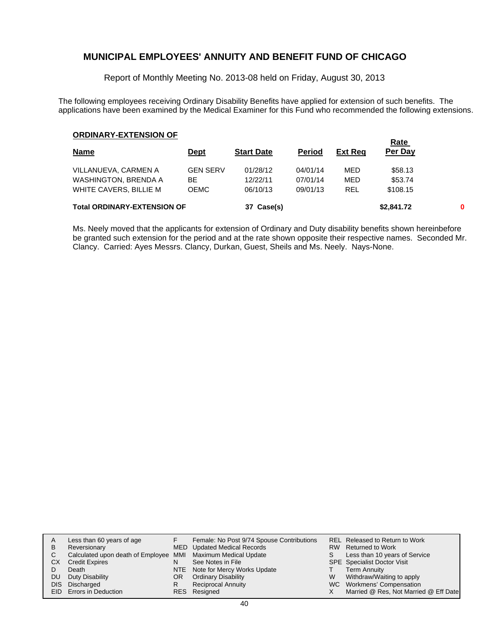Report of Monthly Meeting No. 2013-08 held on Friday, August 30, 2013

The following employees receiving Ordinary Disability Benefits have applied for extension of such benefits. The applications have been examined by the Medical Examiner for this Fund who recommended the following extensions.

#### **ORDINARY-EXTENSION OF**

| <b>Name</b>                        | <u>Dept</u>     | <b>Start Date</b> | <b>Period</b> | <u>Ext Req</u> | <u>naie</u><br>Per Day |  |
|------------------------------------|-----------------|-------------------|---------------|----------------|------------------------|--|
| VILLANUEVA, CARMEN A               | <b>GEN SERV</b> | 01/28/12          | 04/01/14      | MED            | \$58.13                |  |
| <b>WASHINGTON, BRENDA A</b>        | BE              | 12/22/11          | 07/01/14      | MED            | \$53.74                |  |
| WHITE CAVERS, BILLIE M             | <b>OEMC</b>     | 06/10/13          | 09/01/13      | <b>REL</b>     | \$108.15               |  |
| <b>Total ORDINARY-EXTENSION OF</b> | 37 Case(s)      |                   |               | \$2,841.72     | 0                      |  |

**Rate** 

Ms. Neely moved that the applicants for extension of Ordinary and Duty disability benefits shown hereinbefore be granted such extension for the period and at the rate shown opposite their respective names. Seconded Mr. Clancy. Carried: Ayes Messrs. Clancy, Durkan, Guest, Sheils and Ms. Neely. Nays-None.

| A    | Less than 60 years of age                                    |    | Female: No Post 9/74 Spouse Contributions |    | REL Released to Return to Work        |
|------|--------------------------------------------------------------|----|-------------------------------------------|----|---------------------------------------|
| B    | Reversionary                                                 |    | MED Updated Medical Records               |    | RW Returned to Work                   |
|      | Calculated upon death of Employee MMI Maximum Medical Update |    |                                           | S. | Less than 10 years of Service         |
| CХ   | <b>Credit Expires</b>                                        | N  | See Notes in File                         |    | <b>SPE</b> Specialist Doctor Visit    |
|      | Death                                                        |    | NTE Note for Mercy Works Update           |    | <b>Term Annuity</b>                   |
| DU.  | Duty Disability                                              | OR | <b>Ordinary Disability</b>                | W  | Withdraw/Waiting to apply             |
| DIS. | Discharged                                                   | R  | <b>Reciprocal Annuity</b>                 |    | WC Workmens' Compensation             |
|      | EID Errors in Deduction                                      |    | RES Resigned                              |    | Married @ Res, Not Married @ Eff Date |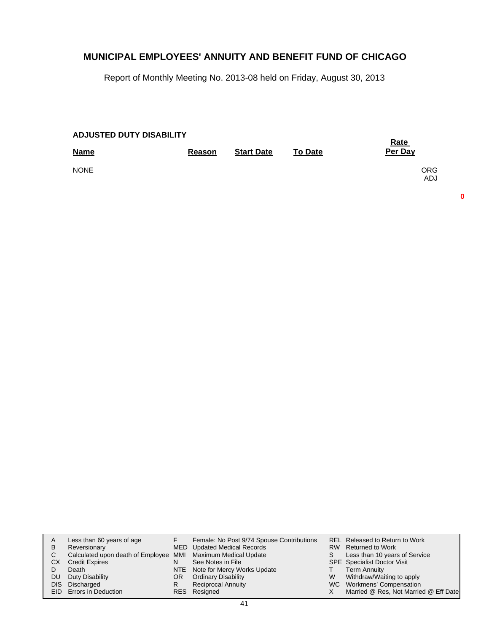Report of Monthly Meeting No. 2013-08 held on Friday, August 30, 2013

| <b>ADJUSTED DUTY DISABILITY</b> | <u>Rate</u> |                   |                |                   |
|---------------------------------|-------------|-------------------|----------------|-------------------|
| <b>Name</b>                     | Reason      | <b>Start Date</b> | <b>To Date</b> | Per Day           |
| <b>NONE</b>                     |             |                   |                | <b>ORG</b><br>ADJ |

**0**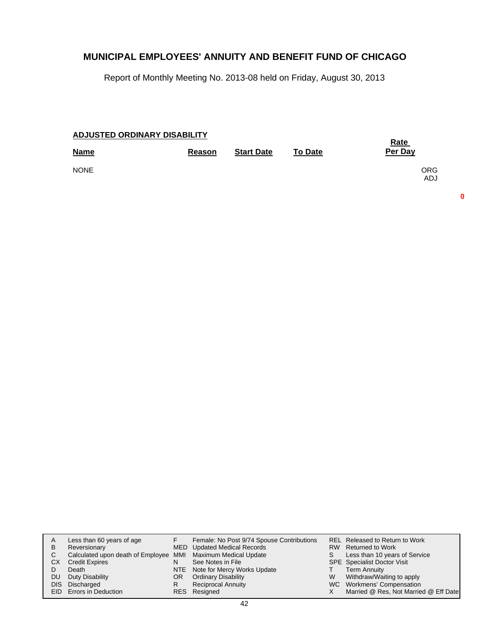Report of Monthly Meeting No. 2013-08 held on Friday, August 30, 2013

| <b>ADJUSTED ORDINARY DISABILITY</b> | <b>Rate</b> |                   |                |                          |
|-------------------------------------|-------------|-------------------|----------------|--------------------------|
| <b>Name</b>                         | Reason      | <b>Start Date</b> | <b>To Date</b> | Per Day                  |
| <b>NONE</b>                         |             |                   |                | <b>ORG</b><br><b>ADJ</b> |

**0**

|           | Less than 60 years of age                                    |     | Female: No Post 9/74 Spouse Contributions |   | REL Released to Return to Work        |
|-----------|--------------------------------------------------------------|-----|-------------------------------------------|---|---------------------------------------|
| B         | Reversionary                                                 |     | MED Updated Medical Records               |   | RW Returned to Work                   |
|           | Calculated upon death of Employee MMI Maximum Medical Update |     |                                           | S | Less than 10 years of Service         |
| CX        | <b>Credit Expires</b>                                        | N   | See Notes in File                         |   | <b>SPE</b> Specialist Doctor Visit    |
|           | Death                                                        |     | NTE Note for Mercy Works Update           |   | <b>Term Annuity</b>                   |
| <b>DU</b> | Duty Disability                                              | OR. | <b>Ordinary Disability</b>                | W | Withdraw/Waiting to apply             |
| DIS.      | Discharged                                                   | R   | <b>Reciprocal Annuity</b>                 |   | WC Workmens' Compensation             |
|           | <b>EID</b> Errors in Deduction                               |     | RES Resigned                              |   | Married @ Res, Not Married @ Eff Date |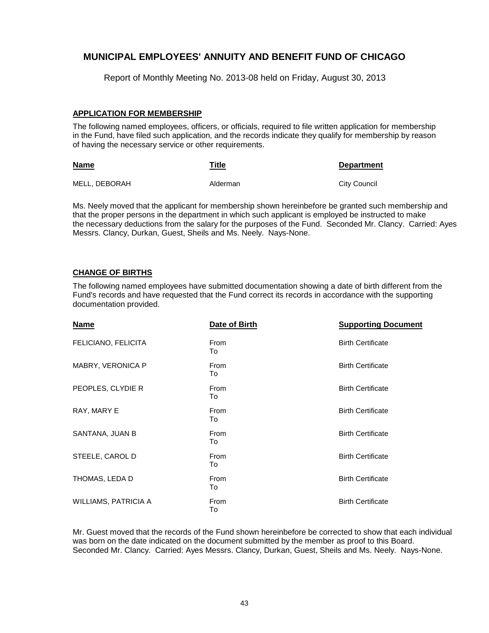Report of Monthly Meeting No. 2013-08 held on Friday, August 30, 2013

#### **APPLICATION FOR MEMBERSHIP**

The following named employees, officers, or officials, required to file written application for membership in the Fund, have filed such application, and the records indicate they qualify for membership by reason of having the necessary service or other requirements.

| <b>Name</b>   | Title    | <b>Department</b> |
|---------------|----------|-------------------|
| MELL, DEBORAH | Alderman | City Council      |

Ms. Neely moved that the applicant for membership shown hereinbefore be granted such membership and that the proper persons in the department in which such applicant is employed be instructed to make the necessary deductions from the salary for the purposes of the Fund. Seconded Mr. Clancy. Carried: Ayes Messrs. Clancy, Durkan, Guest, Sheils and Ms. Neely. Nays-None.

#### **CHANGE OF BIRTHS**

The following named employees have submitted documentation showing a date of birth different from the Fund's records and have requested that the Fund correct its records in accordance with the supporting documentation provided.

| <b>Name</b>          | Date of Birth     | <b>Supporting Document</b> |
|----------------------|-------------------|----------------------------|
| FELICIANO, FELICITA  | From<br>To        | <b>Birth Certificate</b>   |
| MABRY, VERONICA P    | <b>From</b><br>To | <b>Birth Certificate</b>   |
| PEOPLES, CLYDIE R    | <b>From</b><br>To | <b>Birth Certificate</b>   |
| RAY, MARY E          | From<br>To        | <b>Birth Certificate</b>   |
| SANTANA, JUAN B      | <b>From</b><br>To | <b>Birth Certificate</b>   |
| STEELE, CAROL D      | From<br>To        | <b>Birth Certificate</b>   |
| THOMAS, LEDA D       | <b>From</b><br>To | <b>Birth Certificate</b>   |
| WILLIAMS, PATRICIA A | From<br>To        | <b>Birth Certificate</b>   |

Mr. Guest moved that the records of the Fund shown hereinbefore be corrected to show that each individual was born on the date indicated on the document submitted by the member as proof to this Board. Seconded Mr. Clancy. Carried: Ayes Messrs. Clancy, Durkan, Guest, Sheils and Ms. Neely. Nays-None.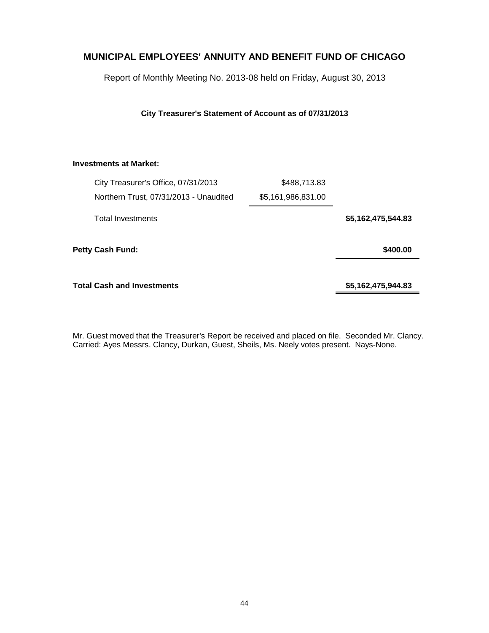Report of Monthly Meeting No. 2013-08 held on Friday, August 30, 2013

**City Treasurer's Statement of Account as of 07/31/2013**

#### **Investments at Market:**

|                    | \$488,713.83       | City Treasurer's Office, 07/31/2013    |  |
|--------------------|--------------------|----------------------------------------|--|
|                    | \$5,161,986,831.00 | Northern Trust, 07/31/2013 - Unaudited |  |
| \$5,162,475,544.83 |                    | <b>Total Investments</b>               |  |
| \$400.00           |                    | Petty Cash Fund:                       |  |
| \$5,162,475,944.83 |                    | Total Cash and Investments             |  |

Mr. Guest moved that the Treasurer's Report be received and placed on file. Seconded Mr. Clancy. Carried: Ayes Messrs. Clancy, Durkan, Guest, Sheils, Ms. Neely votes present. Nays-None.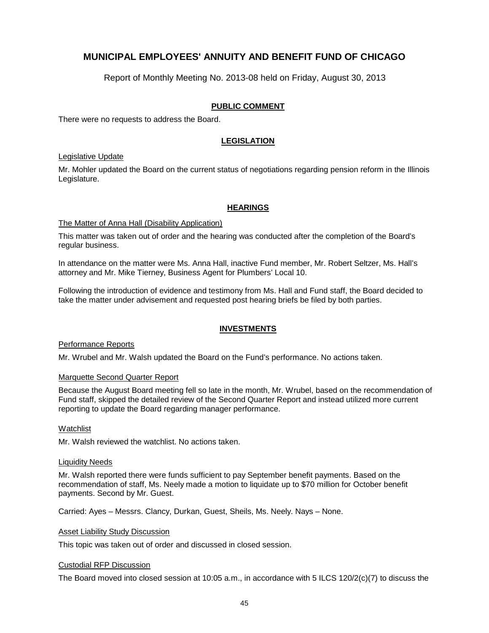Report of Monthly Meeting No. 2013-08 held on Friday, August 30, 2013

#### **PUBLIC COMMENT**

There were no requests to address the Board.

#### **LEGISLATION**

#### Legislative Update

Mr. Mohler updated the Board on the current status of negotiations regarding pension reform in the Illinois Legislature.

#### **HEARINGS**

#### The Matter of Anna Hall (Disability Application)

This matter was taken out of order and the hearing was conducted after the completion of the Board's regular business.

In attendance on the matter were Ms. Anna Hall, inactive Fund member, Mr. Robert Seltzer, Ms. Hall's attorney and Mr. Mike Tierney, Business Agent for Plumbers' Local 10.

Following the introduction of evidence and testimony from Ms. Hall and Fund staff, the Board decided to take the matter under advisement and requested post hearing briefs be filed by both parties.

#### **INVESTMENTS**

#### Performance Reports

Mr. Wrubel and Mr. Walsh updated the Board on the Fund's performance. No actions taken.

#### Marquette Second Quarter Report

Because the August Board meeting fell so late in the month, Mr. Wrubel, based on the recommendation of Fund staff, skipped the detailed review of the Second Quarter Report and instead utilized more current reporting to update the Board regarding manager performance.

#### Watchlist

Mr. Walsh reviewed the watchlist. No actions taken.

#### Liquidity Needs

Mr. Walsh reported there were funds sufficient to pay September benefit payments. Based on the recommendation of staff, Ms. Neely made a motion to liquidate up to \$70 million for October benefit payments. Second by Mr. Guest.

Carried: Ayes – Messrs. Clancy, Durkan, Guest, Sheils, Ms. Neely. Nays – None.

#### Asset Liability Study Discussion

This topic was taken out of order and discussed in closed session.

#### Custodial RFP Discussion

The Board moved into closed session at 10:05 a.m., in accordance with 5 ILCS 120/2(c)(7) to discuss the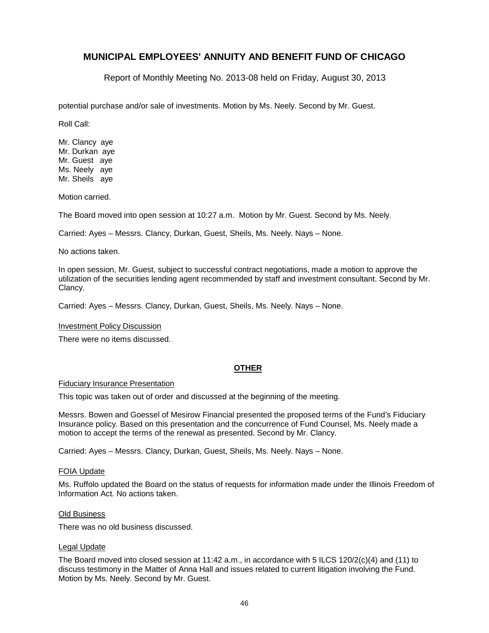Report of Monthly Meeting No. 2013-08 held on Friday, August 30, 2013

potential purchase and/or sale of investments. Motion by Ms. Neely. Second by Mr. Guest.

Roll Call:

Mr. Clancy aye Mr. Durkan aye Mr. Guest aye Ms. Neely aye Mr. Sheils aye

Motion carried.

The Board moved into open session at 10:27 a.m. Motion by Mr. Guest. Second by Ms. Neely.

Carried: Ayes – Messrs. Clancy, Durkan, Guest, Sheils, Ms. Neely. Nays – None.

No actions taken.

In open session, Mr. Guest, subject to successful contract negotiations, made a motion to approve the utilization of the securities lending agent recommended by staff and investment consultant. Second by Mr. Clancy.

Carried: Ayes – Messrs. Clancy, Durkan, Guest, Sheils, Ms. Neely. Nays – None.

#### Investment Policy Discussion

There were no items discussed.

#### **OTHER**

#### Fiduciary Insurance Presentation

This topic was taken out of order and discussed at the beginning of the meeting.

Messrs. Bowen and Goessel of Mesirow Financial presented the proposed terms of the Fund's Fiduciary Insurance policy. Based on this presentation and the concurrence of Fund Counsel, Ms. Neely made a motion to accept the terms of the renewal as presented. Second by Mr. Clancy.

Carried: Ayes – Messrs. Clancy, Durkan, Guest, Sheils, Ms. Neely. Nays – None.

#### FOIA Update

Ms. Ruffolo updated the Board on the status of requests for information made under the Illinois Freedom of Information Act. No actions taken.

#### Old Business

There was no old business discussed.

#### Legal Update

The Board moved into closed session at 11:42 a.m., in accordance with 5 ILCS 120/2(c)(4) and (11) to discuss testimony in the Matter of Anna Hall and issues related to current litigation involving the Fund. Motion by Ms. Neely. Second by Mr. Guest.